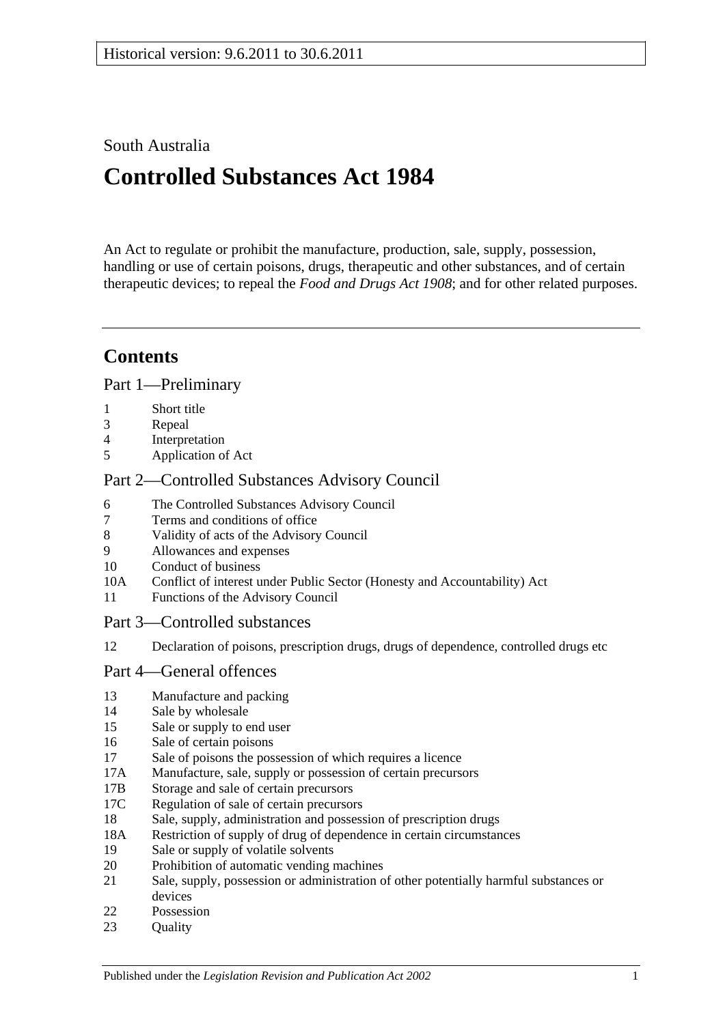## South Australia

# **Controlled Substances Act 1984**

An Act to regulate or prohibit the manufacture, production, sale, supply, possession, handling or use of certain poisons, drugs, therapeutic and other substances, and of certain therapeutic devices; to repeal the *[Food and Drugs Act](http://www.legislation.sa.gov.au/index.aspx?action=legref&type=act&legtitle=Food%20and%20Drugs%20Act%201908) 1908*; and for other related purposes.

## **Contents**

[Part 1—Preliminary](#page-3-0)

- 1 [Short title](#page-3-1)
- 3 [Repeal](#page-3-2)
- 4 [Interpretation](#page-3-3)
- 5 [Application of Act](#page-9-0)

## [Part 2—Controlled Substances Advisory Council](#page-9-1)

- 6 [The Controlled Substances Advisory Council](#page-9-2)
- 7 [Terms and conditions of office](#page-10-0)
- 8 [Validity of acts of the Advisory Council](#page-10-1)
- 9 [Allowances and expenses](#page-10-2)
- 10 [Conduct of business](#page-10-3)
- 10A [Conflict of interest under Public Sector \(Honesty and Accountability\) Act](#page-11-0)
- 11 [Functions of the Advisory Council](#page-11-1)
- [Part 3—Controlled substances](#page-12-0)
- 12 [Declaration of poisons, prescription drugs, drugs of dependence, controlled drugs etc](#page-12-1)

## [Part 4—General offences](#page-13-0)

- 13 [Manufacture and packing](#page-13-1)
- 14 [Sale by wholesale](#page-13-2)
- 15 [Sale or supply to end user](#page-14-0)
- 16 [Sale of certain poisons](#page-14-1)
- 17 [Sale of poisons the possession of which requires a licence](#page-14-2)
- 17A [Manufacture, sale, supply or possession of certain precursors](#page-15-0)
- 17B [Storage and sale of certain precursors](#page-15-1)
- 17C [Regulation of sale of certain precursors](#page-16-0)
- 18 [Sale, supply, administration and possession of prescription drugs](#page-17-0)
- 18A [Restriction of supply of drug of dependence in certain circumstances](#page-18-0)
- 19 [Sale or supply of volatile solvents](#page-19-0)
- 20 [Prohibition of automatic vending machines](#page-19-1)
- 21 [Sale, supply, possession or administration of other potentially harmful substances or](#page-20-0)  [devices](#page-20-0)
- 22 [Possession](#page-20-1)
- 23 Ouality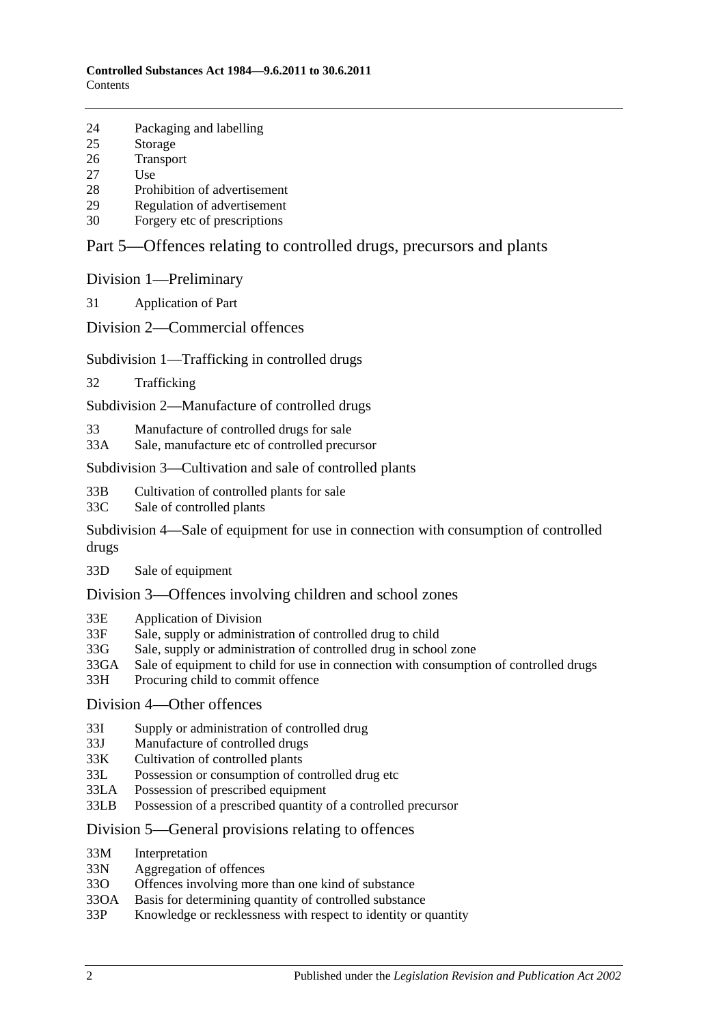- 24 [Packaging and labelling](#page-20-3)
- 25 [Storage](#page-21-0)
- 26 [Transport](#page-21-1)
- 27 [Use](#page-21-2)
- 28 [Prohibition of advertisement](#page-21-3)
- 29 [Regulation of advertisement](#page-21-4)
- 30 Forgery [etc of prescriptions](#page-21-5)

## [Part 5—Offences relating to controlled drugs, precursors and plants](#page-22-0)

[Division 1—Preliminary](#page-22-1)

31 [Application of Part](#page-22-2)

[Division 2—Commercial offences](#page-23-0)

#### [Subdivision 1—Trafficking in controlled drugs](#page-23-1)

32 [Trafficking](#page-23-2)

[Subdivision 2—Manufacture of controlled drugs](#page-24-0)

- 33 [Manufacture of controlled drugs for sale](#page-24-1)
- 33A [Sale, manufacture etc of controlled precursor](#page-25-0)

#### [Subdivision 3—Cultivation and sale of controlled plants](#page-26-0)

- 33B [Cultivation of controlled plants for sale](#page-26-1)
- 33C [Sale of controlled plants](#page-26-2)

[Subdivision 4—Sale of equipment for use in connection with consumption of controlled](#page-27-0)  [drugs](#page-27-0)

33D [Sale of equipment](#page-27-1)

#### [Division 3—Offences involving children and school zones](#page-27-2)

- 33E [Application of Division](#page-27-3)
- 33F [Sale, supply or administration of controlled drug to child](#page-27-4)
- 33G [Sale, supply or administration of controlled drug in school zone](#page-28-0)
- 33GA [Sale of equipment to child for use in connection with consumption of controlled drugs](#page-28-1)
- 33H [Procuring child to commit offence](#page-28-2)

#### [Division 4—Other offences](#page-28-3)

- 33I [Supply or administration of controlled drug](#page-28-4)
- 33J [Manufacture of controlled drugs](#page-29-0)
- 33K [Cultivation of controlled plants](#page-29-1)
- 33L [Possession or consumption of controlled drug etc](#page-29-2)
- 33LA [Possession of prescribed equipment](#page-30-0)
- 33LB [Possession of a prescribed quantity of a controlled precursor](#page-30-1)

#### [Division 5—General provisions relating to offences](#page-31-0)

- 33M [Interpretation](#page-31-1)
- 33N [Aggregation of offences](#page-31-2)
- 33O [Offences involving more than one kind of substance](#page-32-0)
- 33OA [Basis for determining quantity of controlled substance](#page-33-0)
- 33P [Knowledge or recklessness with respect to identity or quantity](#page-33-1)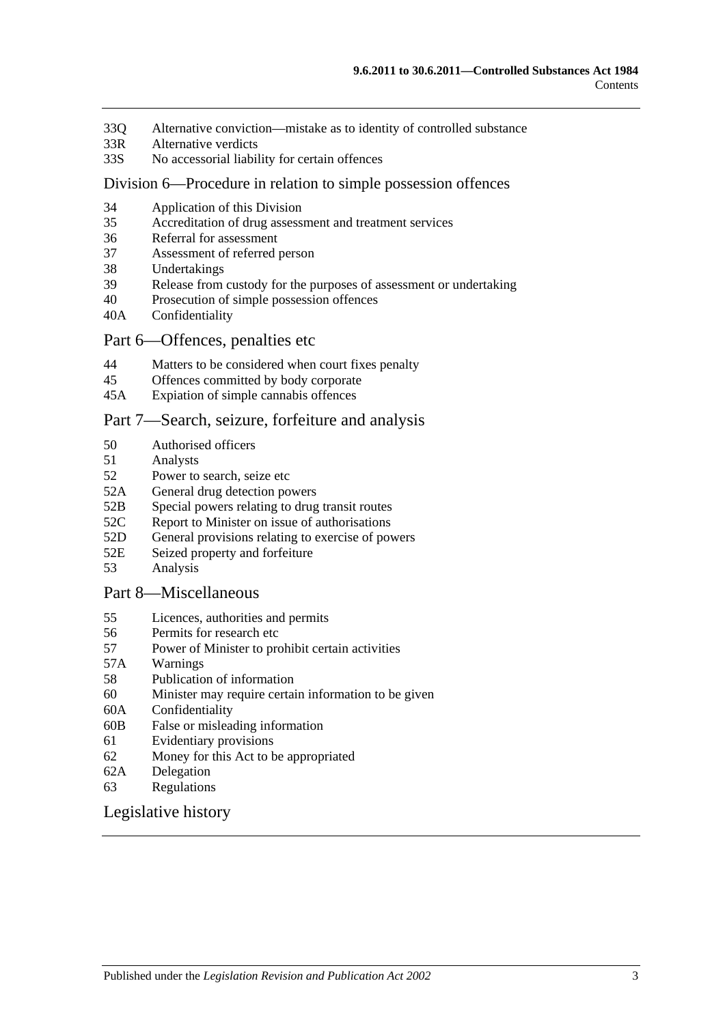- 33Q [Alternative conviction—mistake as to identity of controlled substance](#page-34-0)
- 33R [Alternative verdicts](#page-34-1)
- 33S [No accessorial liability for certain offences](#page-34-2)

#### [Division 6—Procedure in relation to simple possession offences](#page-34-3)

- 34 [Application of this Division](#page-34-4)
- 35 [Accreditation of drug assessment and treatment services](#page-34-5)
- 36 [Referral for assessment](#page-35-0)
- 37 [Assessment of referred person](#page-35-1)
- 38 [Undertakings](#page-36-0)
- 39 [Release from custody for the purposes of assessment or undertaking](#page-37-0)
- 40 [Prosecution of simple possession offences](#page-37-1)
- 40A [Confidentiality](#page-37-2)

#### [Part 6—Offences, penalties etc](#page-38-0)

- 44 [Matters to be considered when court fixes penalty](#page-38-1)
- 45 [Offences committed by body corporate](#page-39-0)
- 45A [Expiation of simple cannabis offences](#page-39-1)

#### [Part 7—Search, seizure, forfeiture and analysis](#page-39-2)

- 50 [Authorised officers](#page-39-3)
- 51 [Analysts](#page-40-0)
- 52 [Power to search, seize etc](#page-40-1)
- 52A [General drug detection powers](#page-42-0)
- 52B [Special powers relating to drug transit routes](#page-43-0)
- 52C [Report to Minister on issue of authorisations](#page-44-0)
- 52D [General provisions relating to exercise of powers](#page-45-0)
- 52E [Seized property and forfeiture](#page-46-0)
- 53 [Analysis](#page-47-0)

#### [Part 8—Miscellaneous](#page-48-0)

- 55 [Licences, authorities and permits](#page-48-1)
- 56 [Permits for research etc](#page-49-0)
- 57 [Power of Minister to prohibit certain activities](#page-49-1)
- 57A [Warnings](#page-50-0)
- 58 [Publication of information](#page-50-1)
- 60 [Minister may require certain information to be given](#page-51-0)
- 60A [Confidentiality](#page-52-0)
- 60B [False or misleading information](#page-52-1)
- 61 [Evidentiary provisions](#page-52-2)
- 62 [Money for this Act to be appropriated](#page-53-0)
- 62A [Delegation](#page-53-1)
- 63 [Regulations](#page-53-2)

#### [Legislative history](#page-56-0)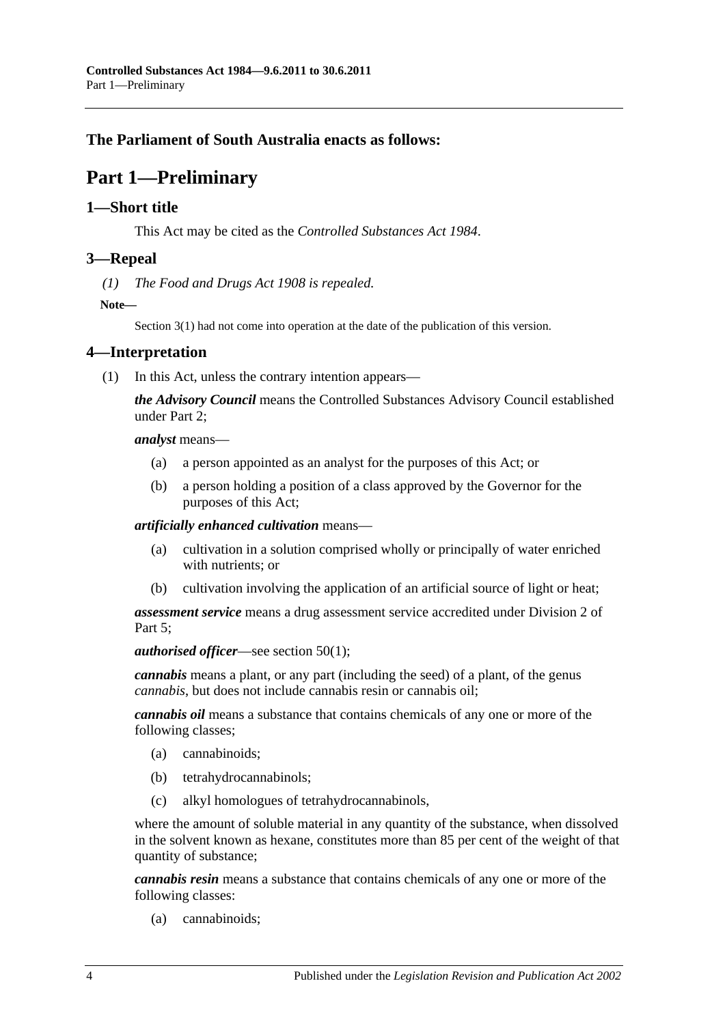## <span id="page-3-0"></span>**The Parliament of South Australia enacts as follows:**

## **Part 1—Preliminary**

## <span id="page-3-1"></span>**1—Short title**

This Act may be cited as the *Controlled Substances Act 1984*.

## <span id="page-3-2"></span>**3—Repeal**

*(1) The [Food and Drugs Act](http://www.legislation.sa.gov.au/index.aspx?action=legref&type=act&legtitle=Food%20and%20Drugs%20Act%201908) 1908 is repealed.*

**Note—**

Section 3(1) had not come into operation at the date of the publication of this version.

## <span id="page-3-4"></span><span id="page-3-3"></span>**4—Interpretation**

(1) In this Act, unless the contrary intention appears—

*the Advisory Council* means the Controlled Substances Advisory Council established under [Part 2;](#page-9-1)

*analyst* means—

- (a) a person appointed as an analyst for the purposes of this Act; or
- (b) a person holding a position of a class approved by the Governor for the purposes of this Act;

*artificially enhanced cultivation* means—

- (a) cultivation in a solution comprised wholly or principally of water enriched with nutrients; or
- (b) cultivation involving the application of an artificial source of light or heat;

*assessment service* means a drug assessment service accredited under [Division](#page-34-3) 2 of Part 5:

*authorised officer*—see [section](#page-39-4) 50(1);

*cannabis* means a plant, or any part (including the seed) of a plant, of the genus *cannabis*, but does not include cannabis resin or cannabis oil;

*cannabis oil* means a substance that contains chemicals of any one or more of the following classes;

- (a) cannabinoids;
- (b) tetrahydrocannabinols;
- (c) alkyl homologues of tetrahydrocannabinols,

where the amount of soluble material in any quantity of the substance, when dissolved in the solvent known as hexane, constitutes more than 85 per cent of the weight of that quantity of substance;

*cannabis resin* means a substance that contains chemicals of any one or more of the following classes:

(a) cannabinoids;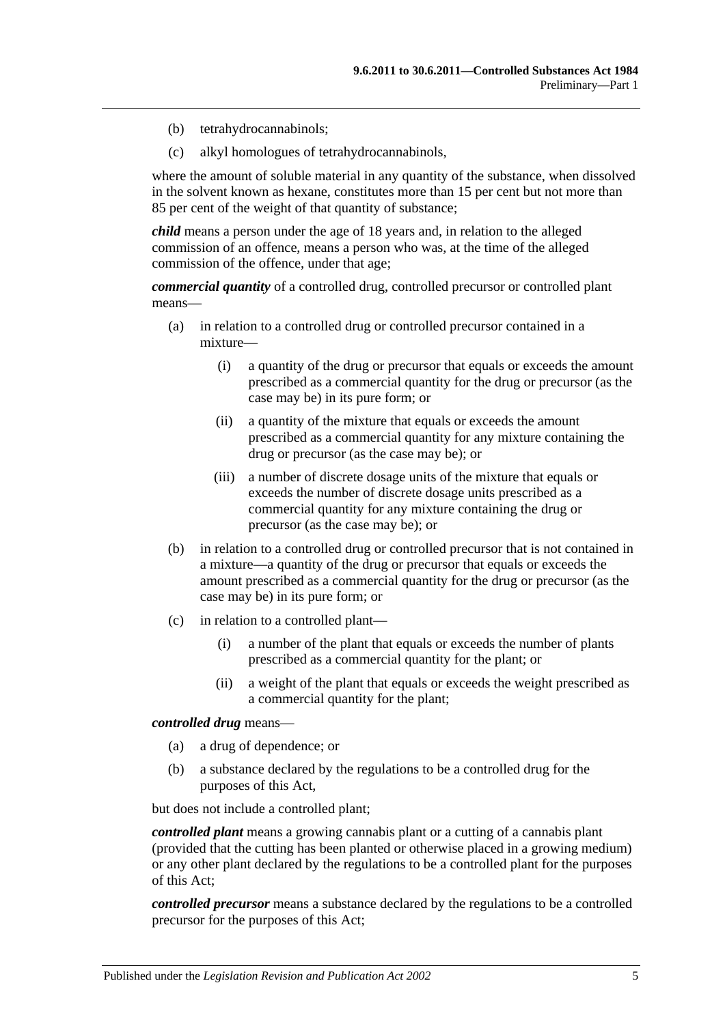- (b) tetrahydrocannabinols;
- (c) alkyl homologues of tetrahydrocannabinols,

where the amount of soluble material in any quantity of the substance, when dissolved in the solvent known as hexane, constitutes more than 15 per cent but not more than 85 per cent of the weight of that quantity of substance;

*child* means a person under the age of 18 years and, in relation to the alleged commission of an offence, means a person who was, at the time of the alleged commission of the offence, under that age;

*commercial quantity* of a controlled drug, controlled precursor or controlled plant means—

- (a) in relation to a controlled drug or controlled precursor contained in a mixture—
	- (i) a quantity of the drug or precursor that equals or exceeds the amount prescribed as a commercial quantity for the drug or precursor (as the case may be) in its pure form; or
	- (ii) a quantity of the mixture that equals or exceeds the amount prescribed as a commercial quantity for any mixture containing the drug or precursor (as the case may be); or
	- (iii) a number of discrete dosage units of the mixture that equals or exceeds the number of discrete dosage units prescribed as a commercial quantity for any mixture containing the drug or precursor (as the case may be); or
- (b) in relation to a controlled drug or controlled precursor that is not contained in a mixture—a quantity of the drug or precursor that equals or exceeds the amount prescribed as a commercial quantity for the drug or precursor (as the case may be) in its pure form; or
- (c) in relation to a controlled plant—
	- (i) a number of the plant that equals or exceeds the number of plants prescribed as a commercial quantity for the plant; or
	- (ii) a weight of the plant that equals or exceeds the weight prescribed as a commercial quantity for the plant;

#### *controlled drug* means—

- (a) a drug of dependence; or
- (b) a substance declared by the regulations to be a controlled drug for the purposes of this Act,

but does not include a controlled plant;

*controlled plant* means a growing cannabis plant or a cutting of a cannabis plant (provided that the cutting has been planted or otherwise placed in a growing medium) or any other plant declared by the regulations to be a controlled plant for the purposes of this Act;

*controlled precursor* means a substance declared by the regulations to be a controlled precursor for the purposes of this Act;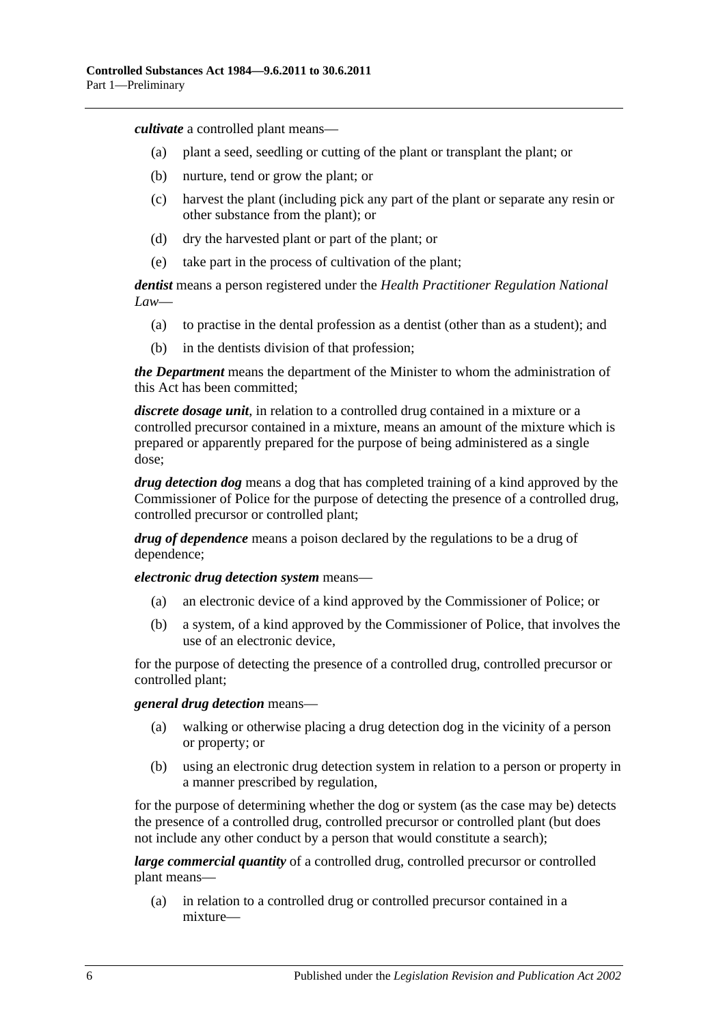*cultivate* a controlled plant means—

- (a) plant a seed, seedling or cutting of the plant or transplant the plant; or
- (b) nurture, tend or grow the plant; or
- (c) harvest the plant (including pick any part of the plant or separate any resin or other substance from the plant); or
- (d) dry the harvested plant or part of the plant; or
- (e) take part in the process of cultivation of the plant;

*dentist* means a person registered under the *Health Practitioner Regulation National Law*—

- (a) to practise in the dental profession as a dentist (other than as a student); and
- (b) in the dentists division of that profession;

*the Department* means the department of the Minister to whom the administration of this Act has been committed;

*discrete dosage unit*, in relation to a controlled drug contained in a mixture or a controlled precursor contained in a mixture, means an amount of the mixture which is prepared or apparently prepared for the purpose of being administered as a single dose;

*drug detection dog* means a dog that has completed training of a kind approved by the Commissioner of Police for the purpose of detecting the presence of a controlled drug, controlled precursor or controlled plant;

*drug of dependence* means a poison declared by the regulations to be a drug of dependence;

*electronic drug detection system* means—

- (a) an electronic device of a kind approved by the Commissioner of Police; or
- (b) a system, of a kind approved by the Commissioner of Police, that involves the use of an electronic device,

for the purpose of detecting the presence of a controlled drug, controlled precursor or controlled plant;

#### *general drug detection* means—

- (a) walking or otherwise placing a drug detection dog in the vicinity of a person or property; or
- (b) using an electronic drug detection system in relation to a person or property in a manner prescribed by regulation,

for the purpose of determining whether the dog or system (as the case may be) detects the presence of a controlled drug, controlled precursor or controlled plant (but does not include any other conduct by a person that would constitute a search);

*large commercial quantity* of a controlled drug, controlled precursor or controlled plant means—

(a) in relation to a controlled drug or controlled precursor contained in a mixture—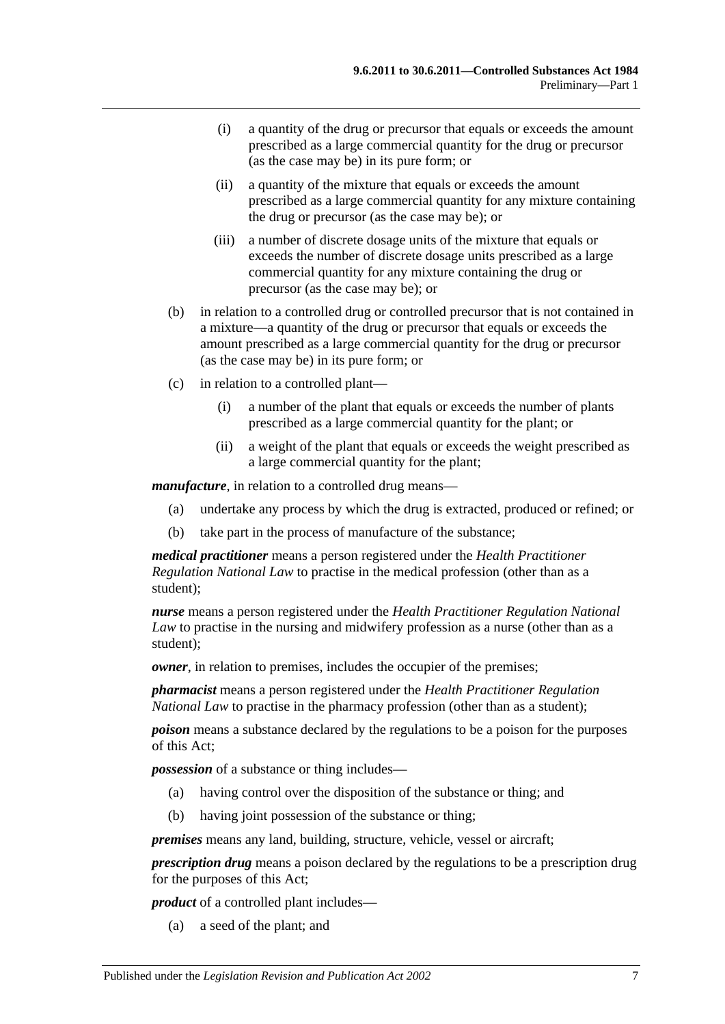- (i) a quantity of the drug or precursor that equals or exceeds the amount prescribed as a large commercial quantity for the drug or precursor (as the case may be) in its pure form; or
- (ii) a quantity of the mixture that equals or exceeds the amount prescribed as a large commercial quantity for any mixture containing the drug or precursor (as the case may be); or
- (iii) a number of discrete dosage units of the mixture that equals or exceeds the number of discrete dosage units prescribed as a large commercial quantity for any mixture containing the drug or precursor (as the case may be); or
- (b) in relation to a controlled drug or controlled precursor that is not contained in a mixture—a quantity of the drug or precursor that equals or exceeds the amount prescribed as a large commercial quantity for the drug or precursor (as the case may be) in its pure form; or
- (c) in relation to a controlled plant—
	- (i) a number of the plant that equals or exceeds the number of plants prescribed as a large commercial quantity for the plant; or
	- (ii) a weight of the plant that equals or exceeds the weight prescribed as a large commercial quantity for the plant;

*manufacture*, in relation to a controlled drug means—

- (a) undertake any process by which the drug is extracted, produced or refined; or
- (b) take part in the process of manufacture of the substance;

*medical practitioner* means a person registered under the *Health Practitioner Regulation National Law* to practise in the medical profession (other than as a student);

*nurse* means a person registered under the *Health Practitioner Regulation National Law* to practise in the nursing and midwifery profession as a nurse (other than as a student);

*owner*, in relation to premises, includes the occupier of the premises;

*pharmacist* means a person registered under the *Health Practitioner Regulation National Law* to practise in the pharmacy profession (other than as a student);

*poison* means a substance declared by the regulations to be a poison for the purposes of this Act;

*possession* of a substance or thing includes—

- (a) having control over the disposition of the substance or thing; and
- (b) having joint possession of the substance or thing;

*premises* means any land, building, structure, vehicle, vessel or aircraft;

*prescription drug* means a poison declared by the regulations to be a prescription drug for the purposes of this Act;

*product* of a controlled plant includes—

(a) a seed of the plant; and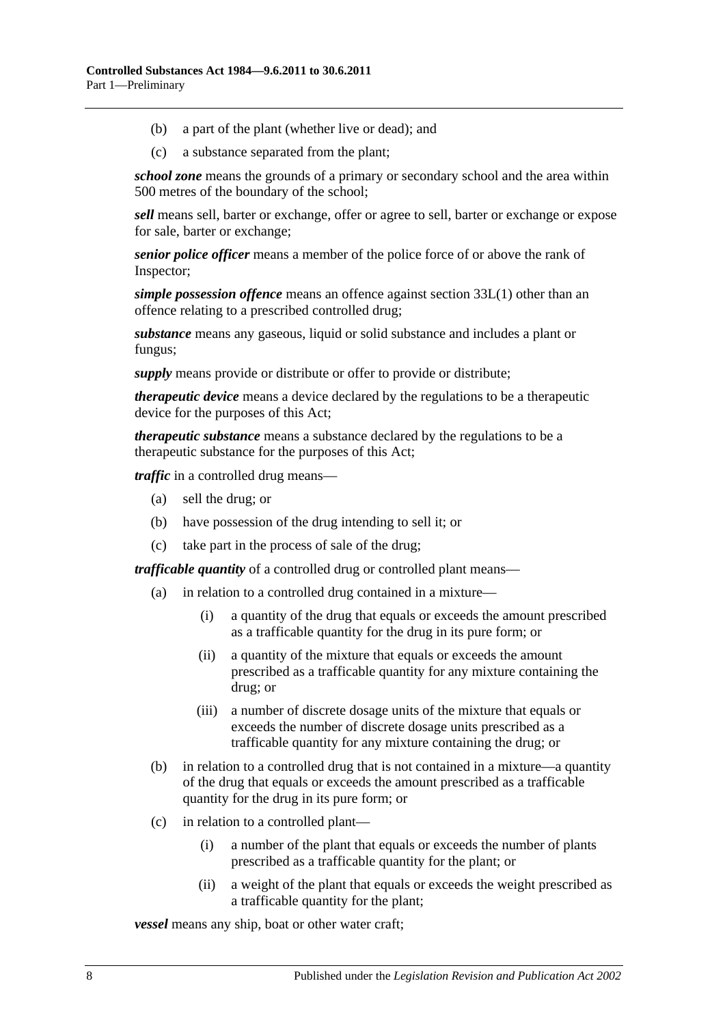- (b) a part of the plant (whether live or dead); and
- (c) a substance separated from the plant;

*school zone* means the grounds of a primary or secondary school and the area within 500 metres of the boundary of the school;

*sell* means sell, barter or exchange, offer or agree to sell, barter or exchange or expose for sale, barter or exchange;

*senior police officer* means a member of the police force of or above the rank of Inspector;

*simple possession offence* means an offence against [section](#page-29-3) 33L(1) other than an offence relating to a prescribed controlled drug;

*substance* means any gaseous, liquid or solid substance and includes a plant or fungus;

*supply* means provide or distribute or offer to provide or distribute;

*therapeutic device* means a device declared by the regulations to be a therapeutic device for the purposes of this Act;

*therapeutic substance* means a substance declared by the regulations to be a therapeutic substance for the purposes of this Act;

*traffic* in a controlled drug means—

- (a) sell the drug; or
- (b) have possession of the drug intending to sell it; or
- (c) take part in the process of sale of the drug;

*trafficable quantity* of a controlled drug or controlled plant means—

- (a) in relation to a controlled drug contained in a mixture—
	- (i) a quantity of the drug that equals or exceeds the amount prescribed as a trafficable quantity for the drug in its pure form; or
	- (ii) a quantity of the mixture that equals or exceeds the amount prescribed as a trafficable quantity for any mixture containing the drug; or
	- (iii) a number of discrete dosage units of the mixture that equals or exceeds the number of discrete dosage units prescribed as a trafficable quantity for any mixture containing the drug; or
- (b) in relation to a controlled drug that is not contained in a mixture—a quantity of the drug that equals or exceeds the amount prescribed as a trafficable quantity for the drug in its pure form; or
- (c) in relation to a controlled plant—
	- (i) a number of the plant that equals or exceeds the number of plants prescribed as a trafficable quantity for the plant; or
	- (ii) a weight of the plant that equals or exceeds the weight prescribed as a trafficable quantity for the plant;

*vessel* means any ship, boat or other water craft;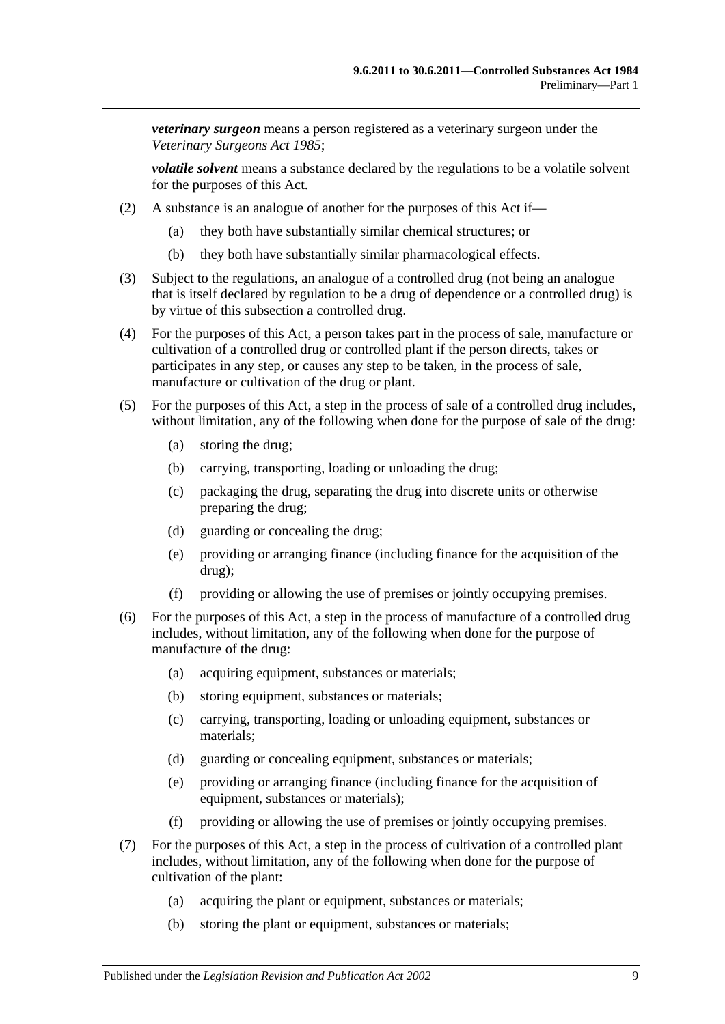*veterinary surgeon* means a person registered as a veterinary surgeon under the *[Veterinary Surgeons Act](http://www.legislation.sa.gov.au/index.aspx?action=legref&type=act&legtitle=Veterinary%20Surgeons%20Act%201985) 1985*;

*volatile solvent* means a substance declared by the regulations to be a volatile solvent for the purposes of this Act.

- (2) A substance is an analogue of another for the purposes of this Act if—
	- (a) they both have substantially similar chemical structures; or
	- (b) they both have substantially similar pharmacological effects.
- (3) Subject to the regulations, an analogue of a controlled drug (not being an analogue that is itself declared by regulation to be a drug of dependence or a controlled drug) is by virtue of this subsection a controlled drug.
- (4) For the purposes of this Act, a person takes part in the process of sale, manufacture or cultivation of a controlled drug or controlled plant if the person directs, takes or participates in any step, or causes any step to be taken, in the process of sale, manufacture or cultivation of the drug or plant.
- (5) For the purposes of this Act, a step in the process of sale of a controlled drug includes, without limitation, any of the following when done for the purpose of sale of the drug:
	- (a) storing the drug;
	- (b) carrying, transporting, loading or unloading the drug;
	- (c) packaging the drug, separating the drug into discrete units or otherwise preparing the drug;
	- (d) guarding or concealing the drug;
	- (e) providing or arranging finance (including finance for the acquisition of the drug);
	- (f) providing or allowing the use of premises or jointly occupying premises.
- (6) For the purposes of this Act, a step in the process of manufacture of a controlled drug includes, without limitation, any of the following when done for the purpose of manufacture of the drug:
	- (a) acquiring equipment, substances or materials;
	- (b) storing equipment, substances or materials;
	- (c) carrying, transporting, loading or unloading equipment, substances or materials;
	- (d) guarding or concealing equipment, substances or materials;
	- (e) providing or arranging finance (including finance for the acquisition of equipment, substances or materials);
	- (f) providing or allowing the use of premises or jointly occupying premises.
- <span id="page-8-0"></span>(7) For the purposes of this Act, a step in the process of cultivation of a controlled plant includes, without limitation, any of the following when done for the purpose of cultivation of the plant:
	- (a) acquiring the plant or equipment, substances or materials;
	- (b) storing the plant or equipment, substances or materials;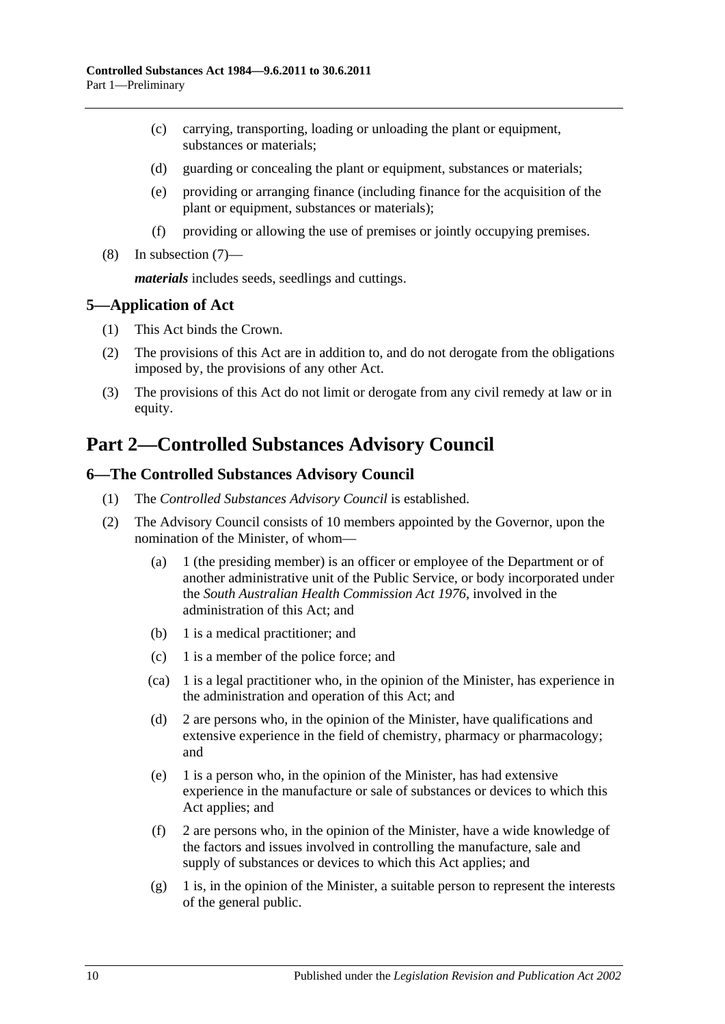- (c) carrying, transporting, loading or unloading the plant or equipment, substances or materials;
- (d) guarding or concealing the plant or equipment, substances or materials;
- (e) providing or arranging finance (including finance for the acquisition of the plant or equipment, substances or materials);
- (f) providing or allowing the use of premises or jointly occupying premises.
- (8) In [subsection](#page-8-0) (7)—

*materials* includes seeds, seedlings and cuttings.

## <span id="page-9-0"></span>**5—Application of Act**

- (1) This Act binds the Crown.
- (2) The provisions of this Act are in addition to, and do not derogate from the obligations imposed by, the provisions of any other Act.
- (3) The provisions of this Act do not limit or derogate from any civil remedy at law or in equity.

## <span id="page-9-1"></span>**Part 2—Controlled Substances Advisory Council**

## <span id="page-9-2"></span>**6—The Controlled Substances Advisory Council**

- (1) The *Controlled Substances Advisory Council* is established.
- (2) The Advisory Council consists of 10 members appointed by the Governor, upon the nomination of the Minister, of whom—
	- (a) 1 (the presiding member) is an officer or employee of the Department or of another administrative unit of the Public Service, or body incorporated under the *[South Australian Health Commission Act](http://www.legislation.sa.gov.au/index.aspx?action=legref&type=act&legtitle=South%20Australian%20Health%20Commission%20Act%201976) 1976*, involved in the administration of this Act; and
	- (b) 1 is a medical practitioner; and
	- (c) 1 is a member of the police force; and
	- (ca) 1 is a legal practitioner who, in the opinion of the Minister, has experience in the administration and operation of this Act; and
	- (d) 2 are persons who, in the opinion of the Minister, have qualifications and extensive experience in the field of chemistry, pharmacy or pharmacology; and
	- (e) 1 is a person who, in the opinion of the Minister, has had extensive experience in the manufacture or sale of substances or devices to which this Act applies; and
	- (f) 2 are persons who, in the opinion of the Minister, have a wide knowledge of the factors and issues involved in controlling the manufacture, sale and supply of substances or devices to which this Act applies; and
	- $(g)$  1 is, in the opinion of the Minister, a suitable person to represent the interests of the general public.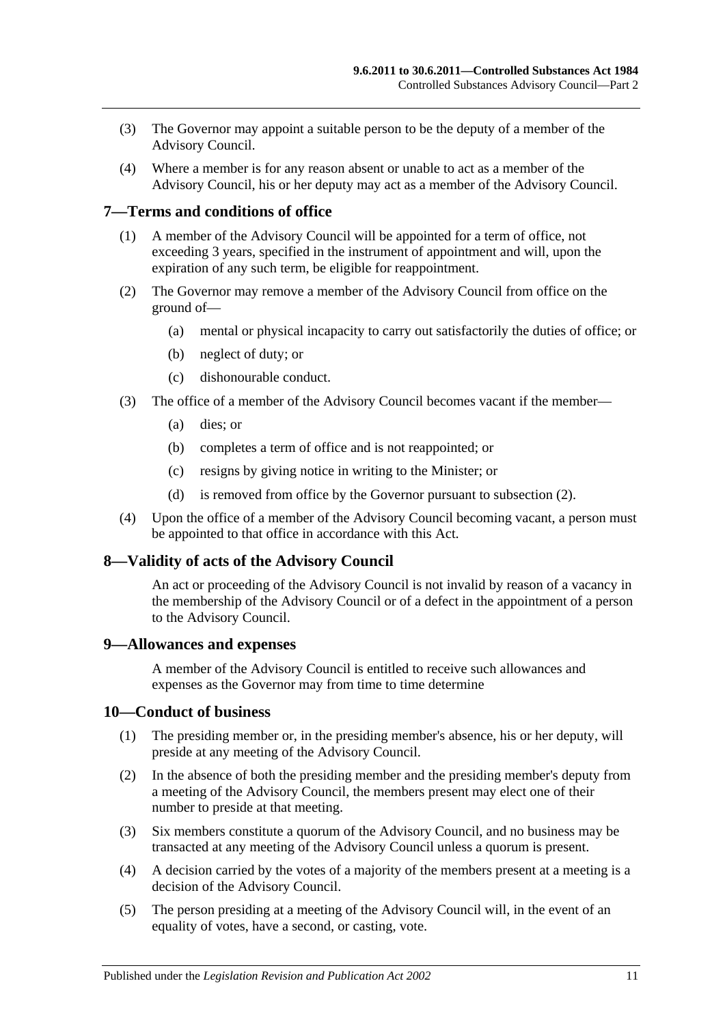- (3) The Governor may appoint a suitable person to be the deputy of a member of the Advisory Council.
- (4) Where a member is for any reason absent or unable to act as a member of the Advisory Council, his or her deputy may act as a member of the Advisory Council.

## <span id="page-10-0"></span>**7—Terms and conditions of office**

- (1) A member of the Advisory Council will be appointed for a term of office, not exceeding 3 years, specified in the instrument of appointment and will, upon the expiration of any such term, be eligible for reappointment.
- <span id="page-10-4"></span>(2) The Governor may remove a member of the Advisory Council from office on the ground of—
	- (a) mental or physical incapacity to carry out satisfactorily the duties of office; or
	- (b) neglect of duty; or
	- (c) dishonourable conduct.
- (3) The office of a member of the Advisory Council becomes vacant if the member—
	- (a) dies; or
	- (b) completes a term of office and is not reappointed; or
	- (c) resigns by giving notice in writing to the Minister; or
	- (d) is removed from office by the Governor pursuant to [subsection](#page-10-4) (2).
- (4) Upon the office of a member of the Advisory Council becoming vacant, a person must be appointed to that office in accordance with this Act.

## <span id="page-10-1"></span>**8—Validity of acts of the Advisory Council**

An act or proceeding of the Advisory Council is not invalid by reason of a vacancy in the membership of the Advisory Council or of a defect in the appointment of a person to the Advisory Council.

#### <span id="page-10-2"></span>**9—Allowances and expenses**

A member of the Advisory Council is entitled to receive such allowances and expenses as the Governor may from time to time determine

#### <span id="page-10-3"></span>**10—Conduct of business**

- (1) The presiding member or, in the presiding member's absence, his or her deputy, will preside at any meeting of the Advisory Council.
- (2) In the absence of both the presiding member and the presiding member's deputy from a meeting of the Advisory Council, the members present may elect one of their number to preside at that meeting.
- (3) Six members constitute a quorum of the Advisory Council, and no business may be transacted at any meeting of the Advisory Council unless a quorum is present.
- (4) A decision carried by the votes of a majority of the members present at a meeting is a decision of the Advisory Council.
- (5) The person presiding at a meeting of the Advisory Council will, in the event of an equality of votes, have a second, or casting, vote.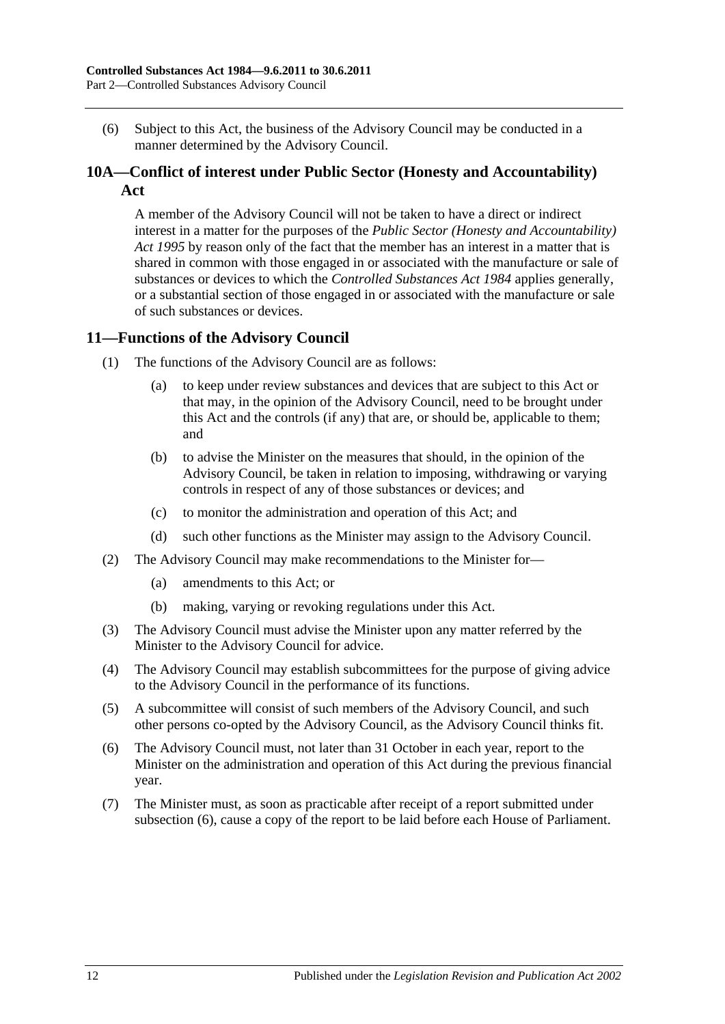(6) Subject to this Act, the business of the Advisory Council may be conducted in a manner determined by the Advisory Council.

## <span id="page-11-0"></span>**10A—Conflict of interest under Public Sector (Honesty and Accountability) Act**

A member of the Advisory Council will not be taken to have a direct or indirect interest in a matter for the purposes of the *[Public Sector \(Honesty and Accountability\)](http://www.legislation.sa.gov.au/index.aspx?action=legref&type=act&legtitle=Public%20Sector%20(Honesty%20and%20Accountability)%20Act%201995)  Act [1995](http://www.legislation.sa.gov.au/index.aspx?action=legref&type=act&legtitle=Public%20Sector%20(Honesty%20and%20Accountability)%20Act%201995)* by reason only of the fact that the member has an interest in a matter that is shared in common with those engaged in or associated with the manufacture or sale of substances or devices to which the *[Controlled Substances Act](http://www.legislation.sa.gov.au/index.aspx?action=legref&type=act&legtitle=Controlled%20Substances%20Act%201984) 1984* applies generally, or a substantial section of those engaged in or associated with the manufacture or sale of such substances or devices.

## <span id="page-11-1"></span>**11—Functions of the Advisory Council**

- (1) The functions of the Advisory Council are as follows:
	- (a) to keep under review substances and devices that are subject to this Act or that may, in the opinion of the Advisory Council, need to be brought under this Act and the controls (if any) that are, or should be, applicable to them; and
	- (b) to advise the Minister on the measures that should, in the opinion of the Advisory Council, be taken in relation to imposing, withdrawing or varying controls in respect of any of those substances or devices; and
	- (c) to monitor the administration and operation of this Act; and
	- (d) such other functions as the Minister may assign to the Advisory Council.
- (2) The Advisory Council may make recommendations to the Minister for—
	- (a) amendments to this Act; or
	- (b) making, varying or revoking regulations under this Act.
- (3) The Advisory Council must advise the Minister upon any matter referred by the Minister to the Advisory Council for advice.
- (4) The Advisory Council may establish subcommittees for the purpose of giving advice to the Advisory Council in the performance of its functions.
- (5) A subcommittee will consist of such members of the Advisory Council, and such other persons co-opted by the Advisory Council, as the Advisory Council thinks fit.
- <span id="page-11-2"></span>(6) The Advisory Council must, not later than 31 October in each year, report to the Minister on the administration and operation of this Act during the previous financial year.
- (7) The Minister must, as soon as practicable after receipt of a report submitted under [subsection](#page-11-2) (6), cause a copy of the report to be laid before each House of Parliament.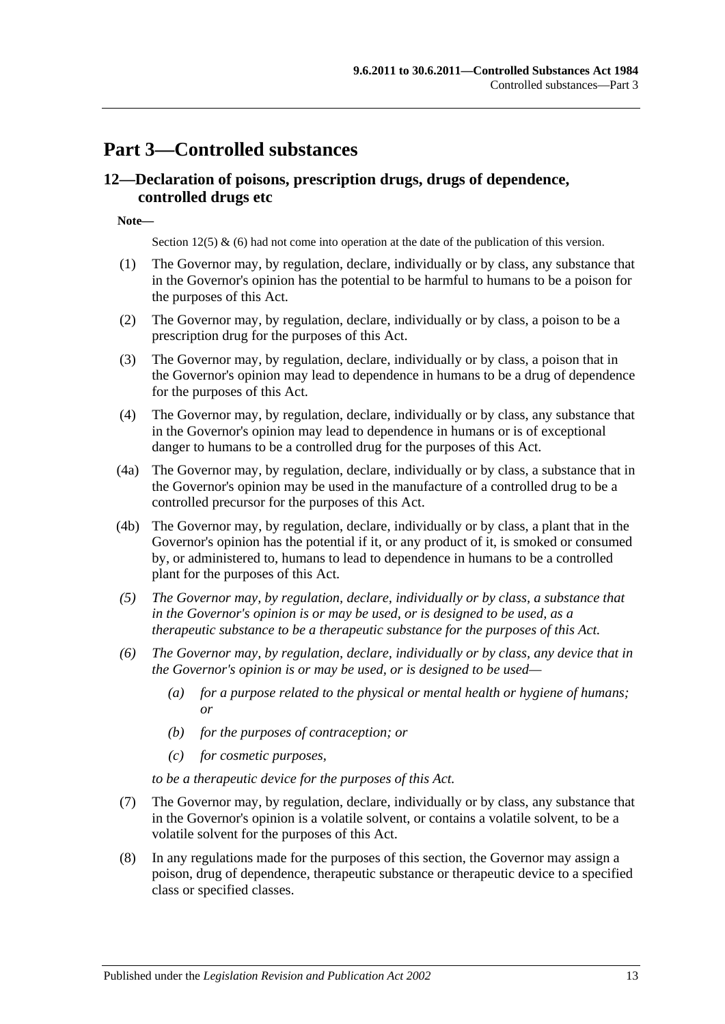## <span id="page-12-0"></span>**Part 3—Controlled substances**

## <span id="page-12-1"></span>**12—Declaration of poisons, prescription drugs, drugs of dependence, controlled drugs etc**

**Note—**

Section 12(5) & (6) had not come into operation at the date of the publication of this version.

- (1) The Governor may, by regulation, declare, individually or by class, any substance that in the Governor's opinion has the potential to be harmful to humans to be a poison for the purposes of this Act.
- (2) The Governor may, by regulation, declare, individually or by class, a poison to be a prescription drug for the purposes of this Act.
- (3) The Governor may, by regulation, declare, individually or by class, a poison that in the Governor's opinion may lead to dependence in humans to be a drug of dependence for the purposes of this Act.
- (4) The Governor may, by regulation, declare, individually or by class, any substance that in the Governor's opinion may lead to dependence in humans or is of exceptional danger to humans to be a controlled drug for the purposes of this Act.
- (4a) The Governor may, by regulation, declare, individually or by class, a substance that in the Governor's opinion may be used in the manufacture of a controlled drug to be a controlled precursor for the purposes of this Act.
- (4b) The Governor may, by regulation, declare, individually or by class, a plant that in the Governor's opinion has the potential if it, or any product of it, is smoked or consumed by, or administered to, humans to lead to dependence in humans to be a controlled plant for the purposes of this Act.
- *(5) The Governor may, by regulation, declare, individually or by class, a substance that in the Governor's opinion is or may be used, or is designed to be used, as a therapeutic substance to be a therapeutic substance for the purposes of this Act.*
- *(6) The Governor may, by regulation, declare, individually or by class, any device that in the Governor's opinion is or may be used, or is designed to be used—*
	- *(a) for a purpose related to the physical or mental health or hygiene of humans; or*
	- *(b) for the purposes of contraception; or*
	- *(c) for cosmetic purposes,*

*to be a therapeutic device for the purposes of this Act.*

- (7) The Governor may, by regulation, declare, individually or by class, any substance that in the Governor's opinion is a volatile solvent, or contains a volatile solvent, to be a volatile solvent for the purposes of this Act.
- (8) In any regulations made for the purposes of this section, the Governor may assign a poison, drug of dependence, therapeutic substance or therapeutic device to a specified class or specified classes.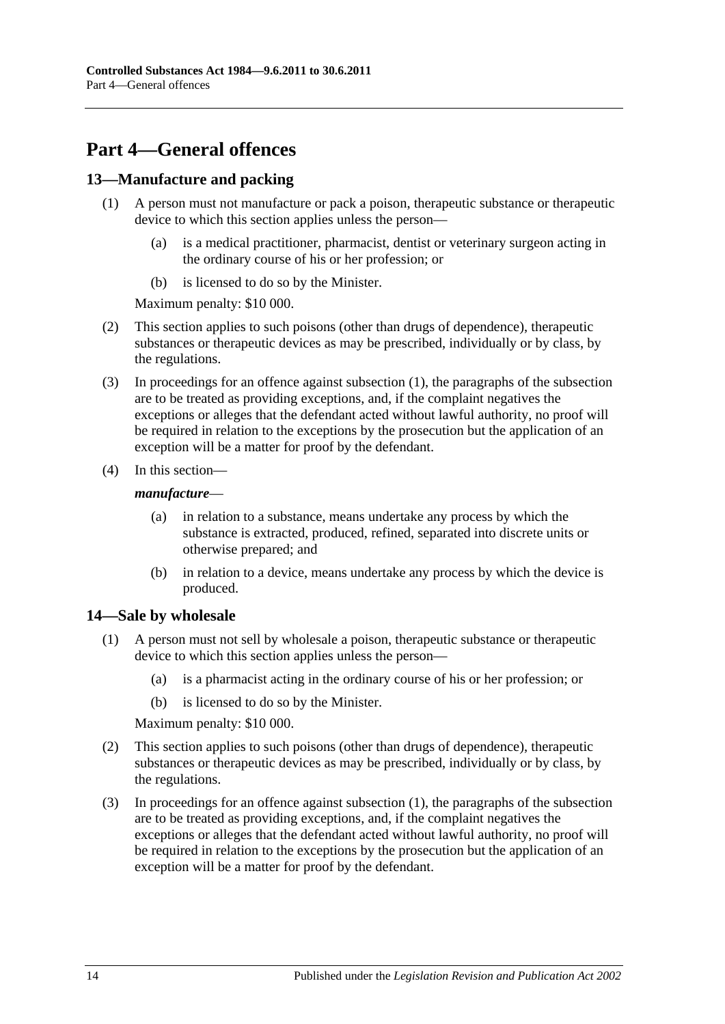## <span id="page-13-0"></span>**Part 4—General offences**

## <span id="page-13-3"></span><span id="page-13-1"></span>**13—Manufacture and packing**

- (1) A person must not manufacture or pack a poison, therapeutic substance or therapeutic device to which this section applies unless the person—
	- (a) is a medical practitioner, pharmacist, dentist or veterinary surgeon acting in the ordinary course of his or her profession; or
	- (b) is licensed to do so by the Minister.

Maximum penalty: \$10 000.

- (2) This section applies to such poisons (other than drugs of dependence), therapeutic substances or therapeutic devices as may be prescribed, individually or by class, by the regulations.
- (3) In proceedings for an offence against [subsection](#page-13-3) (1), the paragraphs of the subsection are to be treated as providing exceptions, and, if the complaint negatives the exceptions or alleges that the defendant acted without lawful authority, no proof will be required in relation to the exceptions by the prosecution but the application of an exception will be a matter for proof by the defendant.
- (4) In this section—

#### *manufacture*—

- (a) in relation to a substance, means undertake any process by which the substance is extracted, produced, refined, separated into discrete units or otherwise prepared; and
- (b) in relation to a device, means undertake any process by which the device is produced.

## <span id="page-13-4"></span><span id="page-13-2"></span>**14—Sale by wholesale**

- (1) A person must not sell by wholesale a poison, therapeutic substance or therapeutic device to which this section applies unless the person—
	- (a) is a pharmacist acting in the ordinary course of his or her profession; or
	- (b) is licensed to do so by the Minister.

Maximum penalty: \$10 000.

- (2) This section applies to such poisons (other than drugs of dependence), therapeutic substances or therapeutic devices as may be prescribed, individually or by class, by the regulations.
- (3) In proceedings for an offence against [subsection](#page-13-4) (1), the paragraphs of the subsection are to be treated as providing exceptions, and, if the complaint negatives the exceptions or alleges that the defendant acted without lawful authority, no proof will be required in relation to the exceptions by the prosecution but the application of an exception will be a matter for proof by the defendant.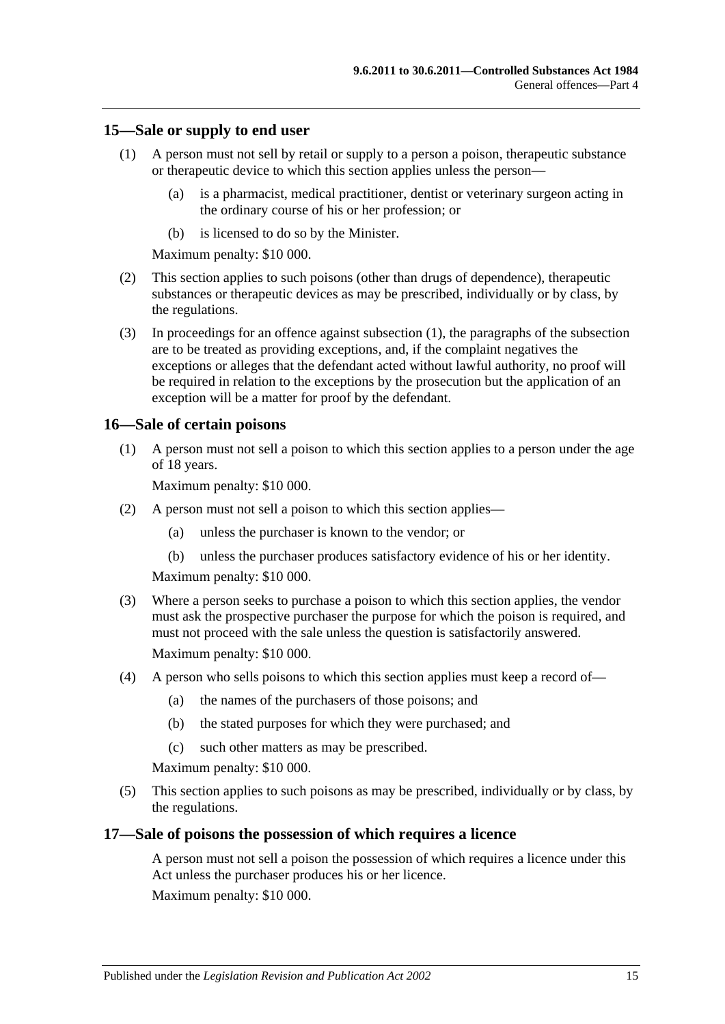### <span id="page-14-3"></span><span id="page-14-0"></span>**15—Sale or supply to end user**

- (1) A person must not sell by retail or supply to a person a poison, therapeutic substance or therapeutic device to which this section applies unless the person—
	- (a) is a pharmacist, medical practitioner, dentist or veterinary surgeon acting in the ordinary course of his or her profession; or
	- (b) is licensed to do so by the Minister.

Maximum penalty: \$10 000.

- (2) This section applies to such poisons (other than drugs of dependence), therapeutic substances or therapeutic devices as may be prescribed, individually or by class, by the regulations.
- (3) In proceedings for an offence against [subsection](#page-14-3) (1), the paragraphs of the subsection are to be treated as providing exceptions, and, if the complaint negatives the exceptions or alleges that the defendant acted without lawful authority, no proof will be required in relation to the exceptions by the prosecution but the application of an exception will be a matter for proof by the defendant.

#### <span id="page-14-1"></span>**16—Sale of certain poisons**

(1) A person must not sell a poison to which this section applies to a person under the age of 18 years.

Maximum penalty: \$10 000.

- (2) A person must not sell a poison to which this section applies—
	- (a) unless the purchaser is known to the vendor; or
	- (b) unless the purchaser produces satisfactory evidence of his or her identity.

Maximum penalty: \$10 000.

- (3) Where a person seeks to purchase a poison to which this section applies, the vendor must ask the prospective purchaser the purpose for which the poison is required, and must not proceed with the sale unless the question is satisfactorily answered. Maximum penalty: \$10 000.
- (4) A person who sells poisons to which this section applies must keep a record of—
	- (a) the names of the purchasers of those poisons; and
	- (b) the stated purposes for which they were purchased; and
	- (c) such other matters as may be prescribed.

Maximum penalty: \$10 000.

(5) This section applies to such poisons as may be prescribed, individually or by class, by the regulations.

#### <span id="page-14-2"></span>**17—Sale of poisons the possession of which requires a licence**

A person must not sell a poison the possession of which requires a licence under this Act unless the purchaser produces his or her licence.

Maximum penalty: \$10 000.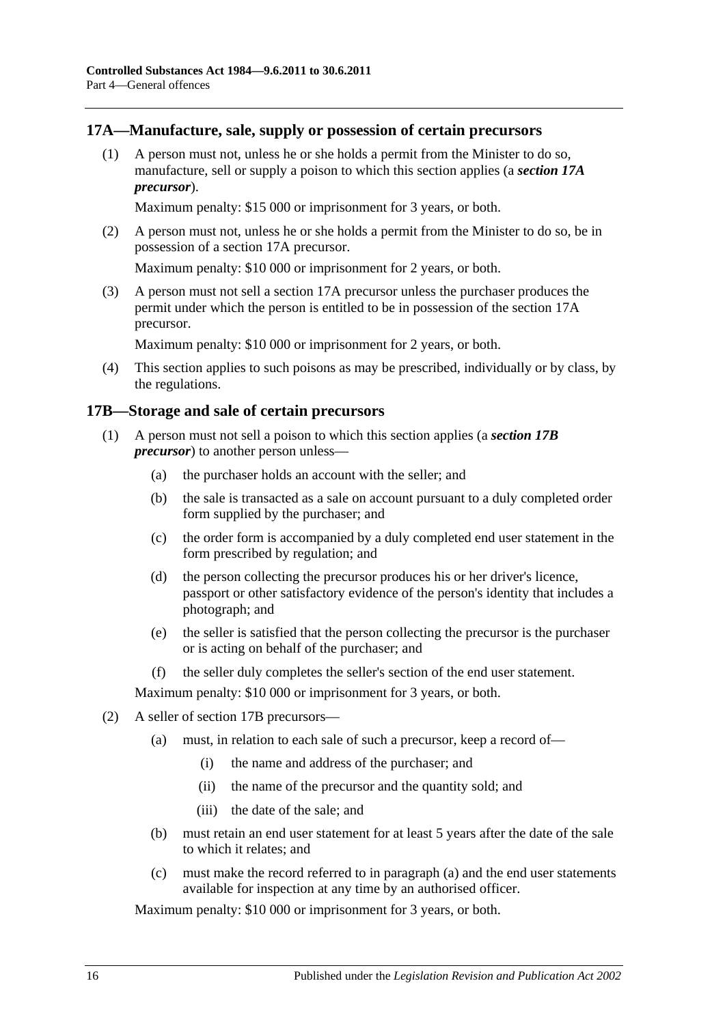### <span id="page-15-0"></span>**17A—Manufacture, sale, supply or possession of certain precursors**

(1) A person must not, unless he or she holds a permit from the Minister to do so, manufacture, sell or supply a poison to which this section applies (a *section 17A precursor*).

Maximum penalty: \$15 000 or imprisonment for 3 years, or both.

(2) A person must not, unless he or she holds a permit from the Minister to do so, be in possession of a section 17A precursor.

Maximum penalty: \$10 000 or imprisonment for 2 years, or both.

(3) A person must not sell a section 17A precursor unless the purchaser produces the permit under which the person is entitled to be in possession of the section 17A precursor.

Maximum penalty: \$10 000 or imprisonment for 2 years, or both.

(4) This section applies to such poisons as may be prescribed, individually or by class, by the regulations.

#### <span id="page-15-1"></span>**17B—Storage and sale of certain precursors**

- (1) A person must not sell a poison to which this section applies (a *section 17B precursor*) to another person unless—
	- (a) the purchaser holds an account with the seller; and
	- (b) the sale is transacted as a sale on account pursuant to a duly completed order form supplied by the purchaser; and
	- (c) the order form is accompanied by a duly completed end user statement in the form prescribed by regulation; and
	- (d) the person collecting the precursor produces his or her driver's licence, passport or other satisfactory evidence of the person's identity that includes a photograph; and
	- (e) the seller is satisfied that the person collecting the precursor is the purchaser or is acting on behalf of the purchaser; and
	- (f) the seller duly completes the seller's section of the end user statement.

Maximum penalty: \$10 000 or imprisonment for 3 years, or both.

- <span id="page-15-2"></span>(2) A seller of section 17B precursors—
	- (a) must, in relation to each sale of such a precursor, keep a record of—
		- (i) the name and address of the purchaser; and
		- (ii) the name of the precursor and the quantity sold; and
		- (iii) the date of the sale; and
	- (b) must retain an end user statement for at least 5 years after the date of the sale to which it relates; and
	- (c) must make the record referred to in [paragraph](#page-15-2) (a) and the end user statements available for inspection at any time by an authorised officer.

Maximum penalty: \$10 000 or imprisonment for 3 years, or both.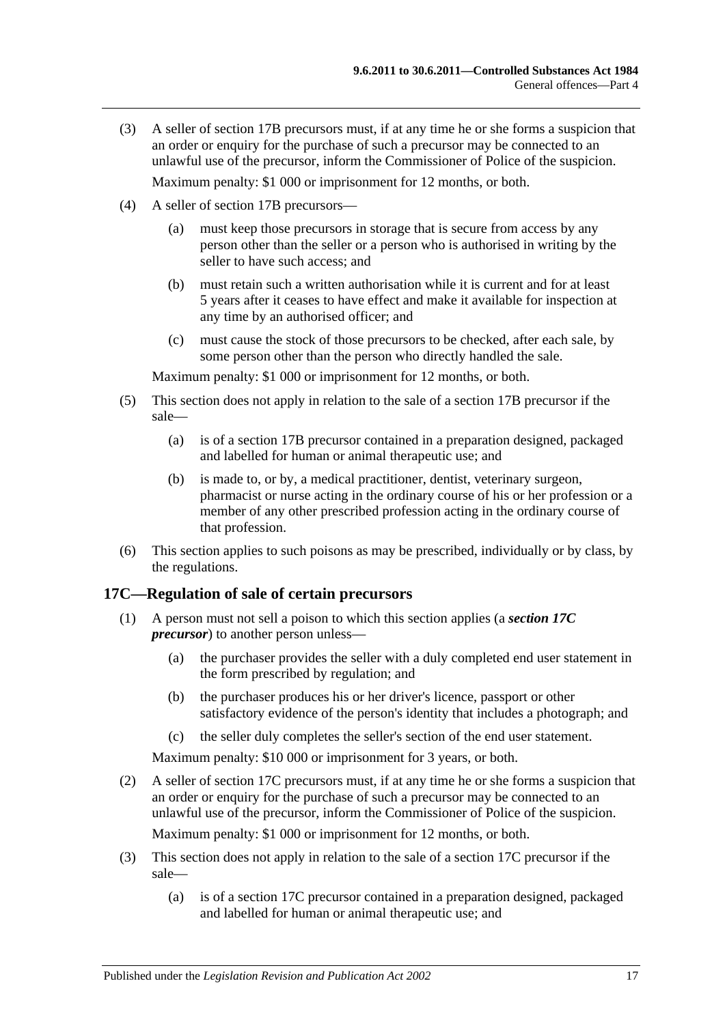- (3) A seller of section 17B precursors must, if at any time he or she forms a suspicion that an order or enquiry for the purchase of such a precursor may be connected to an unlawful use of the precursor, inform the Commissioner of Police of the suspicion. Maximum penalty: \$1 000 or imprisonment for 12 months, or both.
- (4) A seller of section 17B precursors—
	- (a) must keep those precursors in storage that is secure from access by any person other than the seller or a person who is authorised in writing by the seller to have such access: and
	- (b) must retain such a written authorisation while it is current and for at least 5 years after it ceases to have effect and make it available for inspection at any time by an authorised officer; and
	- (c) must cause the stock of those precursors to be checked, after each sale, by some person other than the person who directly handled the sale.

Maximum penalty: \$1 000 or imprisonment for 12 months, or both.

- (5) This section does not apply in relation to the sale of a section 17B precursor if the sale—
	- (a) is of a section 17B precursor contained in a preparation designed, packaged and labelled for human or animal therapeutic use; and
	- (b) is made to, or by, a medical practitioner, dentist, veterinary surgeon, pharmacist or nurse acting in the ordinary course of his or her profession or a member of any other prescribed profession acting in the ordinary course of that profession.
- (6) This section applies to such poisons as may be prescribed, individually or by class, by the regulations.

## <span id="page-16-0"></span>**17C—Regulation of sale of certain precursors**

- (1) A person must not sell a poison to which this section applies (a *section 17C precursor*) to another person unless—
	- (a) the purchaser provides the seller with a duly completed end user statement in the form prescribed by regulation; and
	- (b) the purchaser produces his or her driver's licence, passport or other satisfactory evidence of the person's identity that includes a photograph; and
	- (c) the seller duly completes the seller's section of the end user statement.

Maximum penalty: \$10 000 or imprisonment for 3 years, or both.

(2) A seller of section 17C precursors must, if at any time he or she forms a suspicion that an order or enquiry for the purchase of such a precursor may be connected to an unlawful use of the precursor, inform the Commissioner of Police of the suspicion.

Maximum penalty: \$1 000 or imprisonment for 12 months, or both.

- (3) This section does not apply in relation to the sale of a section 17C precursor if the sale—
	- (a) is of a section 17C precursor contained in a preparation designed, packaged and labelled for human or animal therapeutic use; and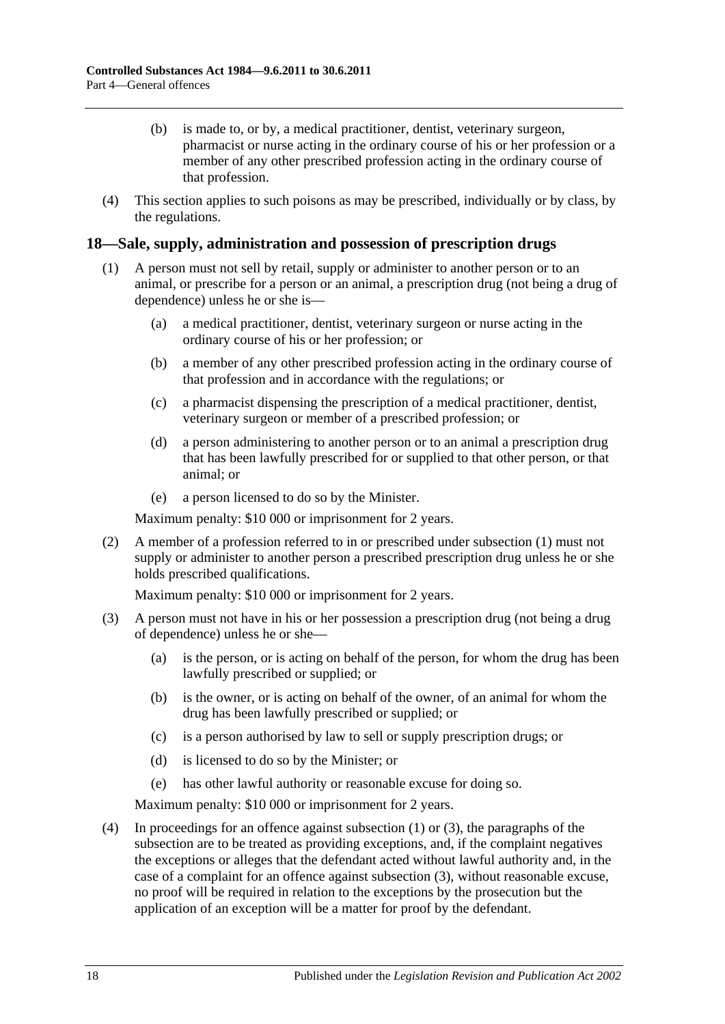- (b) is made to, or by, a medical practitioner, dentist, veterinary surgeon, pharmacist or nurse acting in the ordinary course of his or her profession or a member of any other prescribed profession acting in the ordinary course of that profession.
- (4) This section applies to such poisons as may be prescribed, individually or by class, by the regulations.

## <span id="page-17-1"></span><span id="page-17-0"></span>**18—Sale, supply, administration and possession of prescription drugs**

- (1) A person must not sell by retail, supply or administer to another person or to an animal, or prescribe for a person or an animal, a prescription drug (not being a drug of dependence) unless he or she is—
	- (a) a medical practitioner, dentist, veterinary surgeon or nurse acting in the ordinary course of his or her profession; or
	- (b) a member of any other prescribed profession acting in the ordinary course of that profession and in accordance with the regulations; or
	- (c) a pharmacist dispensing the prescription of a medical practitioner, dentist, veterinary surgeon or member of a prescribed profession; or
	- (d) a person administering to another person or to an animal a prescription drug that has been lawfully prescribed for or supplied to that other person, or that animal; or
	- (e) a person licensed to do so by the Minister.

Maximum penalty: \$10 000 or imprisonment for 2 years.

(2) A member of a profession referred to in or prescribed under [subsection](#page-17-1) (1) must not supply or administer to another person a prescribed prescription drug unless he or she holds prescribed qualifications.

Maximum penalty: \$10 000 or imprisonment for 2 years.

- <span id="page-17-2"></span>(3) A person must not have in his or her possession a prescription drug (not being a drug of dependence) unless he or she—
	- (a) is the person, or is acting on behalf of the person, for whom the drug has been lawfully prescribed or supplied; or
	- (b) is the owner, or is acting on behalf of the owner, of an animal for whom the drug has been lawfully prescribed or supplied; or
	- (c) is a person authorised by law to sell or supply prescription drugs; or
	- (d) is licensed to do so by the Minister; or
	- (e) has other lawful authority or reasonable excuse for doing so.

Maximum penalty: \$10 000 or imprisonment for 2 years.

(4) In proceedings for an offence against [subsection](#page-17-1) (1) or [\(3\),](#page-17-2) the paragraphs of the subsection are to be treated as providing exceptions, and, if the complaint negatives the exceptions or alleges that the defendant acted without lawful authority and, in the case of a complaint for an offence against [subsection](#page-17-2) (3), without reasonable excuse, no proof will be required in relation to the exceptions by the prosecution but the application of an exception will be a matter for proof by the defendant.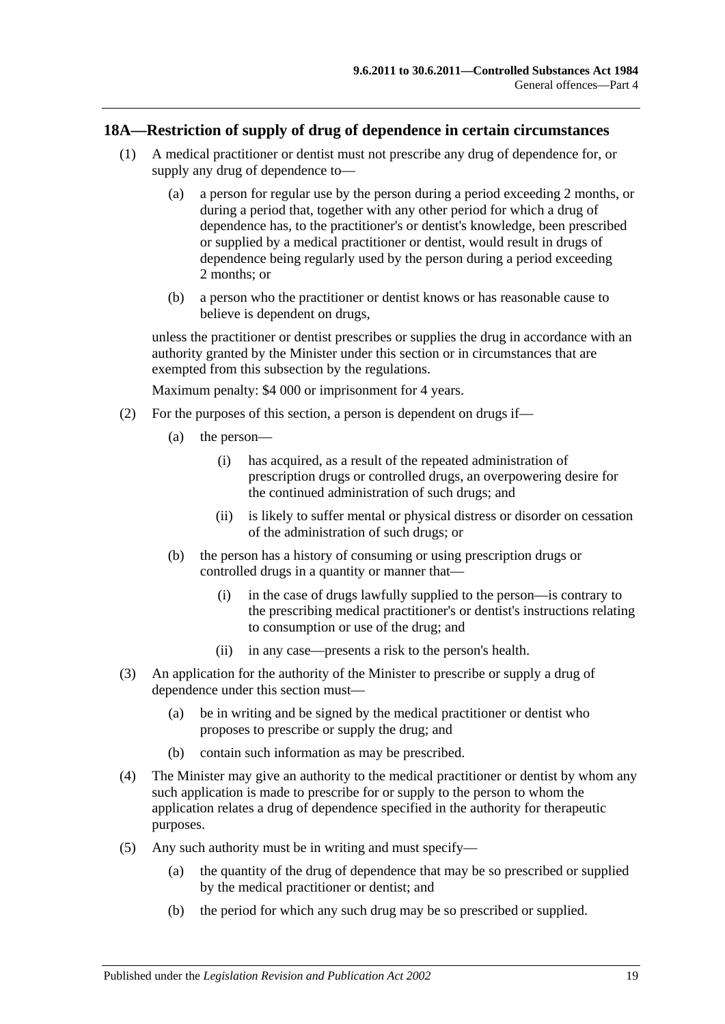#### <span id="page-18-0"></span>**18A—Restriction of supply of drug of dependence in certain circumstances**

- (1) A medical practitioner or dentist must not prescribe any drug of dependence for, or supply any drug of dependence to—
	- (a) a person for regular use by the person during a period exceeding 2 months, or during a period that, together with any other period for which a drug of dependence has, to the practitioner's or dentist's knowledge, been prescribed or supplied by a medical practitioner or dentist, would result in drugs of dependence being regularly used by the person during a period exceeding 2 months; or
	- (b) a person who the practitioner or dentist knows or has reasonable cause to believe is dependent on drugs,

unless the practitioner or dentist prescribes or supplies the drug in accordance with an authority granted by the Minister under this section or in circumstances that are exempted from this subsection by the regulations.

Maximum penalty: \$4 000 or imprisonment for 4 years.

- (2) For the purposes of this section, a person is dependent on drugs if—
	- (a) the person—
		- (i) has acquired, as a result of the repeated administration of prescription drugs or controlled drugs, an overpowering desire for the continued administration of such drugs; and
		- (ii) is likely to suffer mental or physical distress or disorder on cessation of the administration of such drugs; or
	- (b) the person has a history of consuming or using prescription drugs or controlled drugs in a quantity or manner that—
		- (i) in the case of drugs lawfully supplied to the person—is contrary to the prescribing medical practitioner's or dentist's instructions relating to consumption or use of the drug; and
		- (ii) in any case—presents a risk to the person's health.
- (3) An application for the authority of the Minister to prescribe or supply a drug of dependence under this section must—
	- (a) be in writing and be signed by the medical practitioner or dentist who proposes to prescribe or supply the drug; and
	- (b) contain such information as may be prescribed.
- (4) The Minister may give an authority to the medical practitioner or dentist by whom any such application is made to prescribe for or supply to the person to whom the application relates a drug of dependence specified in the authority for therapeutic purposes.
- (5) Any such authority must be in writing and must specify—
	- (a) the quantity of the drug of dependence that may be so prescribed or supplied by the medical practitioner or dentist; and
	- (b) the period for which any such drug may be so prescribed or supplied.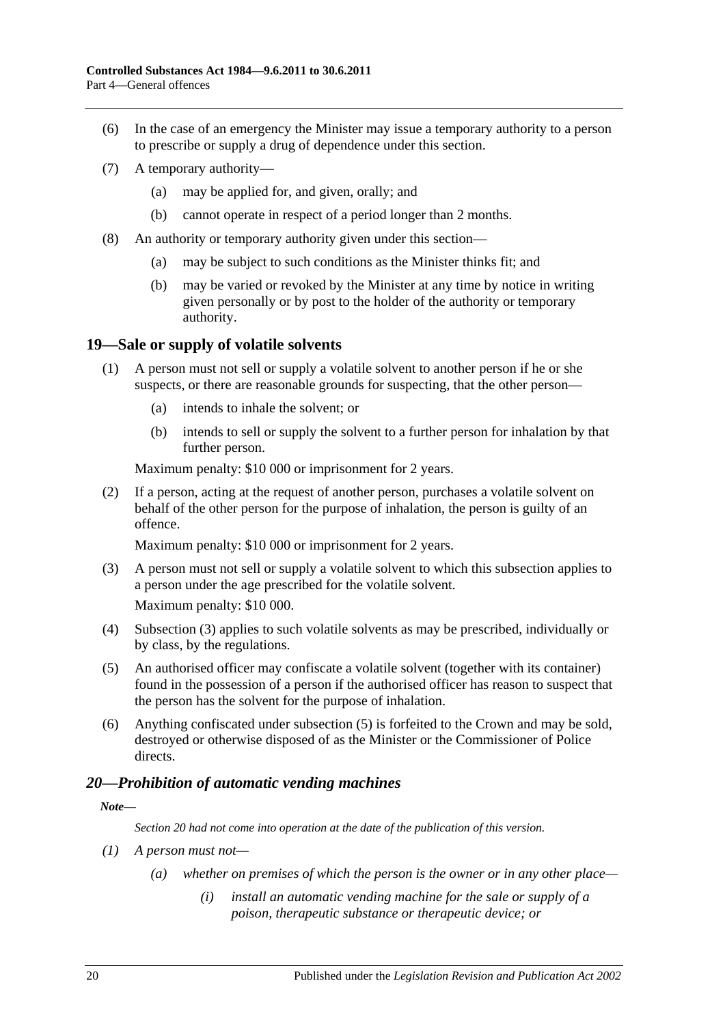- (6) In the case of an emergency the Minister may issue a temporary authority to a person to prescribe or supply a drug of dependence under this section.
- (7) A temporary authority—
	- (a) may be applied for, and given, orally; and
	- (b) cannot operate in respect of a period longer than 2 months.
- (8) An authority or temporary authority given under this section—
	- (a) may be subject to such conditions as the Minister thinks fit; and
	- (b) may be varied or revoked by the Minister at any time by notice in writing given personally or by post to the holder of the authority or temporary authority.

## <span id="page-19-0"></span>**19—Sale or supply of volatile solvents**

- (1) A person must not sell or supply a volatile solvent to another person if he or she suspects, or there are reasonable grounds for suspecting, that the other person—
	- (a) intends to inhale the solvent; or
	- (b) intends to sell or supply the solvent to a further person for inhalation by that further person.

Maximum penalty: \$10 000 or imprisonment for 2 years.

(2) If a person, acting at the request of another person, purchases a volatile solvent on behalf of the other person for the purpose of inhalation, the person is guilty of an offence.

Maximum penalty: \$10 000 or imprisonment for 2 years.

<span id="page-19-2"></span>(3) A person must not sell or supply a volatile solvent to which this subsection applies to a person under the age prescribed for the volatile solvent.

Maximum penalty: \$10 000.

- (4) [Subsection](#page-19-2) (3) applies to such volatile solvents as may be prescribed, individually or by class, by the regulations.
- <span id="page-19-3"></span>(5) An authorised officer may confiscate a volatile solvent (together with its container) found in the possession of a person if the authorised officer has reason to suspect that the person has the solvent for the purpose of inhalation.
- (6) Anything confiscated under [subsection](#page-19-3) (5) is forfeited to the Crown and may be sold, destroyed or otherwise disposed of as the Minister or the Commissioner of Police directs.

## <span id="page-19-1"></span>*20—Prohibition of automatic vending machines*

#### *Note—*

*Section 20 had not come into operation at the date of the publication of this version.*

- *(1) A person must not—*
	- *(a) whether on premises of which the person is the owner or in any other place—*
		- *(i) install an automatic vending machine for the sale or supply of a poison, therapeutic substance or therapeutic device; or*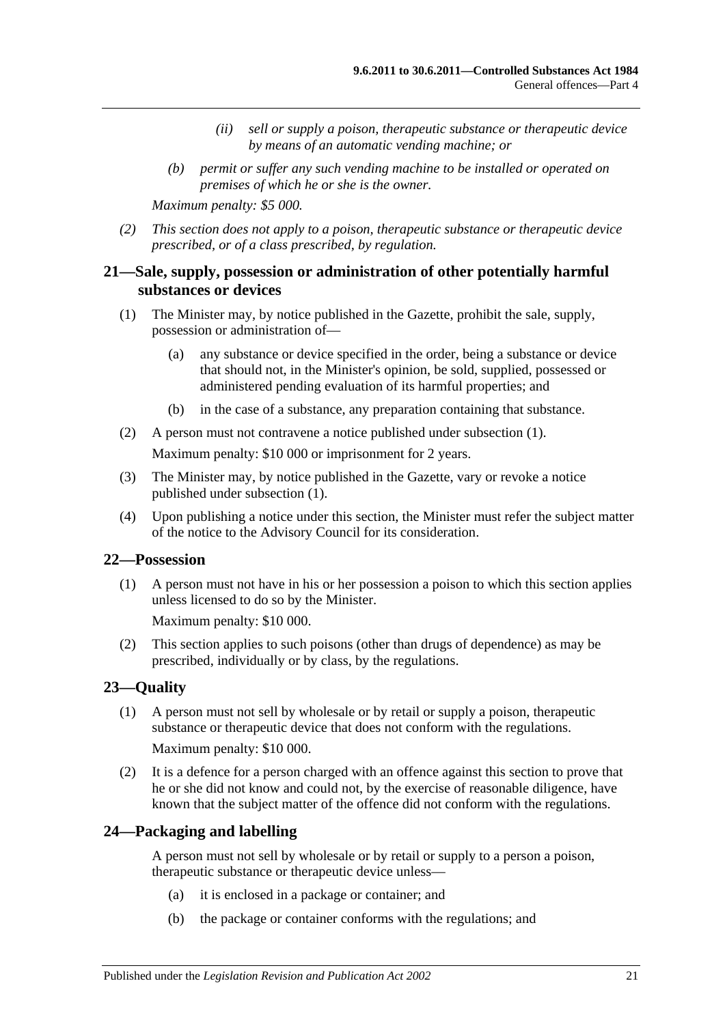- *(ii) sell or supply a poison, therapeutic substance or therapeutic device by means of an automatic vending machine; or*
- *(b) permit or suffer any such vending machine to be installed or operated on premises of which he or she is the owner.*

*Maximum penalty: \$5 000.*

*(2) This section does not apply to a poison, therapeutic substance or therapeutic device prescribed, or of a class prescribed, by regulation.*

## <span id="page-20-0"></span>**21—Sale, supply, possession or administration of other potentially harmful substances or devices**

- <span id="page-20-4"></span>(1) The Minister may, by notice published in the Gazette, prohibit the sale, supply, possession or administration of—
	- (a) any substance or device specified in the order, being a substance or device that should not, in the Minister's opinion, be sold, supplied, possessed or administered pending evaluation of its harmful properties; and
	- (b) in the case of a substance, any preparation containing that substance.
- (2) A person must not contravene a notice published under [subsection](#page-20-4) (1). Maximum penalty: \$10 000 or imprisonment for 2 years.
- (3) The Minister may, by notice published in the Gazette, vary or revoke a notice published under [subsection](#page-20-4) (1).
- (4) Upon publishing a notice under this section, the Minister must refer the subject matter of the notice to the Advisory Council for its consideration.

#### <span id="page-20-1"></span>**22—Possession**

(1) A person must not have in his or her possession a poison to which this section applies unless licensed to do so by the Minister.

Maximum penalty: \$10 000.

(2) This section applies to such poisons (other than drugs of dependence) as may be prescribed, individually or by class, by the regulations.

## <span id="page-20-2"></span>**23—Quality**

(1) A person must not sell by wholesale or by retail or supply a poison, therapeutic substance or therapeutic device that does not conform with the regulations. Maximum penalty: \$10 000.

(2) It is a defence for a person charged with an offence against this section to prove that he or she did not know and could not, by the exercise of reasonable diligence, have known that the subject matter of the offence did not conform with the regulations.

#### <span id="page-20-3"></span>**24—Packaging and labelling**

A person must not sell by wholesale or by retail or supply to a person a poison, therapeutic substance or therapeutic device unless—

- (a) it is enclosed in a package or container; and
- (b) the package or container conforms with the regulations; and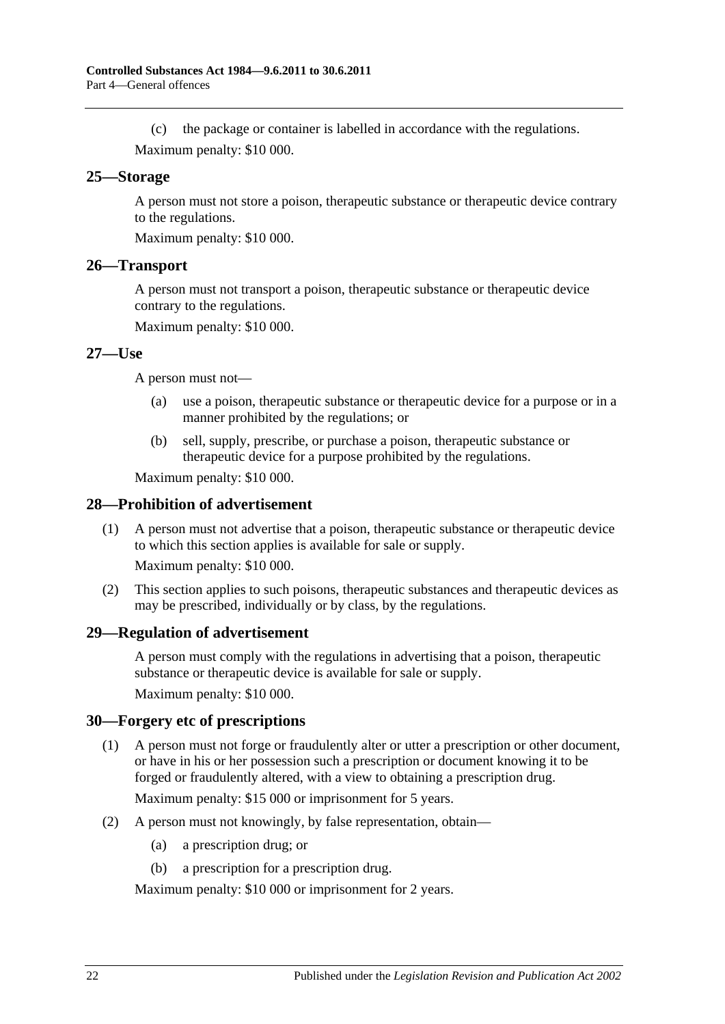(c) the package or container is labelled in accordance with the regulations. Maximum penalty: \$10 000.

#### <span id="page-21-0"></span>**25—Storage**

A person must not store a poison, therapeutic substance or therapeutic device contrary to the regulations.

Maximum penalty: \$10 000.

#### <span id="page-21-1"></span>**26—Transport**

A person must not transport a poison, therapeutic substance or therapeutic device contrary to the regulations.

Maximum penalty: \$10 000.

#### <span id="page-21-2"></span>**27—Use**

A person must not—

- (a) use a poison, therapeutic substance or therapeutic device for a purpose or in a manner prohibited by the regulations; or
- (b) sell, supply, prescribe, or purchase a poison, therapeutic substance or therapeutic device for a purpose prohibited by the regulations.

Maximum penalty: \$10 000.

#### <span id="page-21-3"></span>**28—Prohibition of advertisement**

(1) A person must not advertise that a poison, therapeutic substance or therapeutic device to which this section applies is available for sale or supply.

Maximum penalty: \$10 000.

(2) This section applies to such poisons, therapeutic substances and therapeutic devices as may be prescribed, individually or by class, by the regulations.

#### <span id="page-21-4"></span>**29—Regulation of advertisement**

A person must comply with the regulations in advertising that a poison, therapeutic substance or therapeutic device is available for sale or supply.

Maximum penalty: \$10 000.

#### <span id="page-21-5"></span>**30—Forgery etc of prescriptions**

(1) A person must not forge or fraudulently alter or utter a prescription or other document, or have in his or her possession such a prescription or document knowing it to be forged or fraudulently altered, with a view to obtaining a prescription drug.

Maximum penalty: \$15 000 or imprisonment for 5 years.

- (2) A person must not knowingly, by false representation, obtain—
	- (a) a prescription drug; or
	- (b) a prescription for a prescription drug.

Maximum penalty: \$10 000 or imprisonment for 2 years.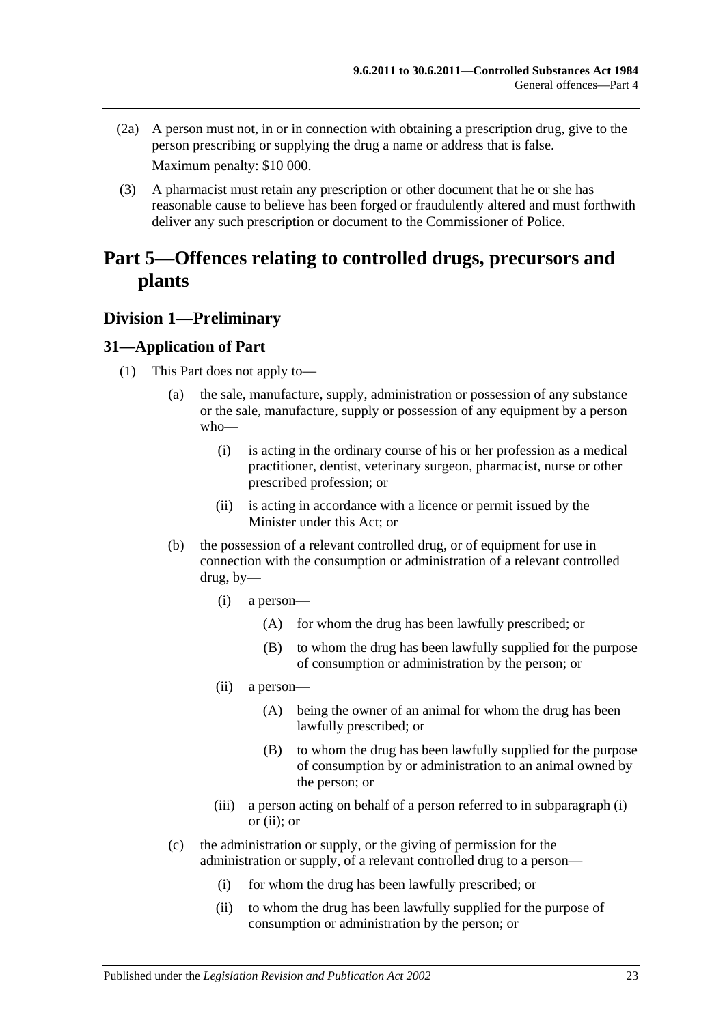- (2a) A person must not, in or in connection with obtaining a prescription drug, give to the person prescribing or supplying the drug a name or address that is false. Maximum penalty: \$10 000.
- (3) A pharmacist must retain any prescription or other document that he or she has reasonable cause to believe has been forged or fraudulently altered and must forthwith deliver any such prescription or document to the Commissioner of Police.

## <span id="page-22-0"></span>**Part 5—Offences relating to controlled drugs, precursors and plants**

## <span id="page-22-1"></span>**Division 1—Preliminary**

## <span id="page-22-5"></span><span id="page-22-2"></span>**31—Application of Part**

- <span id="page-22-4"></span><span id="page-22-3"></span>(1) This Part does not apply to—
	- (a) the sale, manufacture, supply, administration or possession of any substance or the sale, manufacture, supply or possession of any equipment by a person who—
		- (i) is acting in the ordinary course of his or her profession as a medical practitioner, dentist, veterinary surgeon, pharmacist, nurse or other prescribed profession; or
		- (ii) is acting in accordance with a licence or permit issued by the Minister under this Act; or
	- (b) the possession of a relevant controlled drug, or of equipment for use in connection with the consumption or administration of a relevant controlled drug, by—
		- (i) a person—
			- (A) for whom the drug has been lawfully prescribed; or
			- (B) to whom the drug has been lawfully supplied for the purpose of consumption or administration by the person; or
		- (ii) a person—
			- (A) being the owner of an animal for whom the drug has been lawfully prescribed; or
			- (B) to whom the drug has been lawfully supplied for the purpose of consumption by or administration to an animal owned by the person; or
		- (iii) a person acting on behalf of a person referred to in [subparagraph](#page-22-3) (i) or [\(ii\);](#page-22-4) or
	- (c) the administration or supply, or the giving of permission for the administration or supply, of a relevant controlled drug to a person—
		- (i) for whom the drug has been lawfully prescribed; or
		- (ii) to whom the drug has been lawfully supplied for the purpose of consumption or administration by the person; or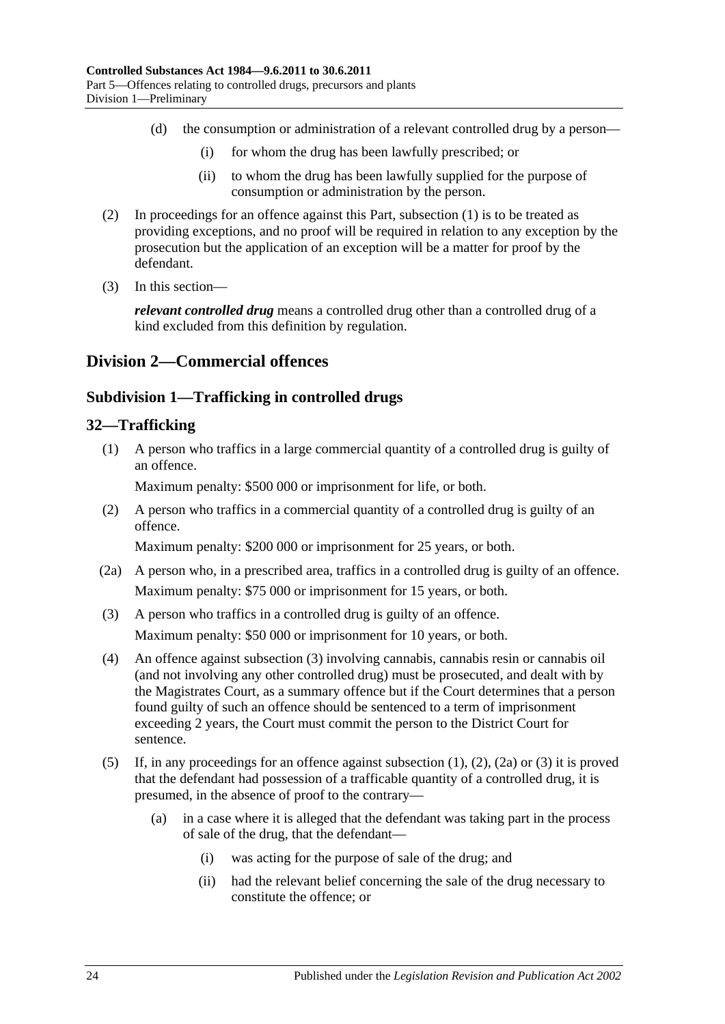- (d) the consumption or administration of a relevant controlled drug by a person—
	- (i) for whom the drug has been lawfully prescribed; or
	- (ii) to whom the drug has been lawfully supplied for the purpose of consumption or administration by the person.
- (2) In proceedings for an offence against this Part, [subsection](#page-22-5) (1) is to be treated as providing exceptions, and no proof will be required in relation to any exception by the prosecution but the application of an exception will be a matter for proof by the defendant.
- (3) In this section—

*relevant controlled drug* means a controlled drug other than a controlled drug of a kind excluded from this definition by regulation.

## <span id="page-23-1"></span><span id="page-23-0"></span>**Division 2—Commercial offences**

## **Subdivision 1—Trafficking in controlled drugs**

## <span id="page-23-4"></span><span id="page-23-2"></span>**32—Trafficking**

(1) A person who traffics in a large commercial quantity of a controlled drug is guilty of an offence.

Maximum penalty: \$500 000 or imprisonment for life, or both.

<span id="page-23-5"></span>(2) A person who traffics in a commercial quantity of a controlled drug is guilty of an offence.

Maximum penalty: \$200 000 or imprisonment for 25 years, or both.

- <span id="page-23-6"></span>(2a) A person who, in a prescribed area, traffics in a controlled drug is guilty of an offence. Maximum penalty: \$75 000 or imprisonment for 15 years, or both.
- <span id="page-23-3"></span>(3) A person who traffics in a controlled drug is guilty of an offence. Maximum penalty: \$50 000 or imprisonment for 10 years, or both.
- (4) An offence against [subsection](#page-23-3) (3) involving cannabis, cannabis resin or cannabis oil (and not involving any other controlled drug) must be prosecuted, and dealt with by the Magistrates Court, as a summary offence but if the Court determines that a person found guilty of such an offence should be sentenced to a term of imprisonment exceeding 2 years, the Court must commit the person to the District Court for sentence.
- <span id="page-23-7"></span>(5) If, in any proceedings for an offence against [subsection](#page-23-4) (1), [\(2\),](#page-23-5) [\(2a\)](#page-23-6) or [\(3\)](#page-23-3) it is proved that the defendant had possession of a trafficable quantity of a controlled drug, it is presumed, in the absence of proof to the contrary—
	- (a) in a case where it is alleged that the defendant was taking part in the process of sale of the drug, that the defendant—
		- (i) was acting for the purpose of sale of the drug; and
		- (ii) had the relevant belief concerning the sale of the drug necessary to constitute the offence; or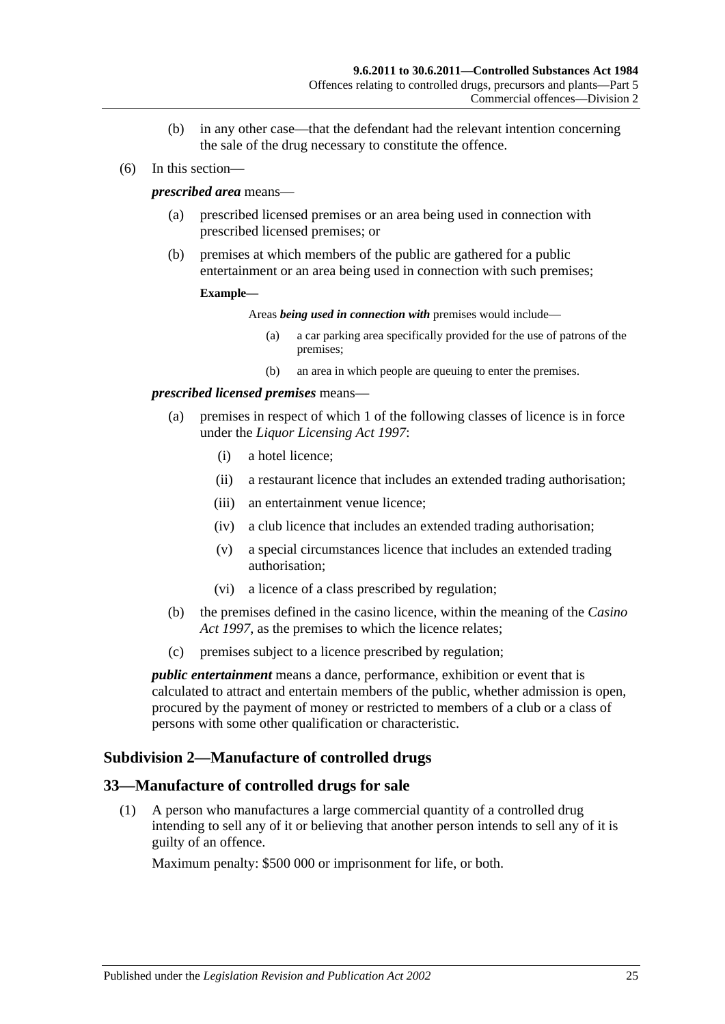- (b) in any other case—that the defendant had the relevant intention concerning the sale of the drug necessary to constitute the offence.
- (6) In this section—

#### *prescribed area* means—

- (a) prescribed licensed premises or an area being used in connection with prescribed licensed premises; or
- (b) premises at which members of the public are gathered for a public entertainment or an area being used in connection with such premises;

#### **Example—**

Areas *being used in connection with* premises would include—

- (a) a car parking area specifically provided for the use of patrons of the premises;
- (b) an area in which people are queuing to enter the premises.

#### *prescribed licensed premises* means—

- (a) premises in respect of which 1 of the following classes of licence is in force under the *[Liquor Licensing Act](http://www.legislation.sa.gov.au/index.aspx?action=legref&type=act&legtitle=Liquor%20Licensing%20Act%201997) 1997*:
	- (i) a hotel licence;
	- (ii) a restaurant licence that includes an extended trading authorisation;
	- (iii) an entertainment venue licence;
	- (iv) a club licence that includes an extended trading authorisation;
	- (v) a special circumstances licence that includes an extended trading authorisation;
	- (vi) a licence of a class prescribed by regulation;
- (b) the premises defined in the casino licence, within the meaning of the *[Casino](http://www.legislation.sa.gov.au/index.aspx?action=legref&type=act&legtitle=Casino%20Act%201997)  Act [1997](http://www.legislation.sa.gov.au/index.aspx?action=legref&type=act&legtitle=Casino%20Act%201997)*, as the premises to which the licence relates;
- (c) premises subject to a licence prescribed by regulation;

*public entertainment* means a dance, performance, exhibition or event that is calculated to attract and entertain members of the public, whether admission is open, procured by the payment of money or restricted to members of a club or a class of persons with some other qualification or characteristic.

## <span id="page-24-0"></span>**Subdivision 2—Manufacture of controlled drugs**

#### <span id="page-24-2"></span><span id="page-24-1"></span>**33—Manufacture of controlled drugs for sale**

(1) A person who manufactures a large commercial quantity of a controlled drug intending to sell any of it or believing that another person intends to sell any of it is guilty of an offence.

Maximum penalty: \$500 000 or imprisonment for life, or both.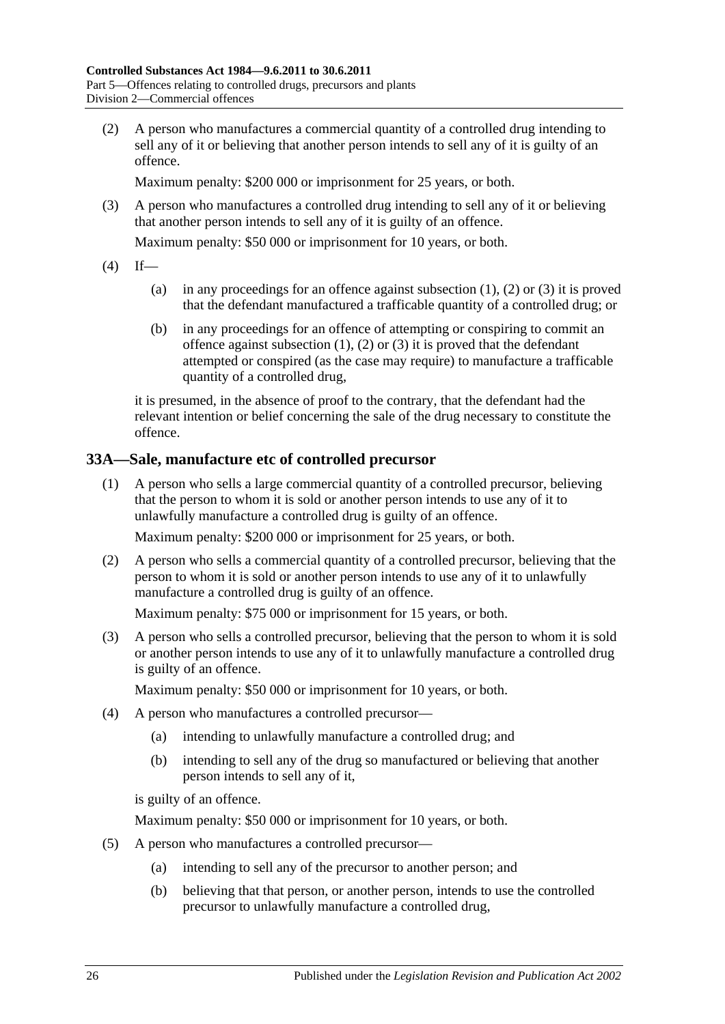<span id="page-25-1"></span>(2) A person who manufactures a commercial quantity of a controlled drug intending to sell any of it or believing that another person intends to sell any of it is guilty of an offence.

Maximum penalty: \$200 000 or imprisonment for 25 years, or both.

<span id="page-25-2"></span>(3) A person who manufactures a controlled drug intending to sell any of it or believing that another person intends to sell any of it is guilty of an offence.

Maximum penalty: \$50 000 or imprisonment for 10 years, or both.

- <span id="page-25-3"></span> $(4)$  If
	- (a) in any proceedings for an offence against [subsection](#page-24-2)  $(1)$ ,  $(2)$  or  $(3)$  it is proved that the defendant manufactured a trafficable quantity of a controlled drug; or
	- (b) in any proceedings for an offence of attempting or conspiring to commit an offence against [subsection](#page-24-2)  $(1)$ ,  $(2)$  or  $(3)$  it is proved that the defendant attempted or conspired (as the case may require) to manufacture a trafficable quantity of a controlled drug,

it is presumed, in the absence of proof to the contrary, that the defendant had the relevant intention or belief concerning the sale of the drug necessary to constitute the offence.

## <span id="page-25-0"></span>**33A—Sale, manufacture etc of controlled precursor**

(1) A person who sells a large commercial quantity of a controlled precursor, believing that the person to whom it is sold or another person intends to use any of it to unlawfully manufacture a controlled drug is guilty of an offence.

Maximum penalty: \$200 000 or imprisonment for 25 years, or both.

(2) A person who sells a commercial quantity of a controlled precursor, believing that the person to whom it is sold or another person intends to use any of it to unlawfully manufacture a controlled drug is guilty of an offence.

Maximum penalty: \$75 000 or imprisonment for 15 years, or both.

(3) A person who sells a controlled precursor, believing that the person to whom it is sold or another person intends to use any of it to unlawfully manufacture a controlled drug is guilty of an offence.

Maximum penalty: \$50 000 or imprisonment for 10 years, or both.

- (4) A person who manufactures a controlled precursor—
	- (a) intending to unlawfully manufacture a controlled drug; and
	- (b) intending to sell any of the drug so manufactured or believing that another person intends to sell any of it,

is guilty of an offence.

Maximum penalty: \$50 000 or imprisonment for 10 years, or both.

- (5) A person who manufactures a controlled precursor—
	- (a) intending to sell any of the precursor to another person; and
	- (b) believing that that person, or another person, intends to use the controlled precursor to unlawfully manufacture a controlled drug,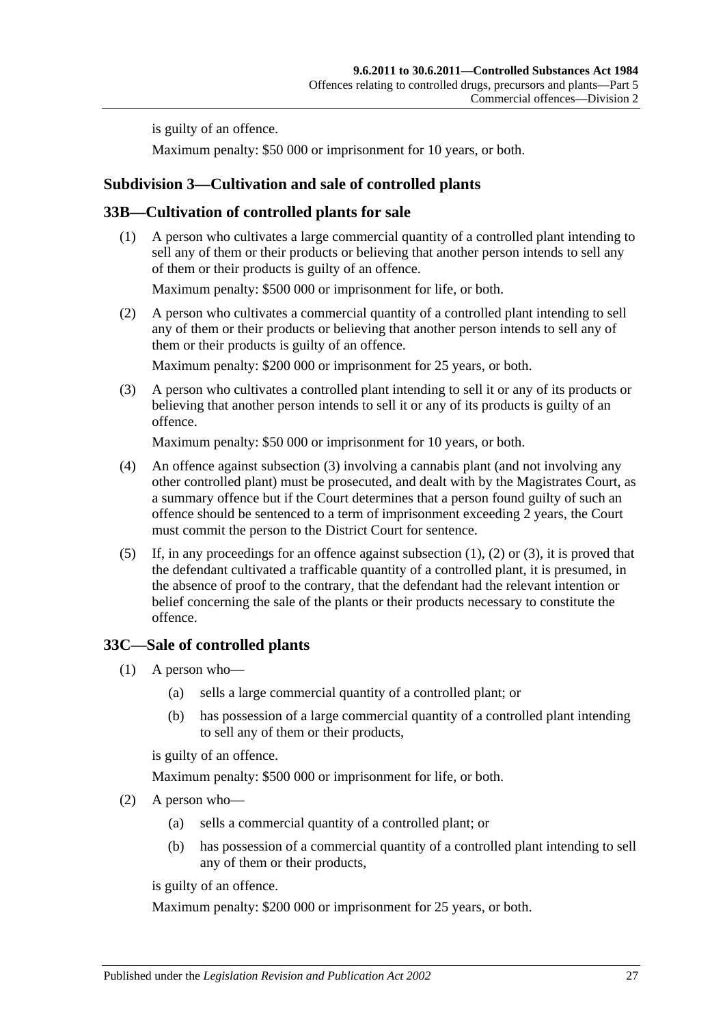is guilty of an offence.

Maximum penalty: \$50 000 or imprisonment for 10 years, or both.

## <span id="page-26-0"></span>**Subdivision 3—Cultivation and sale of controlled plants**

## <span id="page-26-4"></span><span id="page-26-1"></span>**33B—Cultivation of controlled plants for sale**

(1) A person who cultivates a large commercial quantity of a controlled plant intending to sell any of them or their products or believing that another person intends to sell any of them or their products is guilty of an offence.

Maximum penalty: \$500 000 or imprisonment for life, or both.

<span id="page-26-5"></span>(2) A person who cultivates a commercial quantity of a controlled plant intending to sell any of them or their products or believing that another person intends to sell any of them or their products is guilty of an offence.

Maximum penalty: \$200 000 or imprisonment for 25 years, or both.

<span id="page-26-3"></span>(3) A person who cultivates a controlled plant intending to sell it or any of its products or believing that another person intends to sell it or any of its products is guilty of an offence.

Maximum penalty: \$50 000 or imprisonment for 10 years, or both.

- (4) An offence against [subsection](#page-26-3) (3) involving a cannabis plant (and not involving any other controlled plant) must be prosecuted, and dealt with by the Magistrates Court, as a summary offence but if the Court determines that a person found guilty of such an offence should be sentenced to a term of imprisonment exceeding 2 years, the Court must commit the person to the District Court for sentence.
- <span id="page-26-8"></span>(5) If, in any proceedings for an offence against [subsection](#page-26-4) (1), [\(2\)](#page-26-5) or [\(3\),](#page-26-3) it is proved that the defendant cultivated a trafficable quantity of a controlled plant, it is presumed, in the absence of proof to the contrary, that the defendant had the relevant intention or belief concerning the sale of the plants or their products necessary to constitute the offence.

## <span id="page-26-6"></span><span id="page-26-2"></span>**33C—Sale of controlled plants**

- (1) A person who—
	- (a) sells a large commercial quantity of a controlled plant; or
	- (b) has possession of a large commercial quantity of a controlled plant intending to sell any of them or their products,

is guilty of an offence.

Maximum penalty: \$500 000 or imprisonment for life, or both.

- <span id="page-26-7"></span>(2) A person who—
	- (a) sells a commercial quantity of a controlled plant; or
	- (b) has possession of a commercial quantity of a controlled plant intending to sell any of them or their products,

is guilty of an offence.

Maximum penalty: \$200 000 or imprisonment for 25 years, or both.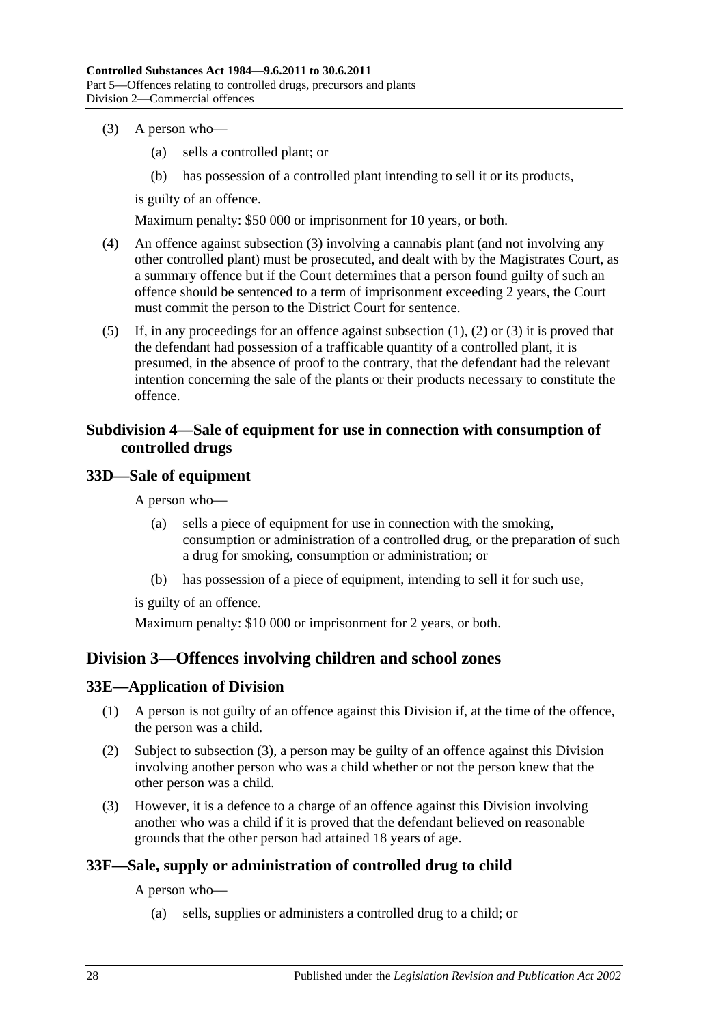- <span id="page-27-5"></span>(3) A person who—
	- (a) sells a controlled plant; or
	- (b) has possession of a controlled plant intending to sell it or its products,

is guilty of an offence.

Maximum penalty: \$50 000 or imprisonment for 10 years, or both.

- (4) An offence against [subsection](#page-27-5) (3) involving a cannabis plant (and not involving any other controlled plant) must be prosecuted, and dealt with by the Magistrates Court, as a summary offence but if the Court determines that a person found guilty of such an offence should be sentenced to a term of imprisonment exceeding 2 years, the Court must commit the person to the District Court for sentence.
- (5) If, in any proceedings for an offence against [subsection](#page-26-6) (1), [\(2\)](#page-26-7) or [\(3\)](#page-27-5) it is proved that the defendant had possession of a trafficable quantity of a controlled plant, it is presumed, in the absence of proof to the contrary, that the defendant had the relevant intention concerning the sale of the plants or their products necessary to constitute the offence.

## <span id="page-27-0"></span>**Subdivision 4—Sale of equipment for use in connection with consumption of controlled drugs**

#### <span id="page-27-1"></span>**33D—Sale of equipment**

A person who—

- (a) sells a piece of equipment for use in connection with the smoking, consumption or administration of a controlled drug, or the preparation of such a drug for smoking, consumption or administration; or
- (b) has possession of a piece of equipment, intending to sell it for such use,

is guilty of an offence.

Maximum penalty: \$10 000 or imprisonment for 2 years, or both.

## <span id="page-27-2"></span>**Division 3—Offences involving children and school zones**

#### <span id="page-27-3"></span>**33E—Application of Division**

- (1) A person is not guilty of an offence against this Division if, at the time of the offence, the person was a child.
- (2) Subject to [subsection](#page-27-6) (3), a person may be guilty of an offence against this Division involving another person who was a child whether or not the person knew that the other person was a child.
- <span id="page-27-6"></span>(3) However, it is a defence to a charge of an offence against this Division involving another who was a child if it is proved that the defendant believed on reasonable grounds that the other person had attained 18 years of age.

## <span id="page-27-4"></span>**33F—Sale, supply or administration of controlled drug to child**

A person who—

(a) sells, supplies or administers a controlled drug to a child; or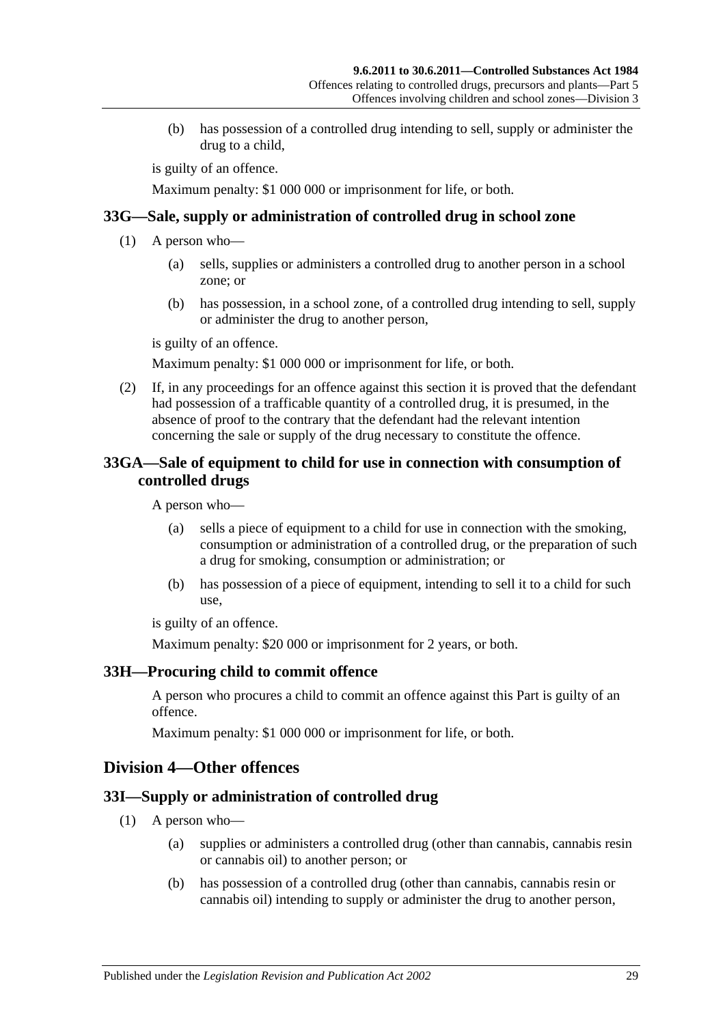(b) has possession of a controlled drug intending to sell, supply or administer the drug to a child,

is guilty of an offence.

Maximum penalty: \$1 000 000 or imprisonment for life, or both.

#### <span id="page-28-0"></span>**33G—Sale, supply or administration of controlled drug in school zone**

- (1) A person who—
	- (a) sells, supplies or administers a controlled drug to another person in a school zone; or
	- (b) has possession, in a school zone, of a controlled drug intending to sell, supply or administer the drug to another person,

is guilty of an offence.

Maximum penalty: \$1 000 000 or imprisonment for life, or both.

(2) If, in any proceedings for an offence against this section it is proved that the defendant had possession of a trafficable quantity of a controlled drug, it is presumed, in the absence of proof to the contrary that the defendant had the relevant intention concerning the sale or supply of the drug necessary to constitute the offence.

## <span id="page-28-1"></span>**33GA—Sale of equipment to child for use in connection with consumption of controlled drugs**

A person who—

- (a) sells a piece of equipment to a child for use in connection with the smoking, consumption or administration of a controlled drug, or the preparation of such a drug for smoking, consumption or administration; or
- (b) has possession of a piece of equipment, intending to sell it to a child for such use,

is guilty of an offence.

Maximum penalty: \$20 000 or imprisonment for 2 years, or both.

## <span id="page-28-2"></span>**33H—Procuring child to commit offence**

A person who procures a child to commit an offence against this Part is guilty of an offence.

Maximum penalty: \$1 000 000 or imprisonment for life, or both.

## <span id="page-28-3"></span>**Division 4—Other offences**

## <span id="page-28-4"></span>**33I—Supply or administration of controlled drug**

- (1) A person who—
	- (a) supplies or administers a controlled drug (other than cannabis, cannabis resin or cannabis oil) to another person; or
	- (b) has possession of a controlled drug (other than cannabis, cannabis resin or cannabis oil) intending to supply or administer the drug to another person,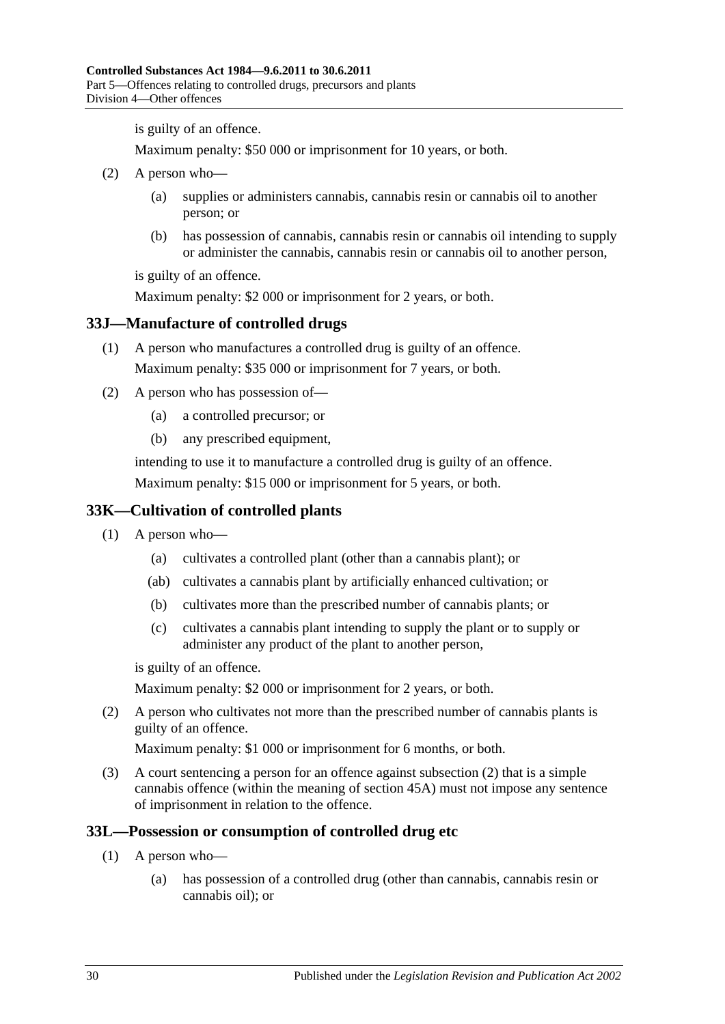is guilty of an offence.

Maximum penalty: \$50 000 or imprisonment for 10 years, or both.

- (2) A person who—
	- (a) supplies or administers cannabis, cannabis resin or cannabis oil to another person; or
	- (b) has possession of cannabis, cannabis resin or cannabis oil intending to supply or administer the cannabis, cannabis resin or cannabis oil to another person,

is guilty of an offence.

Maximum penalty: \$2 000 or imprisonment for 2 years, or both.

#### <span id="page-29-0"></span>**33J—Manufacture of controlled drugs**

- (1) A person who manufactures a controlled drug is guilty of an offence. Maximum penalty: \$35 000 or imprisonment for 7 years, or both.
- (2) A person who has possession of—
	- (a) a controlled precursor; or
	- (b) any prescribed equipment,

intending to use it to manufacture a controlled drug is guilty of an offence. Maximum penalty: \$15 000 or imprisonment for 5 years, or both.

## <span id="page-29-1"></span>**33K—Cultivation of controlled plants**

- (1) A person who—
	- (a) cultivates a controlled plant (other than a cannabis plant); or
	- (ab) cultivates a cannabis plant by artificially enhanced cultivation; or
	- (b) cultivates more than the prescribed number of cannabis plants; or
	- (c) cultivates a cannabis plant intending to supply the plant or to supply or administer any product of the plant to another person,

is guilty of an offence.

Maximum penalty: \$2 000 or imprisonment for 2 years, or both.

<span id="page-29-4"></span>(2) A person who cultivates not more than the prescribed number of cannabis plants is guilty of an offence.

Maximum penalty: \$1 000 or imprisonment for 6 months, or both.

(3) A court sentencing a person for an offence against [subsection](#page-29-4) (2) that is a simple cannabis offence (within the meaning of [section](#page-39-1) 45A) must not impose any sentence of imprisonment in relation to the offence.

### <span id="page-29-3"></span><span id="page-29-2"></span>**33L—Possession or consumption of controlled drug etc**

- (1) A person who—
	- (a) has possession of a controlled drug (other than cannabis, cannabis resin or cannabis oil); or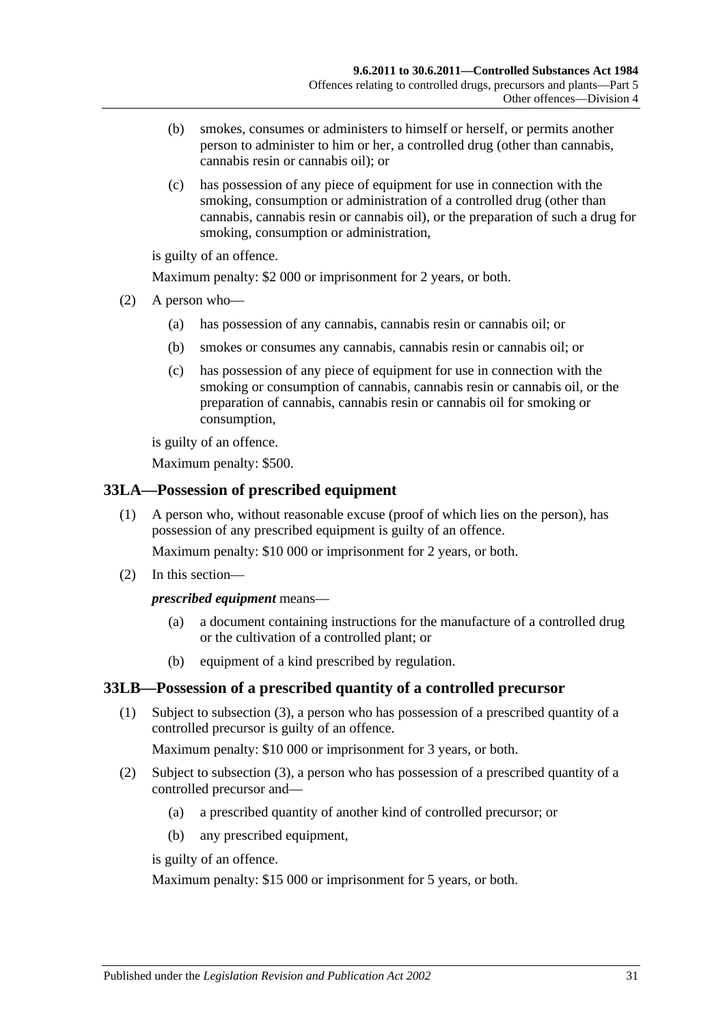- (b) smokes, consumes or administers to himself or herself, or permits another person to administer to him or her, a controlled drug (other than cannabis, cannabis resin or cannabis oil); or
- (c) has possession of any piece of equipment for use in connection with the smoking, consumption or administration of a controlled drug (other than cannabis, cannabis resin or cannabis oil), or the preparation of such a drug for smoking, consumption or administration,

is guilty of an offence.

Maximum penalty: \$2 000 or imprisonment for 2 years, or both.

- (2) A person who—
	- (a) has possession of any cannabis, cannabis resin or cannabis oil; or
	- (b) smokes or consumes any cannabis, cannabis resin or cannabis oil; or
	- (c) has possession of any piece of equipment for use in connection with the smoking or consumption of cannabis, cannabis resin or cannabis oil, or the preparation of cannabis, cannabis resin or cannabis oil for smoking or consumption,

is guilty of an offence.

Maximum penalty: \$500.

## <span id="page-30-0"></span>**33LA—Possession of prescribed equipment**

(1) A person who, without reasonable excuse (proof of which lies on the person), has possession of any prescribed equipment is guilty of an offence.

Maximum penalty: \$10 000 or imprisonment for 2 years, or both.

(2) In this section—

## *prescribed equipment* means—

- (a) a document containing instructions for the manufacture of a controlled drug or the cultivation of a controlled plant; or
- (b) equipment of a kind prescribed by regulation.

## <span id="page-30-1"></span>**33LB—Possession of a prescribed quantity of a controlled precursor**

(1) Subject to [subsection](#page-31-3) (3), a person who has possession of a prescribed quantity of a controlled precursor is guilty of an offence.

Maximum penalty: \$10 000 or imprisonment for 3 years, or both.

- (2) Subject to [subsection](#page-31-3) (3), a person who has possession of a prescribed quantity of a controlled precursor and—
	- (a) a prescribed quantity of another kind of controlled precursor; or
	- (b) any prescribed equipment,

is guilty of an offence.

Maximum penalty: \$15 000 or imprisonment for 5 years, or both.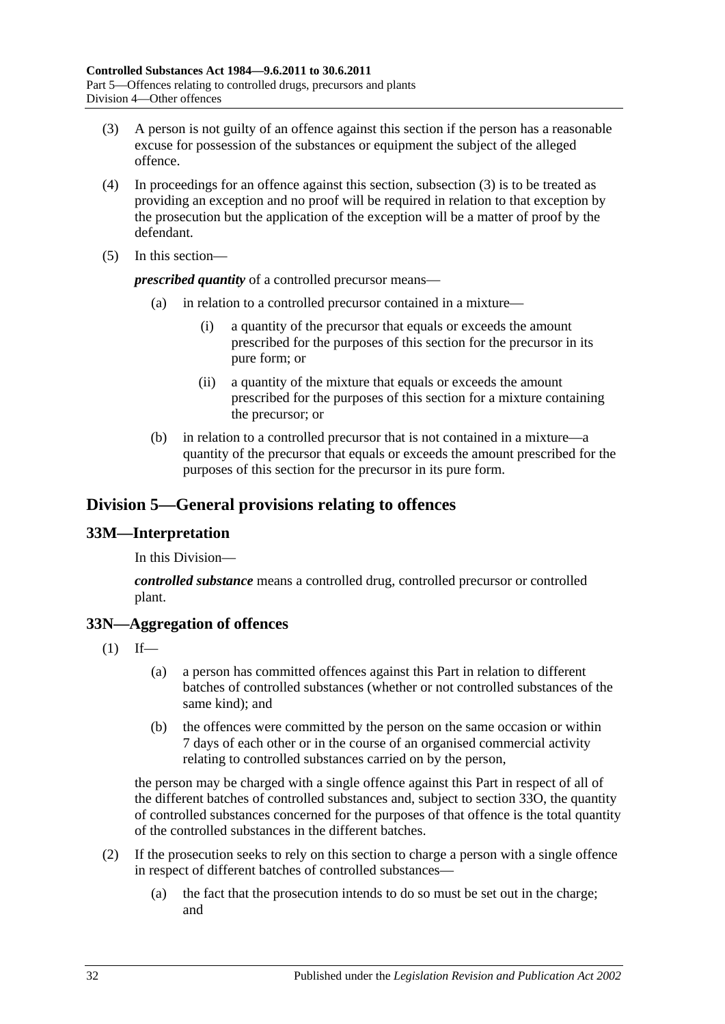- <span id="page-31-3"></span>(3) A person is not guilty of an offence against this section if the person has a reasonable excuse for possession of the substances or equipment the subject of the alleged offence.
- (4) In proceedings for an offence against this section, [subsection](#page-31-3) (3) is to be treated as providing an exception and no proof will be required in relation to that exception by the prosecution but the application of the exception will be a matter of proof by the defendant.
- (5) In this section—

*prescribed quantity* of a controlled precursor means—

- (a) in relation to a controlled precursor contained in a mixture—
	- (i) a quantity of the precursor that equals or exceeds the amount prescribed for the purposes of this section for the precursor in its pure form; or
	- (ii) a quantity of the mixture that equals or exceeds the amount prescribed for the purposes of this section for a mixture containing the precursor; or
- (b) in relation to a controlled precursor that is not contained in a mixture—a quantity of the precursor that equals or exceeds the amount prescribed for the purposes of this section for the precursor in its pure form.

## <span id="page-31-0"></span>**Division 5—General provisions relating to offences**

## <span id="page-31-1"></span>**33M—Interpretation**

In this Division—

*controlled substance* means a controlled drug, controlled precursor or controlled plant.

## <span id="page-31-2"></span>**33N—Aggregation of offences**

- $(1)$  If—
	- (a) a person has committed offences against this Part in relation to different batches of controlled substances (whether or not controlled substances of the same kind); and
	- (b) the offences were committed by the person on the same occasion or within 7 days of each other or in the course of an organised commercial activity relating to controlled substances carried on by the person,

the person may be charged with a single offence against this Part in respect of all of the different batches of controlled substances and, subject to [section](#page-32-0) 33O, the quantity of controlled substances concerned for the purposes of that offence is the total quantity of the controlled substances in the different batches.

- (2) If the prosecution seeks to rely on this section to charge a person with a single offence in respect of different batches of controlled substances—
	- (a) the fact that the prosecution intends to do so must be set out in the charge; and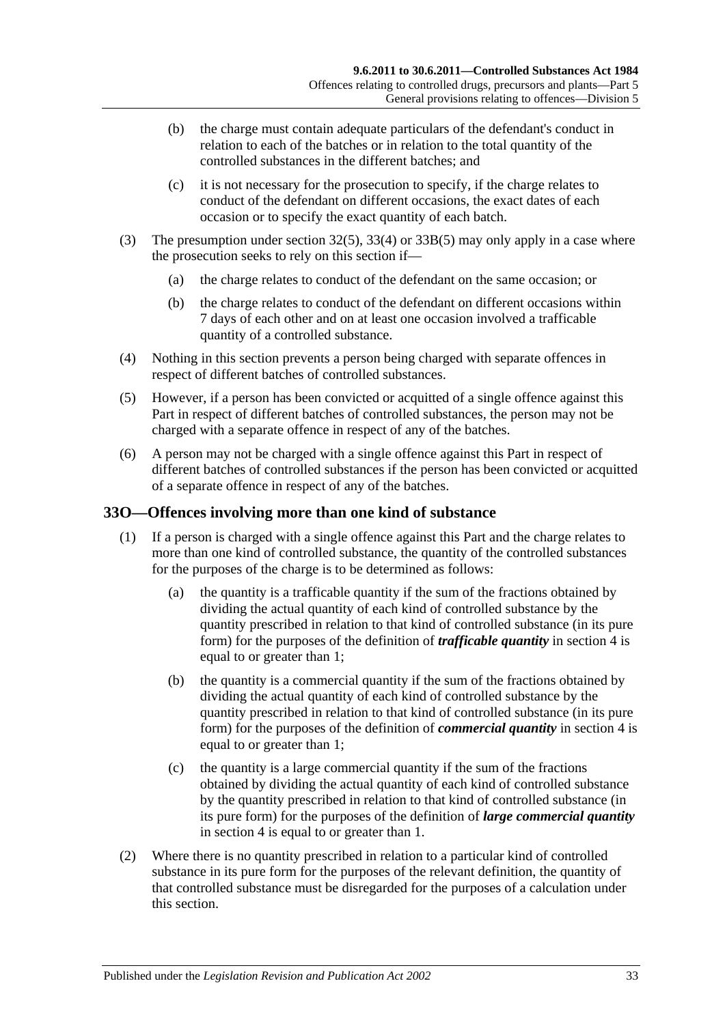- (b) the charge must contain adequate particulars of the defendant's conduct in relation to each of the batches or in relation to the total quantity of the controlled substances in the different batches; and
- (c) it is not necessary for the prosecution to specify, if the charge relates to conduct of the defendant on different occasions, the exact dates of each occasion or to specify the exact quantity of each batch.
- (3) The presumption under [section](#page-23-7) 32(5), [33\(4\)](#page-25-3) or [33B\(5\)](#page-26-8) may only apply in a case where the prosecution seeks to rely on this section if—
	- (a) the charge relates to conduct of the defendant on the same occasion; or
	- (b) the charge relates to conduct of the defendant on different occasions within 7 days of each other and on at least one occasion involved a trafficable quantity of a controlled substance.
- (4) Nothing in this section prevents a person being charged with separate offences in respect of different batches of controlled substances.
- (5) However, if a person has been convicted or acquitted of a single offence against this Part in respect of different batches of controlled substances, the person may not be charged with a separate offence in respect of any of the batches.
- (6) A person may not be charged with a single offence against this Part in respect of different batches of controlled substances if the person has been convicted or acquitted of a separate offence in respect of any of the batches.

## <span id="page-32-0"></span>**33O—Offences involving more than one kind of substance**

- (1) If a person is charged with a single offence against this Part and the charge relates to more than one kind of controlled substance, the quantity of the controlled substances for the purposes of the charge is to be determined as follows:
	- (a) the quantity is a trafficable quantity if the sum of the fractions obtained by dividing the actual quantity of each kind of controlled substance by the quantity prescribed in relation to that kind of controlled substance (in its pure form) for the purposes of the definition of *trafficable quantity* in [section](#page-3-3) 4 is equal to or greater than 1;
	- (b) the quantity is a commercial quantity if the sum of the fractions obtained by dividing the actual quantity of each kind of controlled substance by the quantity prescribed in relation to that kind of controlled substance (in its pure form) for the purposes of the definition of *commercial quantity* in [section](#page-3-3) 4 is equal to or greater than 1;
	- (c) the quantity is a large commercial quantity if the sum of the fractions obtained by dividing the actual quantity of each kind of controlled substance by the quantity prescribed in relation to that kind of controlled substance (in its pure form) for the purposes of the definition of *large commercial quantity* in [section](#page-3-3) 4 is equal to or greater than 1.
- (2) Where there is no quantity prescribed in relation to a particular kind of controlled substance in its pure form for the purposes of the relevant definition, the quantity of that controlled substance must be disregarded for the purposes of a calculation under this section.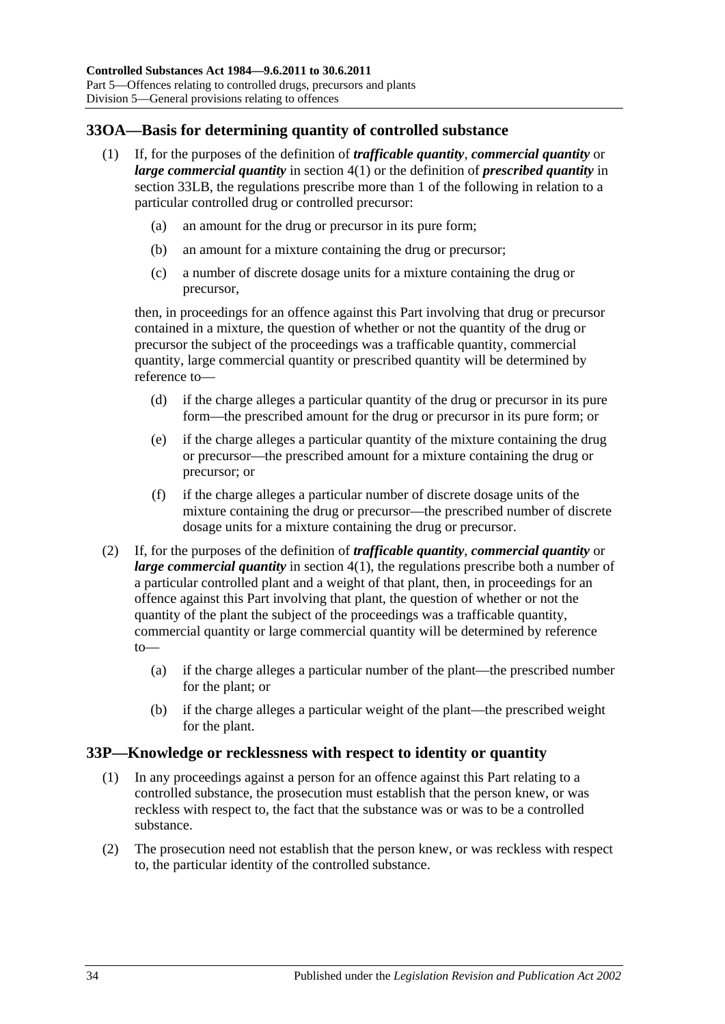## <span id="page-33-0"></span>**33OA—Basis for determining quantity of controlled substance**

- (1) If, for the purposes of the definition of *trafficable quantity*, *commercial quantity* or *large commercial quantity* in [section](#page-3-4) 4(1) or the definition of *prescribed quantity* in [section](#page-30-1) 33LB, the regulations prescribe more than 1 of the following in relation to a particular controlled drug or controlled precursor:
	- (a) an amount for the drug or precursor in its pure form;
	- (b) an amount for a mixture containing the drug or precursor;
	- (c) a number of discrete dosage units for a mixture containing the drug or precursor,

then, in proceedings for an offence against this Part involving that drug or precursor contained in a mixture, the question of whether or not the quantity of the drug or precursor the subject of the proceedings was a trafficable quantity, commercial quantity, large commercial quantity or prescribed quantity will be determined by reference to—

- (d) if the charge alleges a particular quantity of the drug or precursor in its pure form—the prescribed amount for the drug or precursor in its pure form; or
- (e) if the charge alleges a particular quantity of the mixture containing the drug or precursor—the prescribed amount for a mixture containing the drug or precursor; or
- (f) if the charge alleges a particular number of discrete dosage units of the mixture containing the drug or precursor—the prescribed number of discrete dosage units for a mixture containing the drug or precursor.
- (2) If, for the purposes of the definition of *trafficable quantity*, *commercial quantity* or *large commercial quantity* in [section](#page-3-4) 4(1), the regulations prescribe both a number of a particular controlled plant and a weight of that plant, then, in proceedings for an offence against this Part involving that plant, the question of whether or not the quantity of the plant the subject of the proceedings was a trafficable quantity, commercial quantity or large commercial quantity will be determined by reference to—
	- (a) if the charge alleges a particular number of the plant—the prescribed number for the plant; or
	- (b) if the charge alleges a particular weight of the plant—the prescribed weight for the plant.

#### <span id="page-33-1"></span>**33P—Knowledge or recklessness with respect to identity or quantity**

- (1) In any proceedings against a person for an offence against this Part relating to a controlled substance, the prosecution must establish that the person knew, or was reckless with respect to, the fact that the substance was or was to be a controlled substance.
- (2) The prosecution need not establish that the person knew, or was reckless with respect to, the particular identity of the controlled substance.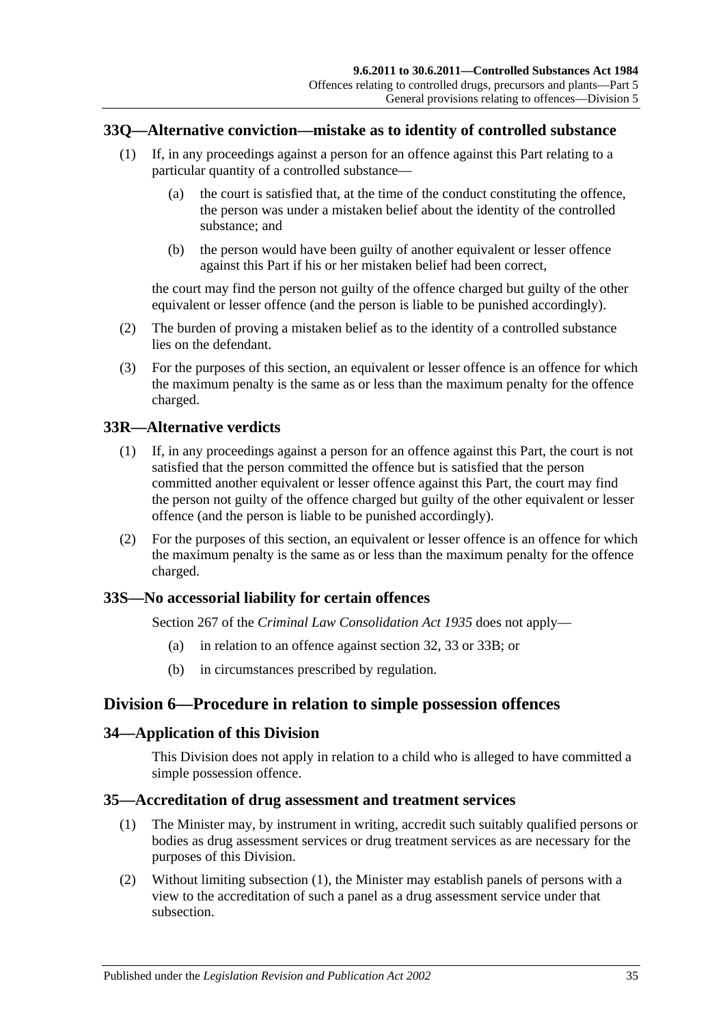### <span id="page-34-0"></span>**33Q—Alternative conviction—mistake as to identity of controlled substance**

- (1) If, in any proceedings against a person for an offence against this Part relating to a particular quantity of a controlled substance—
	- (a) the court is satisfied that, at the time of the conduct constituting the offence, the person was under a mistaken belief about the identity of the controlled substance; and
	- (b) the person would have been guilty of another equivalent or lesser offence against this Part if his or her mistaken belief had been correct,

the court may find the person not guilty of the offence charged but guilty of the other equivalent or lesser offence (and the person is liable to be punished accordingly).

- (2) The burden of proving a mistaken belief as to the identity of a controlled substance lies on the defendant.
- (3) For the purposes of this section, an equivalent or lesser offence is an offence for which the maximum penalty is the same as or less than the maximum penalty for the offence charged.

#### <span id="page-34-1"></span>**33R—Alternative verdicts**

- (1) If, in any proceedings against a person for an offence against this Part, the court is not satisfied that the person committed the offence but is satisfied that the person committed another equivalent or lesser offence against this Part, the court may find the person not guilty of the offence charged but guilty of the other equivalent or lesser offence (and the person is liable to be punished accordingly).
- (2) For the purposes of this section, an equivalent or lesser offence is an offence for which the maximum penalty is the same as or less than the maximum penalty for the offence charged.

#### <span id="page-34-2"></span>**33S—No accessorial liability for certain offences**

Section 267 of the *[Criminal Law Consolidation Act](http://www.legislation.sa.gov.au/index.aspx?action=legref&type=act&legtitle=Criminal%20Law%20Consolidation%20Act%201935) 1935* does not apply—

- (a) in relation to an offence against [section](#page-23-2) 32, [33](#page-24-1) or [33B;](#page-26-1) or
- (b) in circumstances prescribed by regulation.

## <span id="page-34-3"></span>**Division 6—Procedure in relation to simple possession offences**

#### <span id="page-34-4"></span>**34—Application of this Division**

This Division does not apply in relation to a child who is alleged to have committed a simple possession offence.

### <span id="page-34-6"></span><span id="page-34-5"></span>**35—Accreditation of drug assessment and treatment services**

- (1) The Minister may, by instrument in writing, accredit such suitably qualified persons or bodies as drug assessment services or drug treatment services as are necessary for the purposes of this Division.
- (2) Without limiting [subsection](#page-34-6) (1), the Minister may establish panels of persons with a view to the accreditation of such a panel as a drug assessment service under that subsection.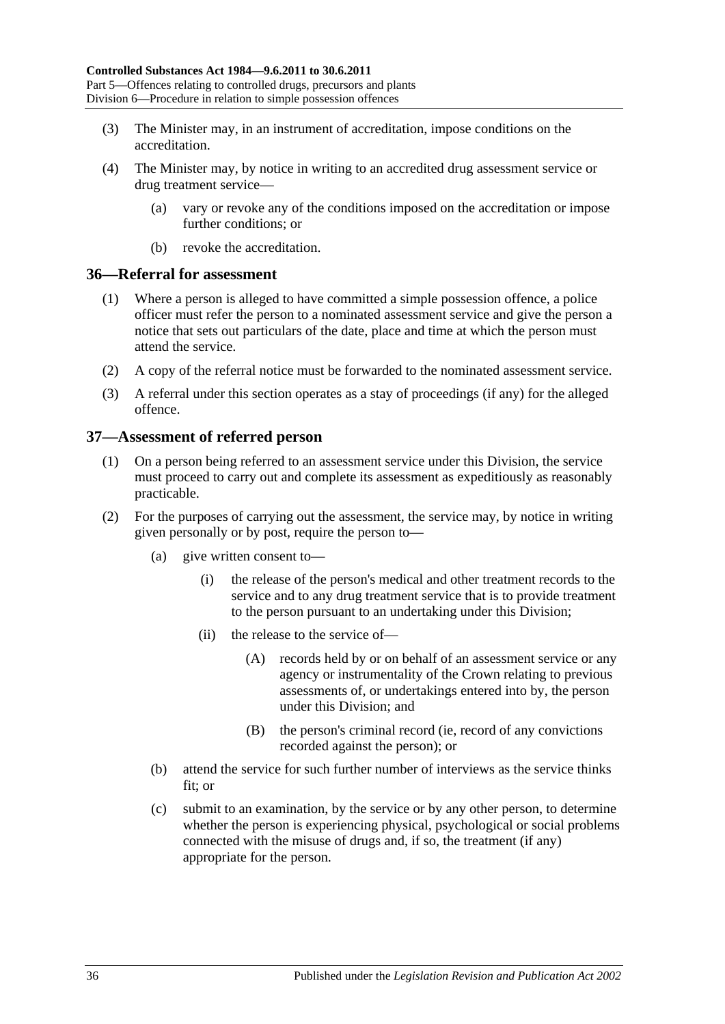- (3) The Minister may, in an instrument of accreditation, impose conditions on the accreditation.
- (4) The Minister may, by notice in writing to an accredited drug assessment service or drug treatment service—
	- (a) vary or revoke any of the conditions imposed on the accreditation or impose further conditions; or
	- (b) revoke the accreditation.

#### <span id="page-35-0"></span>**36—Referral for assessment**

- (1) Where a person is alleged to have committed a simple possession offence, a police officer must refer the person to a nominated assessment service and give the person a notice that sets out particulars of the date, place and time at which the person must attend the service.
- (2) A copy of the referral notice must be forwarded to the nominated assessment service.
- (3) A referral under this section operates as a stay of proceedings (if any) for the alleged offence.

## <span id="page-35-1"></span>**37—Assessment of referred person**

- (1) On a person being referred to an assessment service under this Division, the service must proceed to carry out and complete its assessment as expeditiously as reasonably practicable.
- (2) For the purposes of carrying out the assessment, the service may, by notice in writing given personally or by post, require the person to—
	- (a) give written consent to—
		- (i) the release of the person's medical and other treatment records to the service and to any drug treatment service that is to provide treatment to the person pursuant to an undertaking under this Division;
		- (ii) the release to the service of—
			- (A) records held by or on behalf of an assessment service or any agency or instrumentality of the Crown relating to previous assessments of, or undertakings entered into by, the person under this Division; and
			- (B) the person's criminal record (ie, record of any convictions recorded against the person); or
	- (b) attend the service for such further number of interviews as the service thinks fit; or
	- (c) submit to an examination, by the service or by any other person, to determine whether the person is experiencing physical, psychological or social problems connected with the misuse of drugs and, if so, the treatment (if any) appropriate for the person.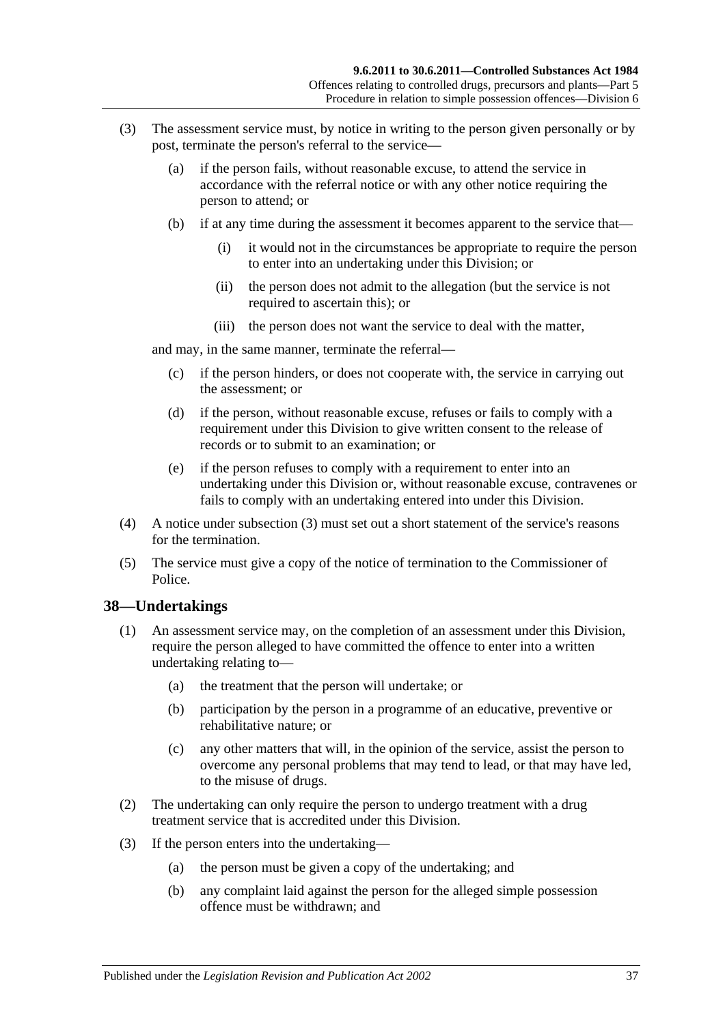- <span id="page-36-0"></span>(3) The assessment service must, by notice in writing to the person given personally or by post, terminate the person's referral to the service—
	- (a) if the person fails, without reasonable excuse, to attend the service in accordance with the referral notice or with any other notice requiring the person to attend; or
	- (b) if at any time during the assessment it becomes apparent to the service that—
		- (i) it would not in the circumstances be appropriate to require the person to enter into an undertaking under this Division; or
		- (ii) the person does not admit to the allegation (but the service is not required to ascertain this); or
		- (iii) the person does not want the service to deal with the matter,

and may, in the same manner, terminate the referral—

- (c) if the person hinders, or does not cooperate with, the service in carrying out the assessment; or
- (d) if the person, without reasonable excuse, refuses or fails to comply with a requirement under this Division to give written consent to the release of records or to submit to an examination; or
- (e) if the person refuses to comply with a requirement to enter into an undertaking under this Division or, without reasonable excuse, contravenes or fails to comply with an undertaking entered into under this Division.
- (4) A notice under [subsection](#page-36-0) (3) must set out a short statement of the service's reasons for the termination.
- (5) The service must give a copy of the notice of termination to the Commissioner of Police.

#### **38—Undertakings**

- (1) An assessment service may, on the completion of an assessment under this Division, require the person alleged to have committed the offence to enter into a written undertaking relating to—
	- (a) the treatment that the person will undertake; or
	- (b) participation by the person in a programme of an educative, preventive or rehabilitative nature; or
	- (c) any other matters that will, in the opinion of the service, assist the person to overcome any personal problems that may tend to lead, or that may have led, to the misuse of drugs.
- (2) The undertaking can only require the person to undergo treatment with a drug treatment service that is accredited under this Division.
- (3) If the person enters into the undertaking—
	- (a) the person must be given a copy of the undertaking; and
	- (b) any complaint laid against the person for the alleged simple possession offence must be withdrawn; and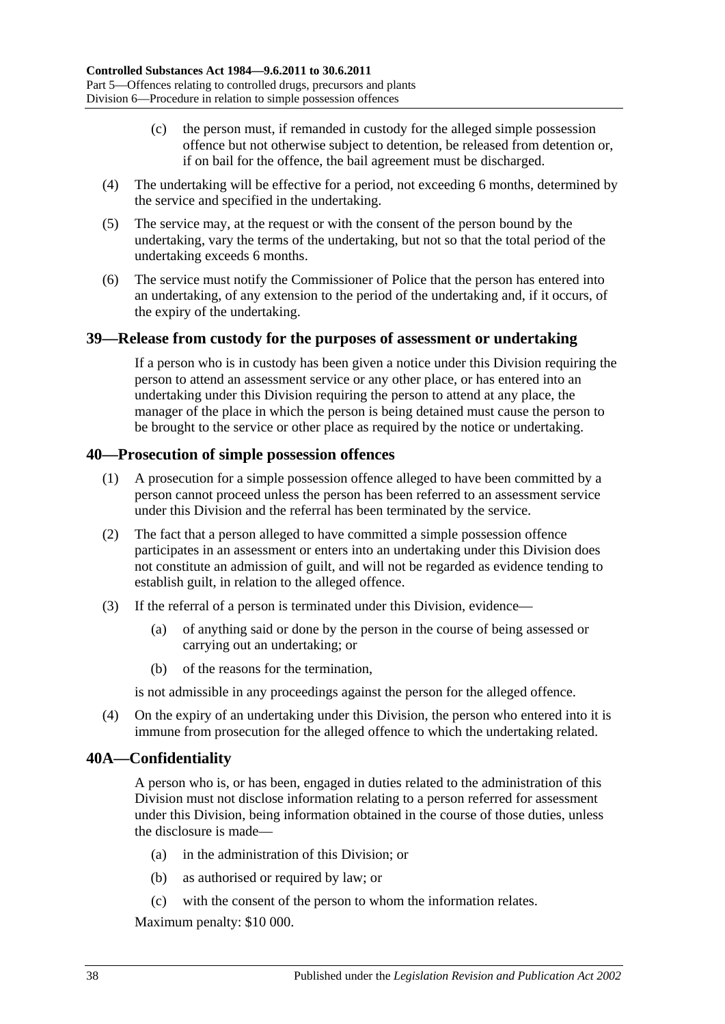- (c) the person must, if remanded in custody for the alleged simple possession offence but not otherwise subject to detention, be released from detention or, if on bail for the offence, the bail agreement must be discharged.
- (4) The undertaking will be effective for a period, not exceeding 6 months, determined by the service and specified in the undertaking.
- (5) The service may, at the request or with the consent of the person bound by the undertaking, vary the terms of the undertaking, but not so that the total period of the undertaking exceeds 6 months.
- (6) The service must notify the Commissioner of Police that the person has entered into an undertaking, of any extension to the period of the undertaking and, if it occurs, of the expiry of the undertaking.

### **39—Release from custody for the purposes of assessment or undertaking**

If a person who is in custody has been given a notice under this Division requiring the person to attend an assessment service or any other place, or has entered into an undertaking under this Division requiring the person to attend at any place, the manager of the place in which the person is being detained must cause the person to be brought to the service or other place as required by the notice or undertaking.

### **40—Prosecution of simple possession offences**

- (1) A prosecution for a simple possession offence alleged to have been committed by a person cannot proceed unless the person has been referred to an assessment service under this Division and the referral has been terminated by the service.
- (2) The fact that a person alleged to have committed a simple possession offence participates in an assessment or enters into an undertaking under this Division does not constitute an admission of guilt, and will not be regarded as evidence tending to establish guilt, in relation to the alleged offence.
- (3) If the referral of a person is terminated under this Division, evidence—
	- (a) of anything said or done by the person in the course of being assessed or carrying out an undertaking; or
	- (b) of the reasons for the termination,

is not admissible in any proceedings against the person for the alleged offence.

(4) On the expiry of an undertaking under this Division, the person who entered into it is immune from prosecution for the alleged offence to which the undertaking related.

# **40A—Confidentiality**

A person who is, or has been, engaged in duties related to the administration of this Division must not disclose information relating to a person referred for assessment under this Division, being information obtained in the course of those duties, unless the disclosure is made—

- (a) in the administration of this Division; or
- (b) as authorised or required by law; or
- (c) with the consent of the person to whom the information relates.

Maximum penalty: \$10 000.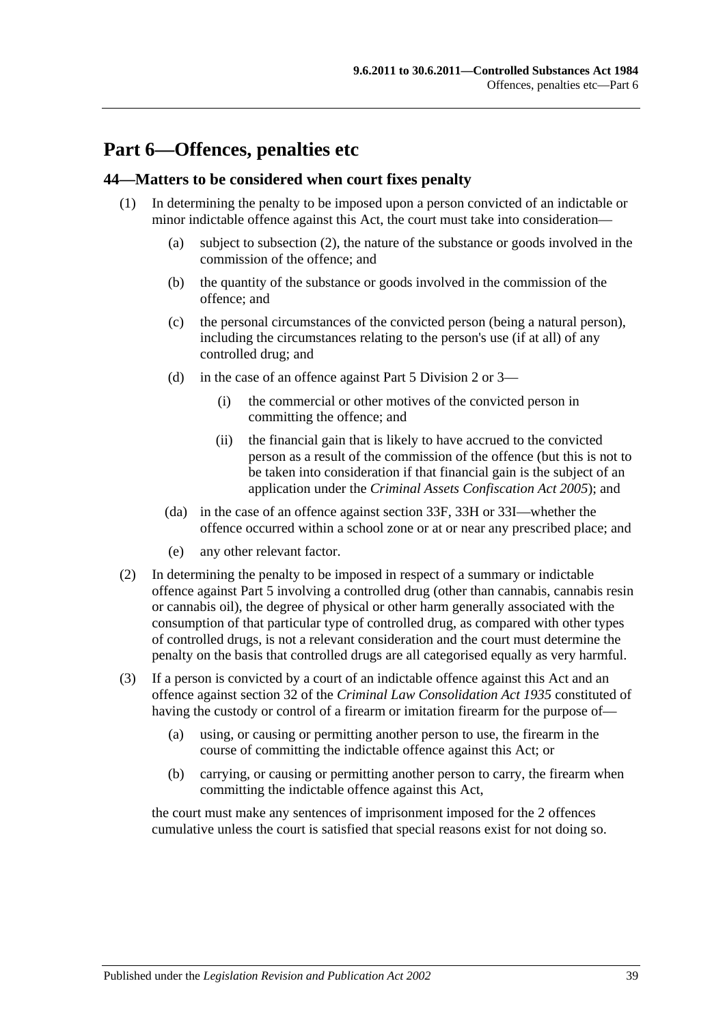# **Part 6—Offences, penalties etc**

### **44—Matters to be considered when court fixes penalty**

- (1) In determining the penalty to be imposed upon a person convicted of an indictable or minor indictable offence against this Act, the court must take into consideration—
	- (a) subject to [subsection](#page-38-0) (2), the nature of the substance or goods involved in the commission of the offence; and
	- (b) the quantity of the substance or goods involved in the commission of the offence; and
	- (c) the personal circumstances of the convicted person (being a natural person), including the circumstances relating to the person's use (if at all) of any controlled drug; and
	- (d) in the case of an offence against [Part 5 Division 2](#page-23-0) or [3—](#page-27-0)
		- (i) the commercial or other motives of the convicted person in committing the offence; and
		- (ii) the financial gain that is likely to have accrued to the convicted person as a result of the commission of the offence (but this is not to be taken into consideration if that financial gain is the subject of an application under the *[Criminal Assets Confiscation Act](http://www.legislation.sa.gov.au/index.aspx?action=legref&type=act&legtitle=Criminal%20Assets%20Confiscation%20Act%202005) 2005*); and
	- (da) in the case of an offence against [section](#page-27-1) 33F, [33H](#page-28-0) or [33I—](#page-28-1)whether the offence occurred within a school zone or at or near any prescribed place; and
	- (e) any other relevant factor.
- <span id="page-38-0"></span>(2) In determining the penalty to be imposed in respect of a summary or indictable offence against [Part 5](#page-22-0) involving a controlled drug (other than cannabis, cannabis resin or cannabis oil), the degree of physical or other harm generally associated with the consumption of that particular type of controlled drug, as compared with other types of controlled drugs, is not a relevant consideration and the court must determine the penalty on the basis that controlled drugs are all categorised equally as very harmful.
- (3) If a person is convicted by a court of an indictable offence against this Act and an offence against section 32 of the *[Criminal Law Consolidation Act](http://www.legislation.sa.gov.au/index.aspx?action=legref&type=act&legtitle=Criminal%20Law%20Consolidation%20Act%201935) 1935* constituted of having the custody or control of a firearm or imitation firearm for the purpose of—
	- (a) using, or causing or permitting another person to use, the firearm in the course of committing the indictable offence against this Act; or
	- (b) carrying, or causing or permitting another person to carry, the firearm when committing the indictable offence against this Act,

the court must make any sentences of imprisonment imposed for the 2 offences cumulative unless the court is satisfied that special reasons exist for not doing so.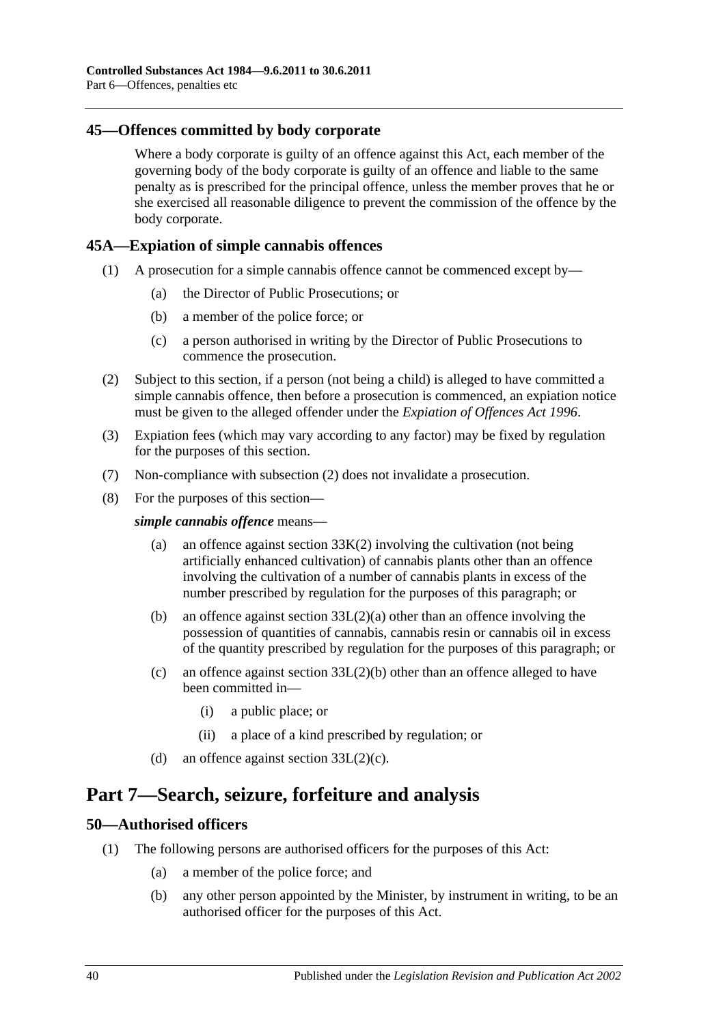### **45—Offences committed by body corporate**

Where a body corporate is guilty of an offence against this Act, each member of the governing body of the body corporate is guilty of an offence and liable to the same penalty as is prescribed for the principal offence, unless the member proves that he or she exercised all reasonable diligence to prevent the commission of the offence by the body corporate.

### <span id="page-39-2"></span>**45A—Expiation of simple cannabis offences**

- (1) A prosecution for a simple cannabis offence cannot be commenced except by—
	- (a) the Director of Public Prosecutions; or
	- (b) a member of the police force; or
	- (c) a person authorised in writing by the Director of Public Prosecutions to commence the prosecution.
- <span id="page-39-0"></span>(2) Subject to this section, if a person (not being a child) is alleged to have committed a simple cannabis offence, then before a prosecution is commenced, an expiation notice must be given to the alleged offender under the *[Expiation of Offences Act](http://www.legislation.sa.gov.au/index.aspx?action=legref&type=act&legtitle=Expiation%20of%20Offences%20Act%201996) 1996*.
- (3) Expiation fees (which may vary according to any factor) may be fixed by regulation for the purposes of this section.
- (7) Non-compliance with [subsection](#page-39-0) (2) does not invalidate a prosecution.
- (8) For the purposes of this section—

*simple cannabis offence* means—

- (a) an offence against [section](#page-29-0)  $33K(2)$  involving the cultivation (not being artificially enhanced cultivation) of cannabis plants other than an offence involving the cultivation of a number of cannabis plants in excess of the number prescribed by regulation for the purposes of this paragraph; or
- (b) an offence against section [33L\(2\)\(a\)](#page-30-0) other than an offence involving the possession of quantities of cannabis, cannabis resin or cannabis oil in excess of the quantity prescribed by regulation for the purposes of this paragraph; or
- (c) an offence against section [33L\(2\)\(b\)](#page-30-1) other than an offence alleged to have been committed in—
	- (i) a public place; or
	- (ii) a place of a kind prescribed by regulation; or
- (d) an offence against section  $33L(2)(c)$ .

# **Part 7—Search, seizure, forfeiture and analysis**

#### **50—Authorised officers**

- <span id="page-39-1"></span>(1) The following persons are authorised officers for the purposes of this Act:
	- (a) a member of the police force; and
	- (b) any other person appointed by the Minister, by instrument in writing, to be an authorised officer for the purposes of this Act.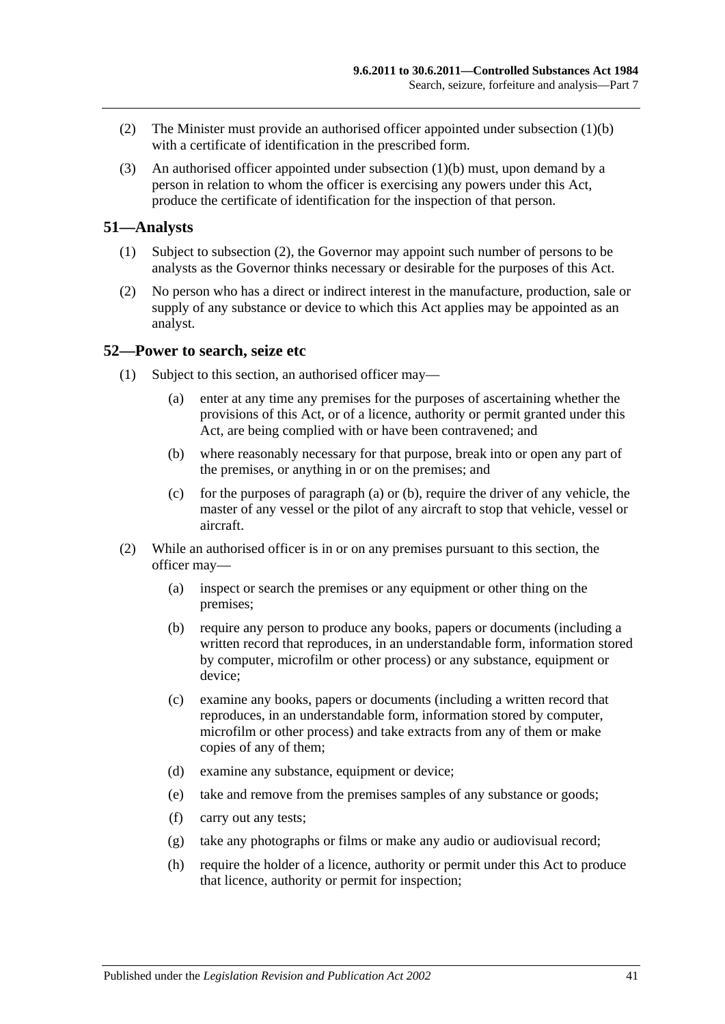- (2) The Minister must provide an authorised officer appointed under [subsection](#page-39-1) (1)(b) with a certificate of identification in the prescribed form.
- (3) An authorised officer appointed under [subsection](#page-39-1) (1)(b) must, upon demand by a person in relation to whom the officer is exercising any powers under this Act, produce the certificate of identification for the inspection of that person.

#### **51—Analysts**

- (1) Subject to [subsection](#page-40-0) (2), the Governor may appoint such number of persons to be analysts as the Governor thinks necessary or desirable for the purposes of this Act.
- <span id="page-40-0"></span>(2) No person who has a direct or indirect interest in the manufacture, production, sale or supply of any substance or device to which this Act applies may be appointed as an analyst.

#### <span id="page-40-3"></span>**52—Power to search, seize etc**

- <span id="page-40-2"></span><span id="page-40-1"></span>(1) Subject to this section, an authorised officer may—
	- (a) enter at any time any premises for the purposes of ascertaining whether the provisions of this Act, or of a licence, authority or permit granted under this Act, are being complied with or have been contravened; and
	- (b) where reasonably necessary for that purpose, break into or open any part of the premises, or anything in or on the premises; and
	- (c) for the purposes of [paragraph](#page-40-1) (a) or [\(b\),](#page-40-2) require the driver of any vehicle, the master of any vessel or the pilot of any aircraft to stop that vehicle, vessel or aircraft.
- (2) While an authorised officer is in or on any premises pursuant to this section, the officer may—
	- (a) inspect or search the premises or any equipment or other thing on the premises;
	- (b) require any person to produce any books, papers or documents (including a written record that reproduces, in an understandable form, information stored by computer, microfilm or other process) or any substance, equipment or device;
	- (c) examine any books, papers or documents (including a written record that reproduces, in an understandable form, information stored by computer, microfilm or other process) and take extracts from any of them or make copies of any of them;
	- (d) examine any substance, equipment or device;
	- (e) take and remove from the premises samples of any substance or goods;
	- (f) carry out any tests;
	- (g) take any photographs or films or make any audio or audiovisual record;
	- (h) require the holder of a licence, authority or permit under this Act to produce that licence, authority or permit for inspection;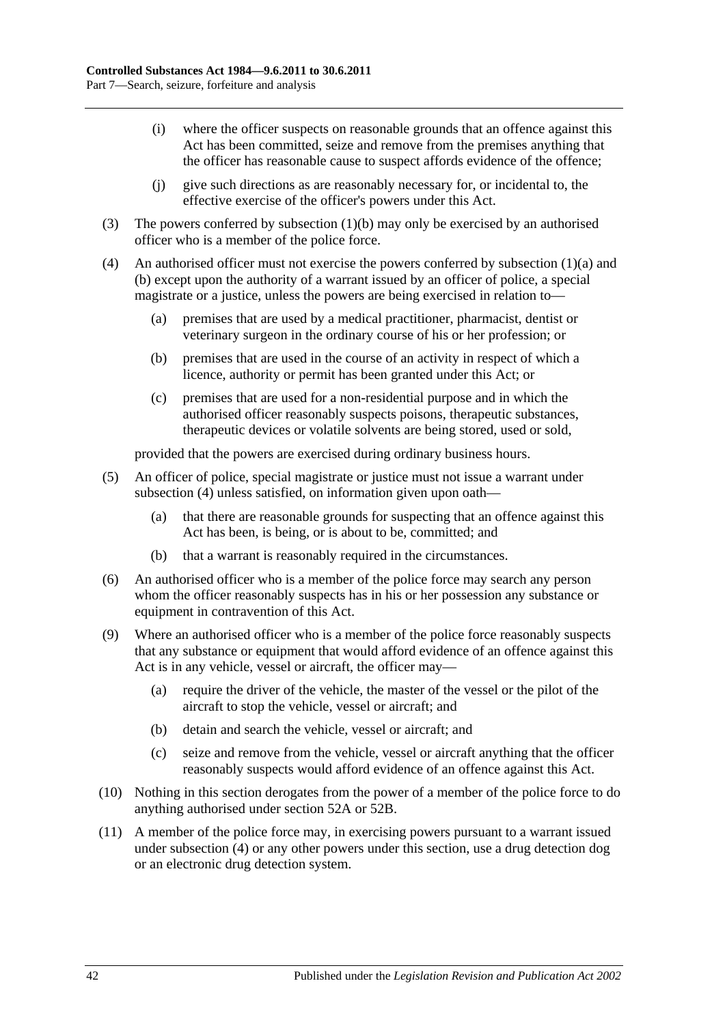- (i) where the officer suspects on reasonable grounds that an offence against this Act has been committed, seize and remove from the premises anything that the officer has reasonable cause to suspect affords evidence of the offence;
- (j) give such directions as are reasonably necessary for, or incidental to, the effective exercise of the officer's powers under this Act.
- (3) The powers conferred by [subsection](#page-40-2) (1)(b) may only be exercised by an authorised officer who is a member of the police force.
- <span id="page-41-0"></span>(4) An authorised officer must not exercise the powers conferred by [subsection](#page-40-1) (1)(a) and [\(b\)](#page-40-2) except upon the authority of a warrant issued by an officer of police, a special magistrate or a justice, unless the powers are being exercised in relation to—
	- (a) premises that are used by a medical practitioner, pharmacist, dentist or veterinary surgeon in the ordinary course of his or her profession; or
	- (b) premises that are used in the course of an activity in respect of which a licence, authority or permit has been granted under this Act; or
	- (c) premises that are used for a non-residential purpose and in which the authorised officer reasonably suspects poisons, therapeutic substances, therapeutic devices or volatile solvents are being stored, used or sold,

provided that the powers are exercised during ordinary business hours.

- (5) An officer of police, special magistrate or justice must not issue a warrant under [subsection](#page-41-0) (4) unless satisfied, on information given upon oath—
	- (a) that there are reasonable grounds for suspecting that an offence against this Act has been, is being, or is about to be, committed; and
	- (b) that a warrant is reasonably required in the circumstances.
- (6) An authorised officer who is a member of the police force may search any person whom the officer reasonably suspects has in his or her possession any substance or equipment in contravention of this Act.
- (9) Where an authorised officer who is a member of the police force reasonably suspects that any substance or equipment that would afford evidence of an offence against this Act is in any vehicle, vessel or aircraft, the officer may—
	- (a) require the driver of the vehicle, the master of the vessel or the pilot of the aircraft to stop the vehicle, vessel or aircraft; and
	- (b) detain and search the vehicle, vessel or aircraft; and
	- (c) seize and remove from the vehicle, vessel or aircraft anything that the officer reasonably suspects would afford evidence of an offence against this Act.
- (10) Nothing in this section derogates from the power of a member of the police force to do anything authorised under [section](#page-42-0) 52A or [52B.](#page-43-0)
- (11) A member of the police force may, in exercising powers pursuant to a warrant issued under [subsection](#page-41-0) (4) or any other powers under this section, use a drug detection dog or an electronic drug detection system.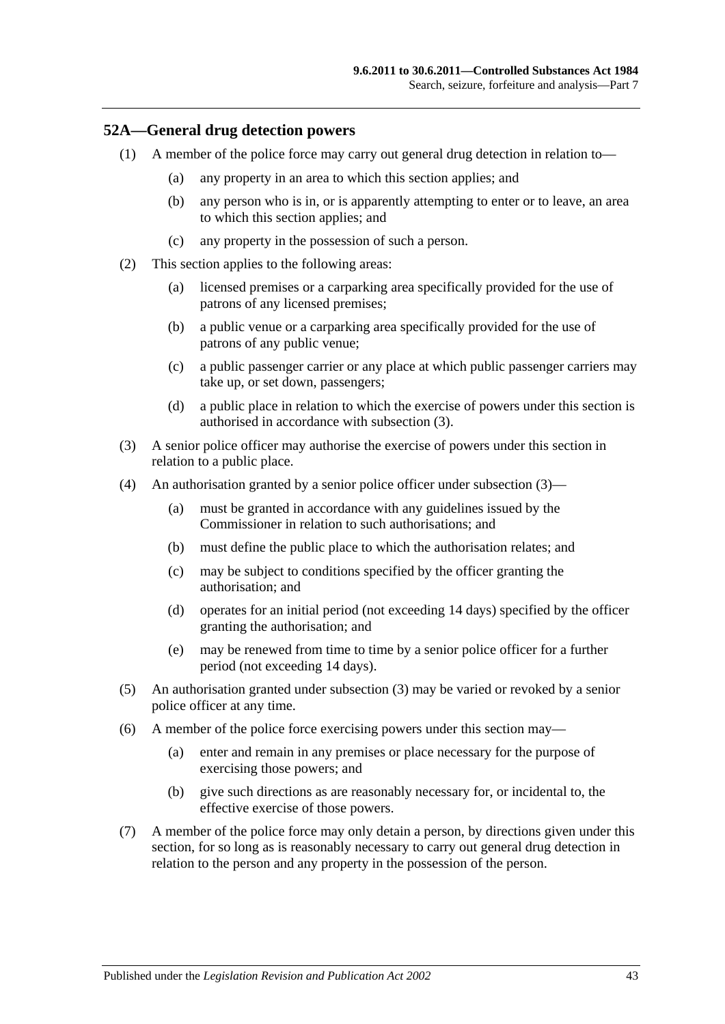#### <span id="page-42-0"></span>**52A—General drug detection powers**

- (1) A member of the police force may carry out general drug detection in relation to—
	- (a) any property in an area to which this section applies; and
	- (b) any person who is in, or is apparently attempting to enter or to leave, an area to which this section applies; and
	- (c) any property in the possession of such a person.
- (2) This section applies to the following areas:
	- (a) licensed premises or a carparking area specifically provided for the use of patrons of any licensed premises;
	- (b) a public venue or a carparking area specifically provided for the use of patrons of any public venue;
	- (c) a public passenger carrier or any place at which public passenger carriers may take up, or set down, passengers;
	- (d) a public place in relation to which the exercise of powers under this section is authorised in accordance with [subsection](#page-42-1) (3).
- <span id="page-42-1"></span>(3) A senior police officer may authorise the exercise of powers under this section in relation to a public place.
- (4) An authorisation granted by a senior police officer under [subsection](#page-42-1) (3)—
	- (a) must be granted in accordance with any guidelines issued by the Commissioner in relation to such authorisations; and
	- (b) must define the public place to which the authorisation relates; and
	- (c) may be subject to conditions specified by the officer granting the authorisation; and
	- (d) operates for an initial period (not exceeding 14 days) specified by the officer granting the authorisation; and
	- (e) may be renewed from time to time by a senior police officer for a further period (not exceeding 14 days).
- (5) An authorisation granted under [subsection](#page-42-1) (3) may be varied or revoked by a senior police officer at any time.
- (6) A member of the police force exercising powers under this section may—
	- (a) enter and remain in any premises or place necessary for the purpose of exercising those powers; and
	- (b) give such directions as are reasonably necessary for, or incidental to, the effective exercise of those powers.
- (7) A member of the police force may only detain a person, by directions given under this section, for so long as is reasonably necessary to carry out general drug detection in relation to the person and any property in the possession of the person.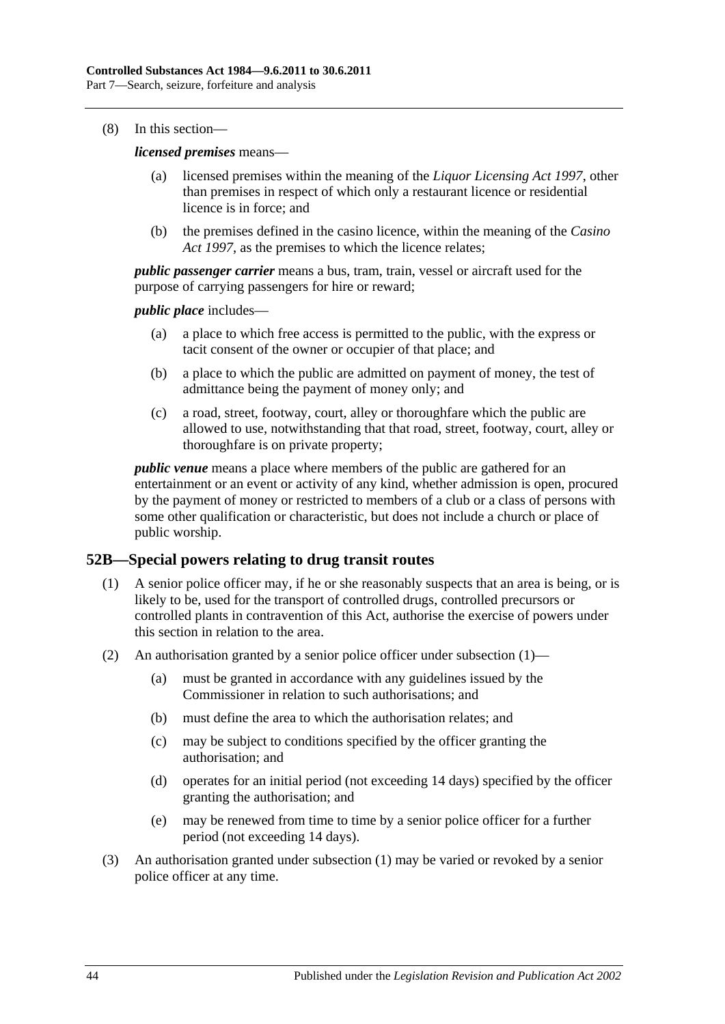(8) In this section—

*licensed premises* means—

- (a) licensed premises within the meaning of the *[Liquor Licensing Act](http://www.legislation.sa.gov.au/index.aspx?action=legref&type=act&legtitle=Liquor%20Licensing%20Act%201997) 1997*, other than premises in respect of which only a restaurant licence or residential licence is in force; and
- (b) the premises defined in the casino licence, within the meaning of the *[Casino](http://www.legislation.sa.gov.au/index.aspx?action=legref&type=act&legtitle=Casino%20Act%201997)  Act [1997](http://www.legislation.sa.gov.au/index.aspx?action=legref&type=act&legtitle=Casino%20Act%201997)*, as the premises to which the licence relates;

*public passenger carrier* means a bus, tram, train, vessel or aircraft used for the purpose of carrying passengers for hire or reward;

*public place* includes—

- (a) a place to which free access is permitted to the public, with the express or tacit consent of the owner or occupier of that place; and
- (b) a place to which the public are admitted on payment of money, the test of admittance being the payment of money only; and
- (c) a road, street, footway, court, alley or thoroughfare which the public are allowed to use, notwithstanding that that road, street, footway, court, alley or thoroughfare is on private property;

*public venue* means a place where members of the public are gathered for an entertainment or an event or activity of any kind, whether admission is open, procured by the payment of money or restricted to members of a club or a class of persons with some other qualification or characteristic, but does not include a church or place of public worship.

# <span id="page-43-1"></span><span id="page-43-0"></span>**52B—Special powers relating to drug transit routes**

- (1) A senior police officer may, if he or she reasonably suspects that an area is being, or is likely to be, used for the transport of controlled drugs, controlled precursors or controlled plants in contravention of this Act, authorise the exercise of powers under this section in relation to the area.
- (2) An authorisation granted by a senior police officer under [subsection](#page-43-1) (1)—
	- (a) must be granted in accordance with any guidelines issued by the Commissioner in relation to such authorisations; and
	- (b) must define the area to which the authorisation relates; and
	- (c) may be subject to conditions specified by the officer granting the authorisation; and
	- (d) operates for an initial period (not exceeding 14 days) specified by the officer granting the authorisation; and
	- (e) may be renewed from time to time by a senior police officer for a further period (not exceeding 14 days).
- (3) An authorisation granted under [subsection](#page-43-1) (1) may be varied or revoked by a senior police officer at any time.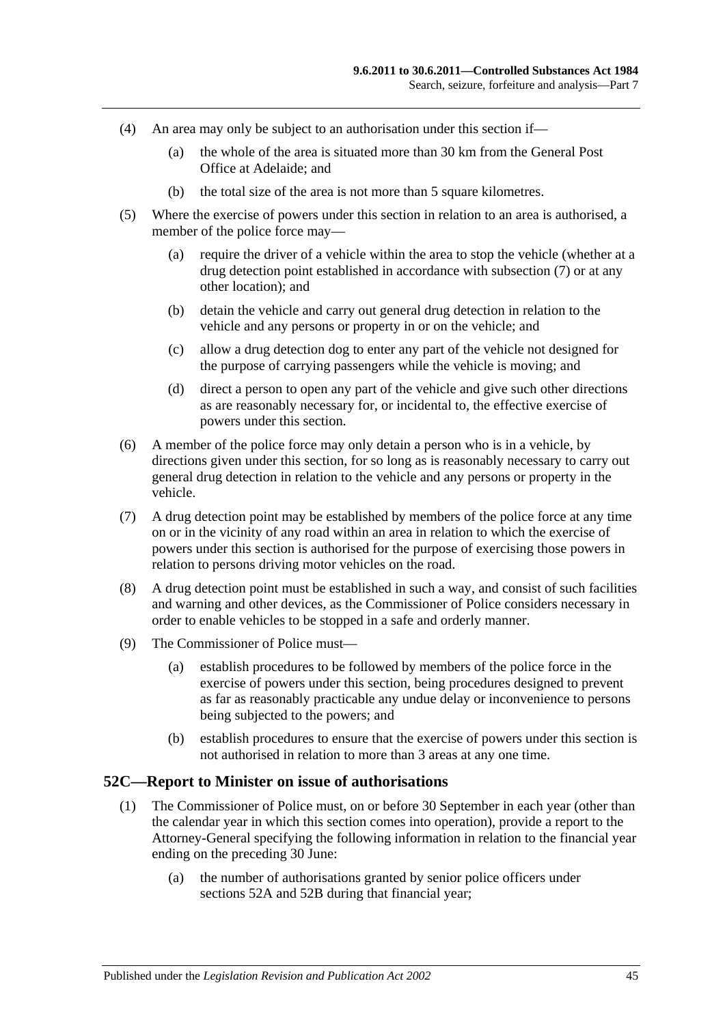- (4) An area may only be subject to an authorisation under this section if—
	- (a) the whole of the area is situated more than 30 km from the General Post Office at Adelaide; and
	- (b) the total size of the area is not more than 5 square kilometres.
- (5) Where the exercise of powers under this section in relation to an area is authorised, a member of the police force may—
	- (a) require the driver of a vehicle within the area to stop the vehicle (whether at a drug detection point established in accordance with [subsection](#page-44-0) (7) or at any other location); and
	- (b) detain the vehicle and carry out general drug detection in relation to the vehicle and any persons or property in or on the vehicle; and
	- (c) allow a drug detection dog to enter any part of the vehicle not designed for the purpose of carrying passengers while the vehicle is moving; and
	- (d) direct a person to open any part of the vehicle and give such other directions as are reasonably necessary for, or incidental to, the effective exercise of powers under this section.
- (6) A member of the police force may only detain a person who is in a vehicle, by directions given under this section, for so long as is reasonably necessary to carry out general drug detection in relation to the vehicle and any persons or property in the vehicle.
- <span id="page-44-0"></span>(7) A drug detection point may be established by members of the police force at any time on or in the vicinity of any road within an area in relation to which the exercise of powers under this section is authorised for the purpose of exercising those powers in relation to persons driving motor vehicles on the road.
- (8) A drug detection point must be established in such a way, and consist of such facilities and warning and other devices, as the Commissioner of Police considers necessary in order to enable vehicles to be stopped in a safe and orderly manner.
- (9) The Commissioner of Police must—
	- (a) establish procedures to be followed by members of the police force in the exercise of powers under this section, being procedures designed to prevent as far as reasonably practicable any undue delay or inconvenience to persons being subjected to the powers; and
	- (b) establish procedures to ensure that the exercise of powers under this section is not authorised in relation to more than 3 areas at any one time.

#### **52C—Report to Minister on issue of authorisations**

- (1) The Commissioner of Police must, on or before 30 September in each year (other than the calendar year in which this section comes into operation), provide a report to the Attorney-General specifying the following information in relation to the financial year ending on the preceding 30 June:
	- (a) the number of authorisations granted by senior police officers under [sections](#page-42-0) 52A and [52B](#page-43-0) during that financial year;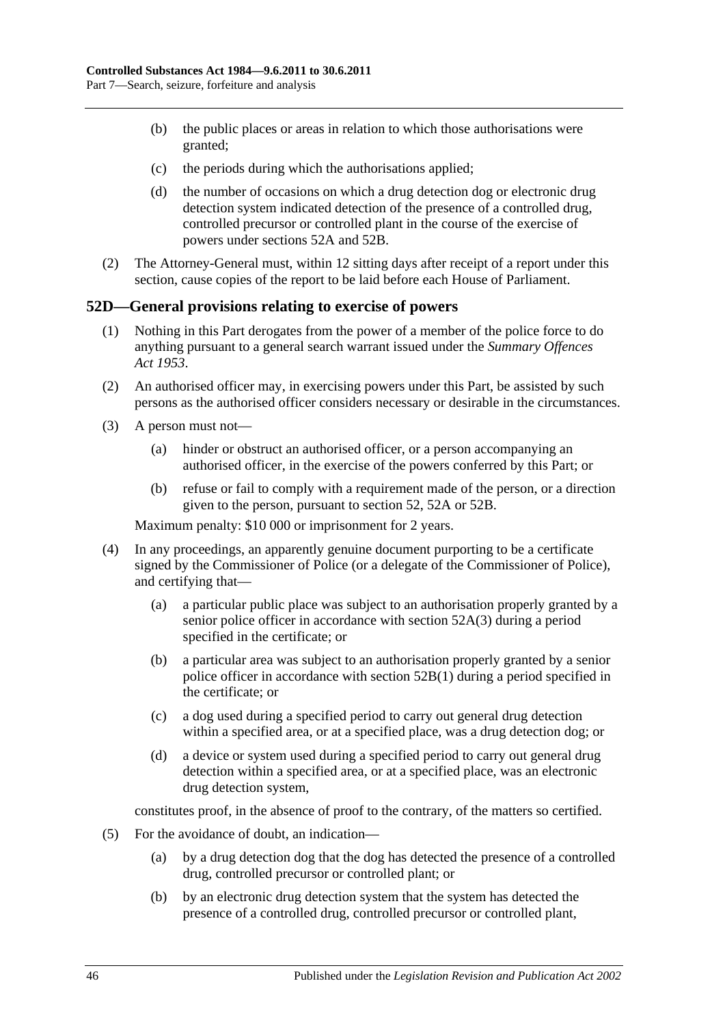- (b) the public places or areas in relation to which those authorisations were granted;
- (c) the periods during which the authorisations applied;
- (d) the number of occasions on which a drug detection dog or electronic drug detection system indicated detection of the presence of a controlled drug, controlled precursor or controlled plant in the course of the exercise of powers under [sections](#page-42-0) 52A and [52B.](#page-43-0)
- (2) The Attorney-General must, within 12 sitting days after receipt of a report under this section, cause copies of the report to be laid before each House of Parliament.

# **52D—General provisions relating to exercise of powers**

- (1) Nothing in this Part derogates from the power of a member of the police force to do anything pursuant to a general search warrant issued under the *[Summary Offences](http://www.legislation.sa.gov.au/index.aspx?action=legref&type=act&legtitle=Summary%20Offences%20Act%201953)  Act [1953](http://www.legislation.sa.gov.au/index.aspx?action=legref&type=act&legtitle=Summary%20Offences%20Act%201953)*.
- (2) An authorised officer may, in exercising powers under this Part, be assisted by such persons as the authorised officer considers necessary or desirable in the circumstances.
- (3) A person must not—
	- (a) hinder or obstruct an authorised officer, or a person accompanying an authorised officer, in the exercise of the powers conferred by this Part; or
	- (b) refuse or fail to comply with a requirement made of the person, or a direction given to the person, pursuant to [section](#page-40-3) 52, [52A](#page-42-0) or [52B.](#page-43-0)

Maximum penalty: \$10 000 or imprisonment for 2 years.

- (4) In any proceedings, an apparently genuine document purporting to be a certificate signed by the Commissioner of Police (or a delegate of the Commissioner of Police), and certifying that—
	- (a) a particular public place was subject to an authorisation properly granted by a senior police officer in accordance with [section](#page-42-1) 52A(3) during a period specified in the certificate; or
	- (b) a particular area was subject to an authorisation properly granted by a senior police officer in accordance with [section](#page-43-1) 52B(1) during a period specified in the certificate; or
	- (c) a dog used during a specified period to carry out general drug detection within a specified area, or at a specified place, was a drug detection dog; or
	- (d) a device or system used during a specified period to carry out general drug detection within a specified area, or at a specified place, was an electronic drug detection system,

constitutes proof, in the absence of proof to the contrary, of the matters so certified.

- (5) For the avoidance of doubt, an indication—
	- (a) by a drug detection dog that the dog has detected the presence of a controlled drug, controlled precursor or controlled plant; or
	- (b) by an electronic drug detection system that the system has detected the presence of a controlled drug, controlled precursor or controlled plant,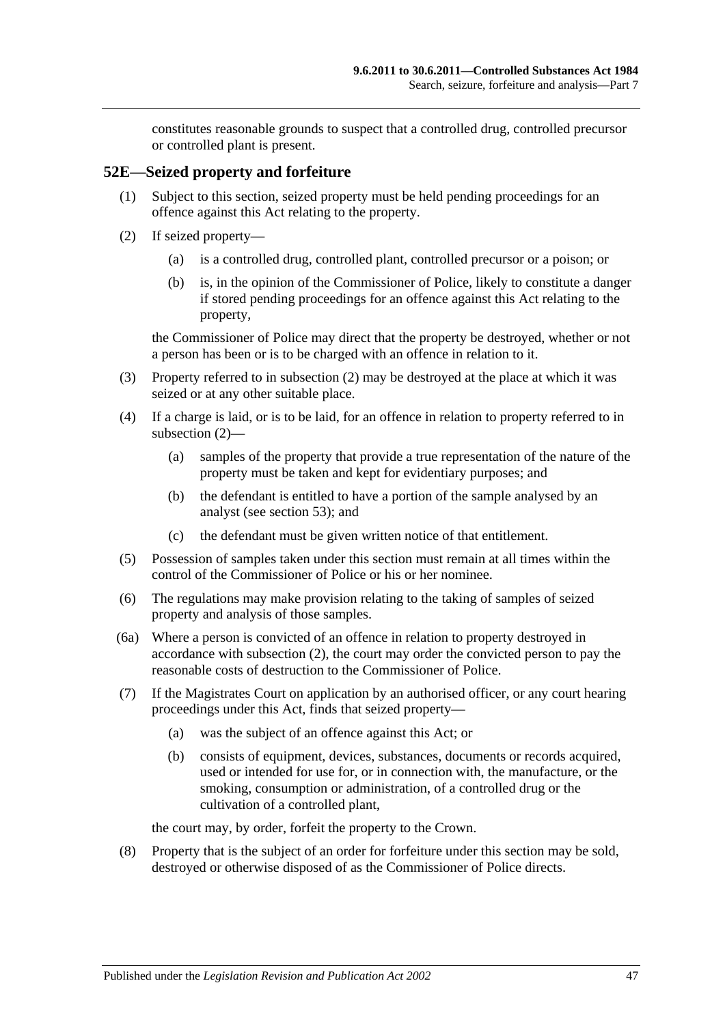constitutes reasonable grounds to suspect that a controlled drug, controlled precursor or controlled plant is present.

### **52E—Seized property and forfeiture**

- (1) Subject to this section, seized property must be held pending proceedings for an offence against this Act relating to the property.
- <span id="page-46-0"></span>(2) If seized property—
	- (a) is a controlled drug, controlled plant, controlled precursor or a poison; or
	- (b) is, in the opinion of the Commissioner of Police, likely to constitute a danger if stored pending proceedings for an offence against this Act relating to the property,

the Commissioner of Police may direct that the property be destroyed, whether or not a person has been or is to be charged with an offence in relation to it.

- (3) Property referred to in [subsection](#page-46-0) (2) may be destroyed at the place at which it was seized or at any other suitable place.
- (4) If a charge is laid, or is to be laid, for an offence in relation to property referred to in [subsection](#page-46-0) (2)—
	- (a) samples of the property that provide a true representation of the nature of the property must be taken and kept for evidentiary purposes; and
	- (b) the defendant is entitled to have a portion of the sample analysed by an analyst (see [section](#page-47-0) 53); and
	- (c) the defendant must be given written notice of that entitlement.
- (5) Possession of samples taken under this section must remain at all times within the control of the Commissioner of Police or his or her nominee.
- (6) The regulations may make provision relating to the taking of samples of seized property and analysis of those samples.
- (6a) Where a person is convicted of an offence in relation to property destroyed in accordance with [subsection](#page-46-0) (2), the court may order the convicted person to pay the reasonable costs of destruction to the Commissioner of Police.
- <span id="page-46-1"></span>(7) If the Magistrates Court on application by an authorised officer, or any court hearing proceedings under this Act, finds that seized property—
	- (a) was the subject of an offence against this Act; or
	- (b) consists of equipment, devices, substances, documents or records acquired, used or intended for use for, or in connection with, the manufacture, or the smoking, consumption or administration, of a controlled drug or the cultivation of a controlled plant,

the court may, by order, forfeit the property to the Crown.

(8) Property that is the subject of an order for forfeiture under this section may be sold, destroyed or otherwise disposed of as the Commissioner of Police directs.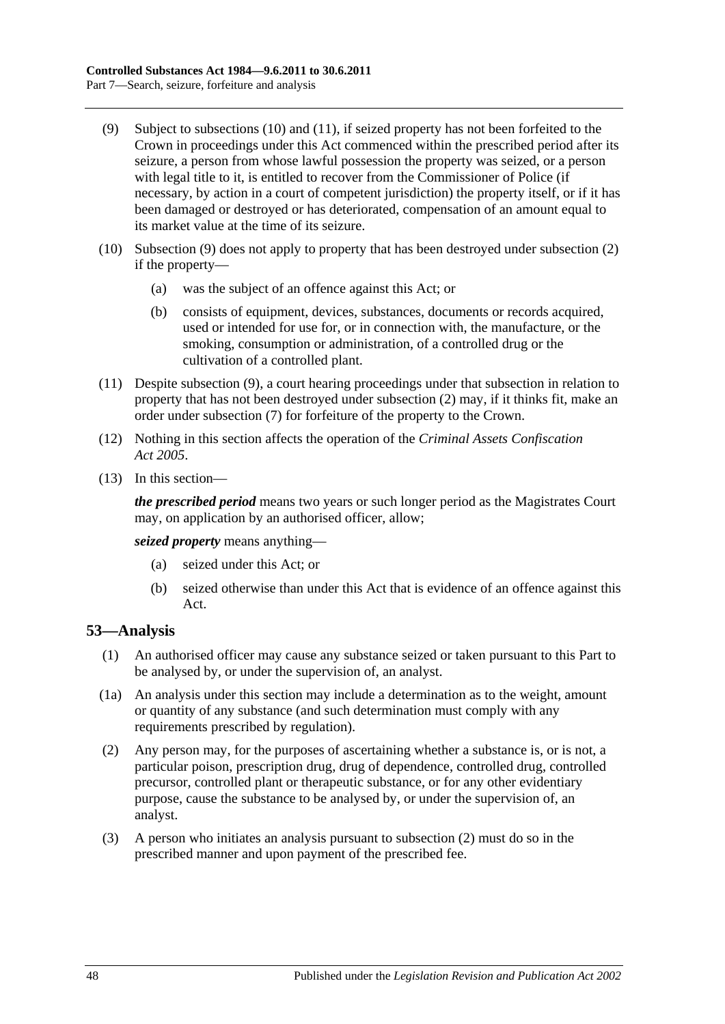- <span id="page-47-3"></span>(9) Subject to [subsections](#page-47-1) (10) and [\(11\),](#page-47-2) if seized property has not been forfeited to the Crown in proceedings under this Act commenced within the prescribed period after its seizure, a person from whose lawful possession the property was seized, or a person with legal title to it, is entitled to recover from the Commissioner of Police (if necessary, by action in a court of competent jurisdiction) the property itself, or if it has been damaged or destroyed or has deteriorated, compensation of an amount equal to its market value at the time of its seizure.
- <span id="page-47-1"></span>(10) [Subsection](#page-47-3) (9) does not apply to property that has been destroyed under [subsection](#page-46-0) (2) if the property—
	- (a) was the subject of an offence against this Act; or
	- (b) consists of equipment, devices, substances, documents or records acquired, used or intended for use for, or in connection with, the manufacture, or the smoking, consumption or administration, of a controlled drug or the cultivation of a controlled plant.
- <span id="page-47-2"></span>(11) Despite [subsection](#page-47-3) (9), a court hearing proceedings under that subsection in relation to property that has not been destroyed under [subsection](#page-46-0) (2) may, if it thinks fit, make an order under [subsection](#page-46-1) (7) for forfeiture of the property to the Crown.
- (12) Nothing in this section affects the operation of the *[Criminal Assets Confiscation](http://www.legislation.sa.gov.au/index.aspx?action=legref&type=act&legtitle=Criminal%20Assets%20Confiscation%20Act%202005)  Act [2005](http://www.legislation.sa.gov.au/index.aspx?action=legref&type=act&legtitle=Criminal%20Assets%20Confiscation%20Act%202005)*.
- (13) In this section—

*the prescribed period* means two years or such longer period as the Magistrates Court may, on application by an authorised officer, allow;

*seized property* means anything—

- (a) seized under this Act; or
- (b) seized otherwise than under this Act that is evidence of an offence against this Act.

# <span id="page-47-0"></span>**53—Analysis**

- (1) An authorised officer may cause any substance seized or taken pursuant to this Part to be analysed by, or under the supervision of, an analyst.
- (1a) An analysis under this section may include a determination as to the weight, amount or quantity of any substance (and such determination must comply with any requirements prescribed by regulation).
- <span id="page-47-4"></span>(2) Any person may, for the purposes of ascertaining whether a substance is, or is not, a particular poison, prescription drug, drug of dependence, controlled drug, controlled precursor, controlled plant or therapeutic substance, or for any other evidentiary purpose, cause the substance to be analysed by, or under the supervision of, an analyst.
- (3) A person who initiates an analysis pursuant to [subsection](#page-47-4) (2) must do so in the prescribed manner and upon payment of the prescribed fee.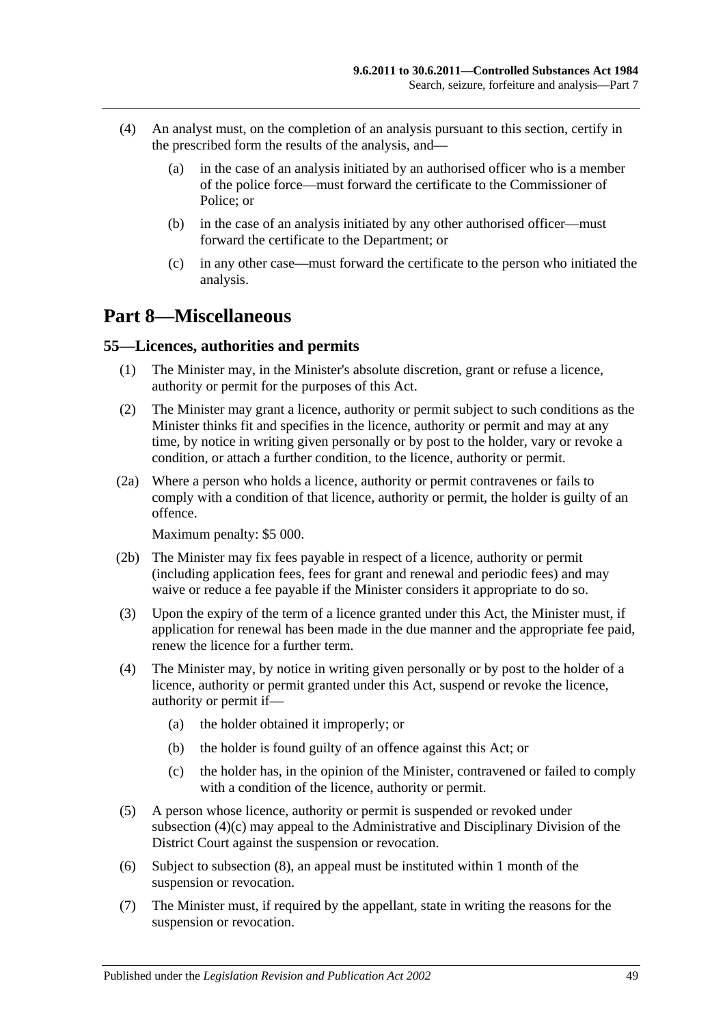- (4) An analyst must, on the completion of an analysis pursuant to this section, certify in the prescribed form the results of the analysis, and—
	- (a) in the case of an analysis initiated by an authorised officer who is a member of the police force—must forward the certificate to the Commissioner of Police; or
	- (b) in the case of an analysis initiated by any other authorised officer—must forward the certificate to the Department; or
	- (c) in any other case—must forward the certificate to the person who initiated the analysis.

# **Part 8—Miscellaneous**

### **55—Licences, authorities and permits**

- (1) The Minister may, in the Minister's absolute discretion, grant or refuse a licence, authority or permit for the purposes of this Act.
- (2) The Minister may grant a licence, authority or permit subject to such conditions as the Minister thinks fit and specifies in the licence, authority or permit and may at any time, by notice in writing given personally or by post to the holder, vary or revoke a condition, or attach a further condition, to the licence, authority or permit.
- (2a) Where a person who holds a licence, authority or permit contravenes or fails to comply with a condition of that licence, authority or permit, the holder is guilty of an offence.

Maximum penalty: \$5 000.

- (2b) The Minister may fix fees payable in respect of a licence, authority or permit (including application fees, fees for grant and renewal and periodic fees) and may waive or reduce a fee payable if the Minister considers it appropriate to do so.
- (3) Upon the expiry of the term of a licence granted under this Act, the Minister must, if application for renewal has been made in the due manner and the appropriate fee paid, renew the licence for a further term.
- (4) The Minister may, by notice in writing given personally or by post to the holder of a licence, authority or permit granted under this Act, suspend or revoke the licence, authority or permit if—
	- (a) the holder obtained it improperly; or
	- (b) the holder is found guilty of an offence against this Act; or
	- (c) the holder has, in the opinion of the Minister, contravened or failed to comply with a condition of the licence, authority or permit.
- <span id="page-48-0"></span>(5) A person whose licence, authority or permit is suspended or revoked under [subsection](#page-48-0) (4)(c) may appeal to the Administrative and Disciplinary Division of the District Court against the suspension or revocation.
- (6) Subject to [subsection](#page-49-0) (8), an appeal must be instituted within 1 month of the suspension or revocation.
- (7) The Minister must, if required by the appellant, state in writing the reasons for the suspension or revocation.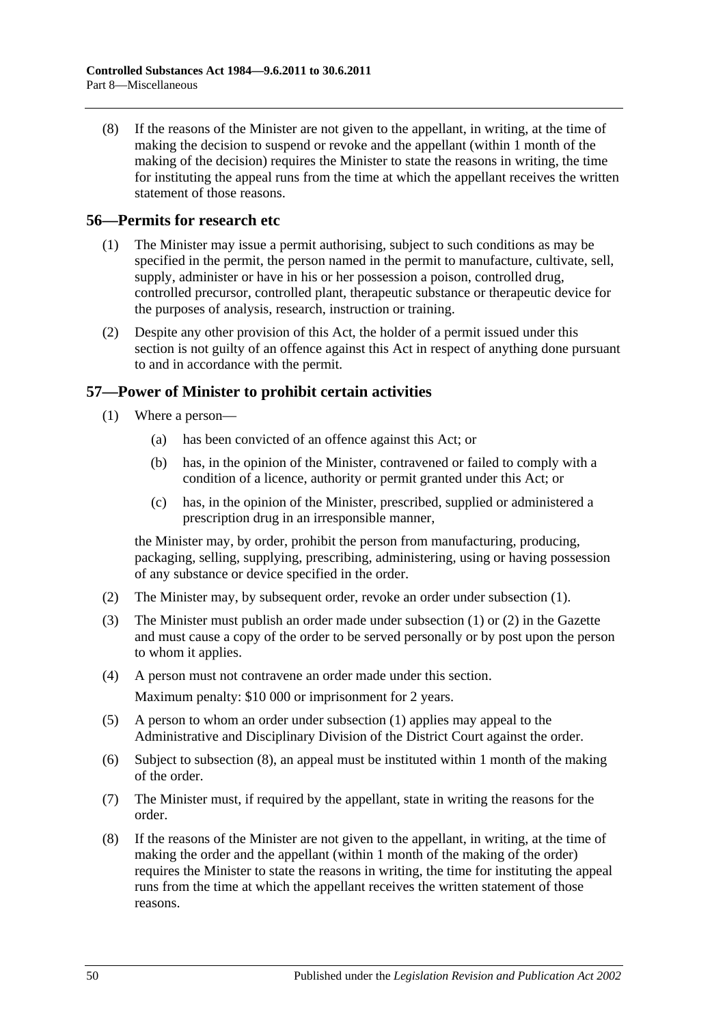<span id="page-49-0"></span>(8) If the reasons of the Minister are not given to the appellant, in writing, at the time of making the decision to suspend or revoke and the appellant (within 1 month of the making of the decision) requires the Minister to state the reasons in writing, the time for instituting the appeal runs from the time at which the appellant receives the written statement of those reasons.

# **56—Permits for research etc**

- (1) The Minister may issue a permit authorising, subject to such conditions as may be specified in the permit, the person named in the permit to manufacture, cultivate, sell, supply, administer or have in his or her possession a poison, controlled drug, controlled precursor, controlled plant, therapeutic substance or therapeutic device for the purposes of analysis, research, instruction or training.
- (2) Despite any other provision of this Act, the holder of a permit issued under this section is not guilty of an offence against this Act in respect of anything done pursuant to and in accordance with the permit.

# <span id="page-49-1"></span>**57—Power of Minister to prohibit certain activities**

- (1) Where a person—
	- (a) has been convicted of an offence against this Act; or
	- (b) has, in the opinion of the Minister, contravened or failed to comply with a condition of a licence, authority or permit granted under this Act; or
	- (c) has, in the opinion of the Minister, prescribed, supplied or administered a prescription drug in an irresponsible manner,

the Minister may, by order, prohibit the person from manufacturing, producing, packaging, selling, supplying, prescribing, administering, using or having possession of any substance or device specified in the order.

- <span id="page-49-2"></span>(2) The Minister may, by subsequent order, revoke an order under [subsection](#page-49-1) (1).
- (3) The Minister must publish an order made under [subsection](#page-49-1) (1) or [\(2\)](#page-49-2) in the Gazette and must cause a copy of the order to be served personally or by post upon the person to whom it applies.
- (4) A person must not contravene an order made under this section. Maximum penalty: \$10 000 or imprisonment for 2 years.
- (5) A person to whom an order under [subsection](#page-49-1) (1) applies may appeal to the Administrative and Disciplinary Division of the District Court against the order.
- (6) Subject to [subsection](#page-49-3) (8), an appeal must be instituted within 1 month of the making of the order.
- (7) The Minister must, if required by the appellant, state in writing the reasons for the order.
- <span id="page-49-3"></span>(8) If the reasons of the Minister are not given to the appellant, in writing, at the time of making the order and the appellant (within 1 month of the making of the order) requires the Minister to state the reasons in writing, the time for instituting the appeal runs from the time at which the appellant receives the written statement of those reasons.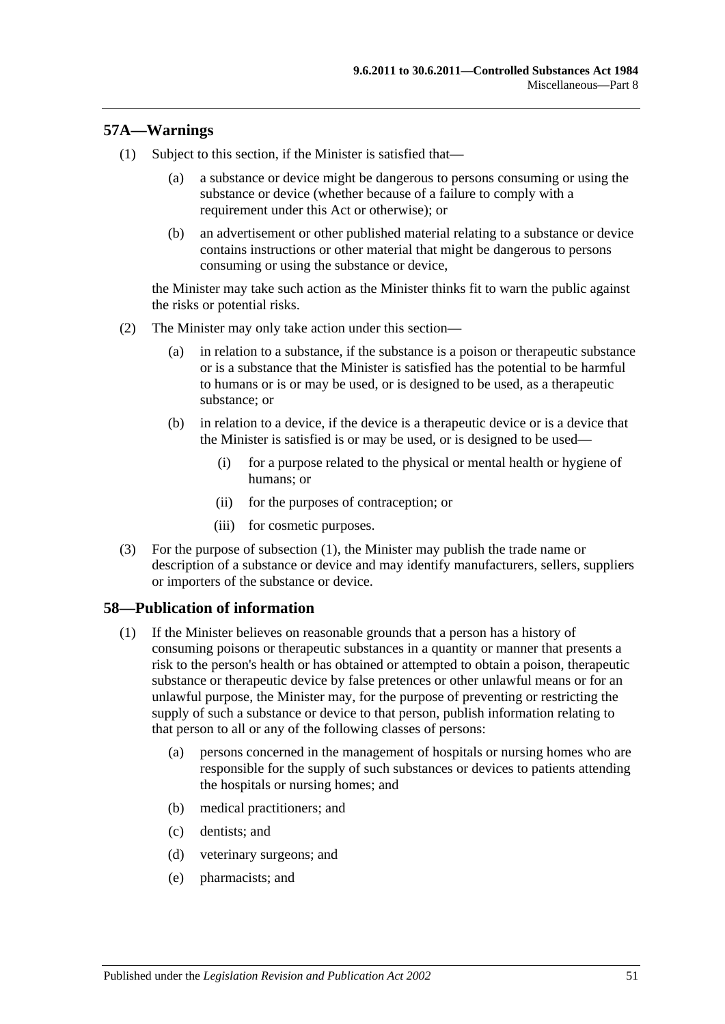# <span id="page-50-0"></span>**57A—Warnings**

- (1) Subject to this section, if the Minister is satisfied that—
	- (a) a substance or device might be dangerous to persons consuming or using the substance or device (whether because of a failure to comply with a requirement under this Act or otherwise); or
	- (b) an advertisement or other published material relating to a substance or device contains instructions or other material that might be dangerous to persons consuming or using the substance or device,

the Minister may take such action as the Minister thinks fit to warn the public against the risks or potential risks.

- (2) The Minister may only take action under this section—
	- (a) in relation to a substance, if the substance is a poison or therapeutic substance or is a substance that the Minister is satisfied has the potential to be harmful to humans or is or may be used, or is designed to be used, as a therapeutic substance; or
	- (b) in relation to a device, if the device is a therapeutic device or is a device that the Minister is satisfied is or may be used, or is designed to be used—
		- (i) for a purpose related to the physical or mental health or hygiene of humans; or
		- (ii) for the purposes of contraception; or
		- (iii) for cosmetic purposes.
- (3) For the purpose of [subsection](#page-50-0) (1), the Minister may publish the trade name or description of a substance or device and may identify manufacturers, sellers, suppliers or importers of the substance or device.

# <span id="page-50-1"></span>**58—Publication of information**

- (1) If the Minister believes on reasonable grounds that a person has a history of consuming poisons or therapeutic substances in a quantity or manner that presents a risk to the person's health or has obtained or attempted to obtain a poison, therapeutic substance or therapeutic device by false pretences or other unlawful means or for an unlawful purpose, the Minister may, for the purpose of preventing or restricting the supply of such a substance or device to that person, publish information relating to that person to all or any of the following classes of persons:
	- (a) persons concerned in the management of hospitals or nursing homes who are responsible for the supply of such substances or devices to patients attending the hospitals or nursing homes; and
	- (b) medical practitioners; and
	- (c) dentists; and
	- (d) veterinary surgeons; and
	- (e) pharmacists; and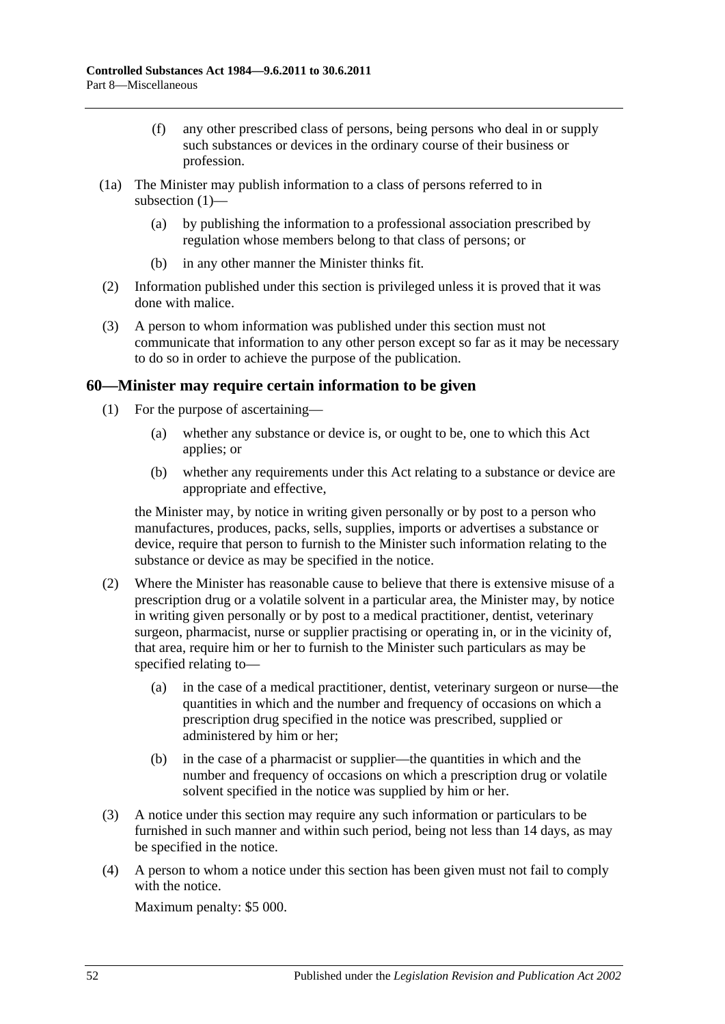- (f) any other prescribed class of persons, being persons who deal in or supply such substances or devices in the ordinary course of their business or profession.
- (1a) The Minister may publish information to a class of persons referred to in [subsection](#page-50-1) (1)—
	- (a) by publishing the information to a professional association prescribed by regulation whose members belong to that class of persons; or
	- (b) in any other manner the Minister thinks fit.
- (2) Information published under this section is privileged unless it is proved that it was done with malice.
- (3) A person to whom information was published under this section must not communicate that information to any other person except so far as it may be necessary to do so in order to achieve the purpose of the publication.

# **60—Minister may require certain information to be given**

- (1) For the purpose of ascertaining—
	- (a) whether any substance or device is, or ought to be, one to which this Act applies; or
	- (b) whether any requirements under this Act relating to a substance or device are appropriate and effective,

the Minister may, by notice in writing given personally or by post to a person who manufactures, produces, packs, sells, supplies, imports or advertises a substance or device, require that person to furnish to the Minister such information relating to the substance or device as may be specified in the notice.

- (2) Where the Minister has reasonable cause to believe that there is extensive misuse of a prescription drug or a volatile solvent in a particular area, the Minister may, by notice in writing given personally or by post to a medical practitioner, dentist, veterinary surgeon, pharmacist, nurse or supplier practising or operating in, or in the vicinity of, that area, require him or her to furnish to the Minister such particulars as may be specified relating to—
	- (a) in the case of a medical practitioner, dentist, veterinary surgeon or nurse—the quantities in which and the number and frequency of occasions on which a prescription drug specified in the notice was prescribed, supplied or administered by him or her;
	- (b) in the case of a pharmacist or supplier—the quantities in which and the number and frequency of occasions on which a prescription drug or volatile solvent specified in the notice was supplied by him or her.
- (3) A notice under this section may require any such information or particulars to be furnished in such manner and within such period, being not less than 14 days, as may be specified in the notice.
- (4) A person to whom a notice under this section has been given must not fail to comply with the notice.

Maximum penalty: \$5 000.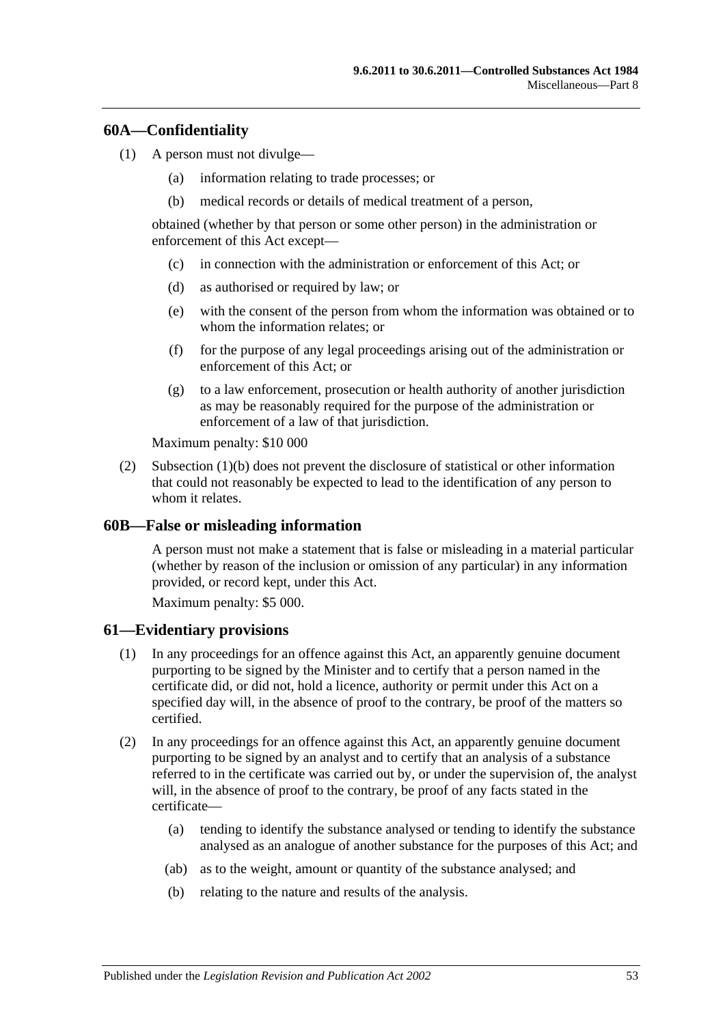### **60A—Confidentiality**

- <span id="page-52-0"></span>(1) A person must not divulge—
	- (a) information relating to trade processes; or
	- (b) medical records or details of medical treatment of a person,

obtained (whether by that person or some other person) in the administration or enforcement of this Act except—

- (c) in connection with the administration or enforcement of this Act; or
- (d) as authorised or required by law; or
- (e) with the consent of the person from whom the information was obtained or to whom the information relates; or
- (f) for the purpose of any legal proceedings arising out of the administration or enforcement of this Act; or
- (g) to a law enforcement, prosecution or health authority of another jurisdiction as may be reasonably required for the purpose of the administration or enforcement of a law of that jurisdiction.

Maximum penalty: \$10 000

(2) [Subsection](#page-52-0) (1)(b) does not prevent the disclosure of statistical or other information that could not reasonably be expected to lead to the identification of any person to whom it relates.

#### **60B—False or misleading information**

A person must not make a statement that is false or misleading in a material particular (whether by reason of the inclusion or omission of any particular) in any information provided, or record kept, under this Act.

Maximum penalty: \$5 000.

#### **61—Evidentiary provisions**

- (1) In any proceedings for an offence against this Act, an apparently genuine document purporting to be signed by the Minister and to certify that a person named in the certificate did, or did not, hold a licence, authority or permit under this Act on a specified day will, in the absence of proof to the contrary, be proof of the matters so certified.
- (2) In any proceedings for an offence against this Act, an apparently genuine document purporting to be signed by an analyst and to certify that an analysis of a substance referred to in the certificate was carried out by, or under the supervision of, the analyst will, in the absence of proof to the contrary, be proof of any facts stated in the certificate—
	- (a) tending to identify the substance analysed or tending to identify the substance analysed as an analogue of another substance for the purposes of this Act; and
	- (ab) as to the weight, amount or quantity of the substance analysed; and
	- (b) relating to the nature and results of the analysis.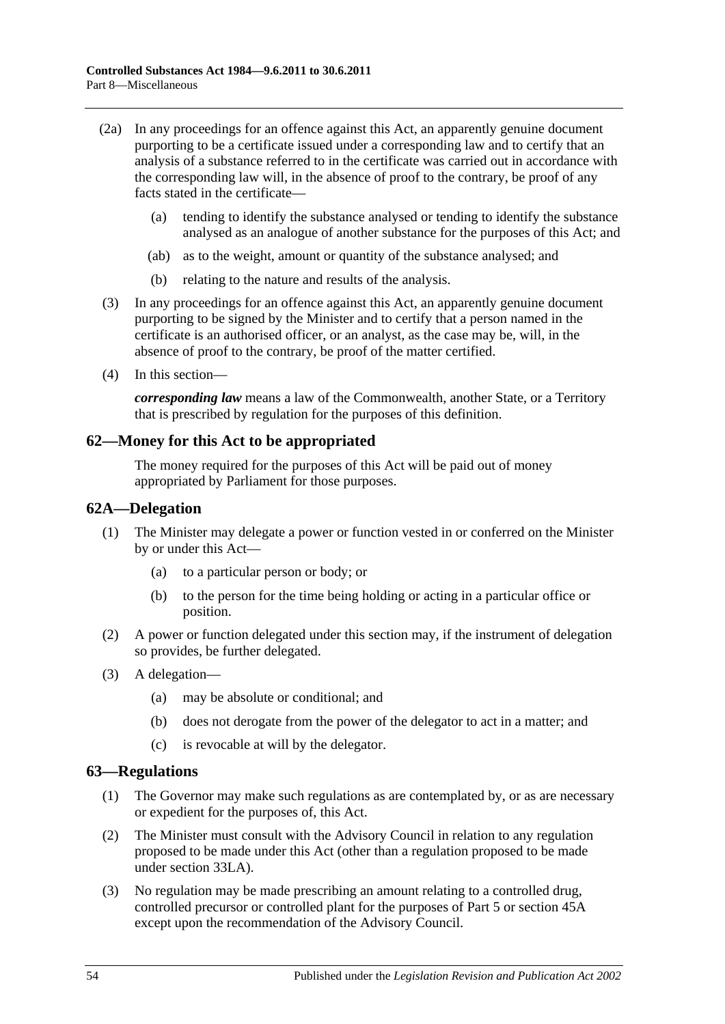- (2a) In any proceedings for an offence against this Act, an apparently genuine document purporting to be a certificate issued under a corresponding law and to certify that an analysis of a substance referred to in the certificate was carried out in accordance with the corresponding law will, in the absence of proof to the contrary, be proof of any facts stated in the certificate—
	- (a) tending to identify the substance analysed or tending to identify the substance analysed as an analogue of another substance for the purposes of this Act; and
	- (ab) as to the weight, amount or quantity of the substance analysed; and
	- (b) relating to the nature and results of the analysis.
- (3) In any proceedings for an offence against this Act, an apparently genuine document purporting to be signed by the Minister and to certify that a person named in the certificate is an authorised officer, or an analyst, as the case may be, will, in the absence of proof to the contrary, be proof of the matter certified.
- (4) In this section—

*corresponding law* means a law of the Commonwealth, another State, or a Territory that is prescribed by regulation for the purposes of this definition.

### **62—Money for this Act to be appropriated**

The money required for the purposes of this Act will be paid out of money appropriated by Parliament for those purposes.

#### **62A—Delegation**

- (1) The Minister may delegate a power or function vested in or conferred on the Minister by or under this Act—
	- (a) to a particular person or body; or
	- (b) to the person for the time being holding or acting in a particular office or position.
- (2) A power or function delegated under this section may, if the instrument of delegation so provides, be further delegated.
- (3) A delegation—
	- (a) may be absolute or conditional; and
	- (b) does not derogate from the power of the delegator to act in a matter; and
	- (c) is revocable at will by the delegator.

#### <span id="page-53-0"></span>**63—Regulations**

- (1) The Governor may make such regulations as are contemplated by, or as are necessary or expedient for the purposes of, this Act.
- (2) The Minister must consult with the Advisory Council in relation to any regulation proposed to be made under this Act (other than a regulation proposed to be made under [section](#page-30-3) 33LA).
- (3) No regulation may be made prescribing an amount relating to a controlled drug, controlled precursor or controlled plant for the purposes of [Part 5](#page-22-0) or [section](#page-39-2) 45A except upon the recommendation of the Advisory Council.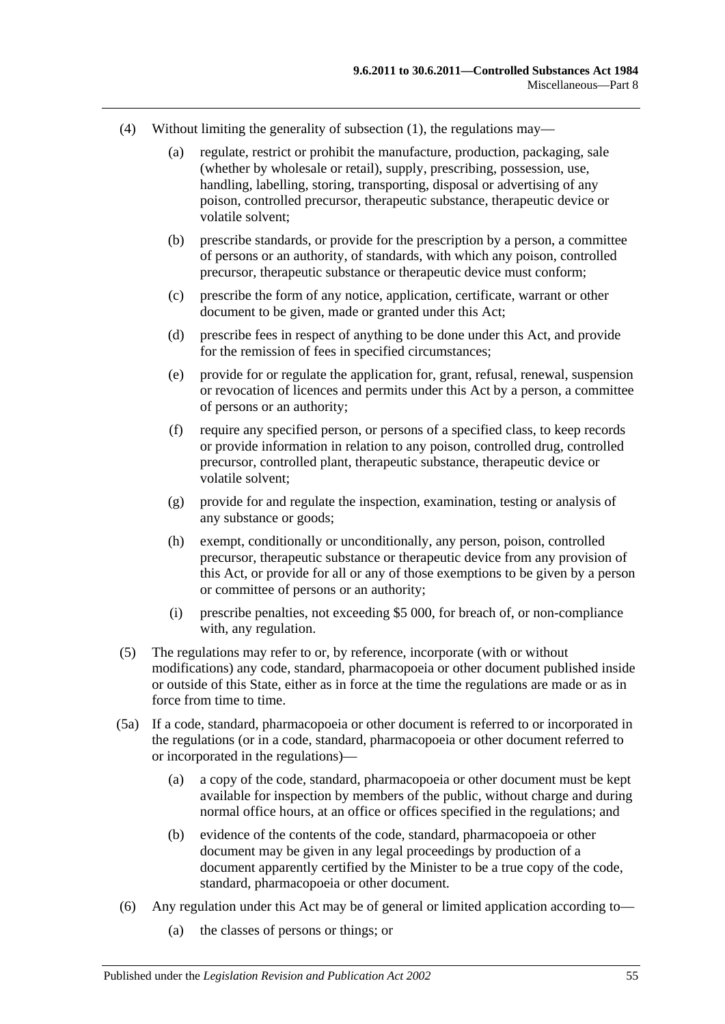- (4) Without limiting the generality of [subsection](#page-53-0) (1), the regulations may—
	- (a) regulate, restrict or prohibit the manufacture, production, packaging, sale (whether by wholesale or retail), supply, prescribing, possession, use, handling, labelling, storing, transporting, disposal or advertising of any poison, controlled precursor, therapeutic substance, therapeutic device or volatile solvent;
	- (b) prescribe standards, or provide for the prescription by a person, a committee of persons or an authority, of standards, with which any poison, controlled precursor, therapeutic substance or therapeutic device must conform;
	- (c) prescribe the form of any notice, application, certificate, warrant or other document to be given, made or granted under this Act;
	- (d) prescribe fees in respect of anything to be done under this Act, and provide for the remission of fees in specified circumstances;
	- (e) provide for or regulate the application for, grant, refusal, renewal, suspension or revocation of licences and permits under this Act by a person, a committee of persons or an authority;
	- (f) require any specified person, or persons of a specified class, to keep records or provide information in relation to any poison, controlled drug, controlled precursor, controlled plant, therapeutic substance, therapeutic device or volatile solvent;
	- (g) provide for and regulate the inspection, examination, testing or analysis of any substance or goods;
	- (h) exempt, conditionally or unconditionally, any person, poison, controlled precursor, therapeutic substance or therapeutic device from any provision of this Act, or provide for all or any of those exemptions to be given by a person or committee of persons or an authority;
	- (i) prescribe penalties, not exceeding \$5 000, for breach of, or non-compliance with, any regulation.
- (5) The regulations may refer to or, by reference, incorporate (with or without modifications) any code, standard, pharmacopoeia or other document published inside or outside of this State, either as in force at the time the regulations are made or as in force from time to time.
- (5a) If a code, standard, pharmacopoeia or other document is referred to or incorporated in the regulations (or in a code, standard, pharmacopoeia or other document referred to or incorporated in the regulations)—
	- (a) a copy of the code, standard, pharmacopoeia or other document must be kept available for inspection by members of the public, without charge and during normal office hours, at an office or offices specified in the regulations; and
	- (b) evidence of the contents of the code, standard, pharmacopoeia or other document may be given in any legal proceedings by production of a document apparently certified by the Minister to be a true copy of the code, standard, pharmacopoeia or other document.
- (6) Any regulation under this Act may be of general or limited application according to—
	- (a) the classes of persons or things; or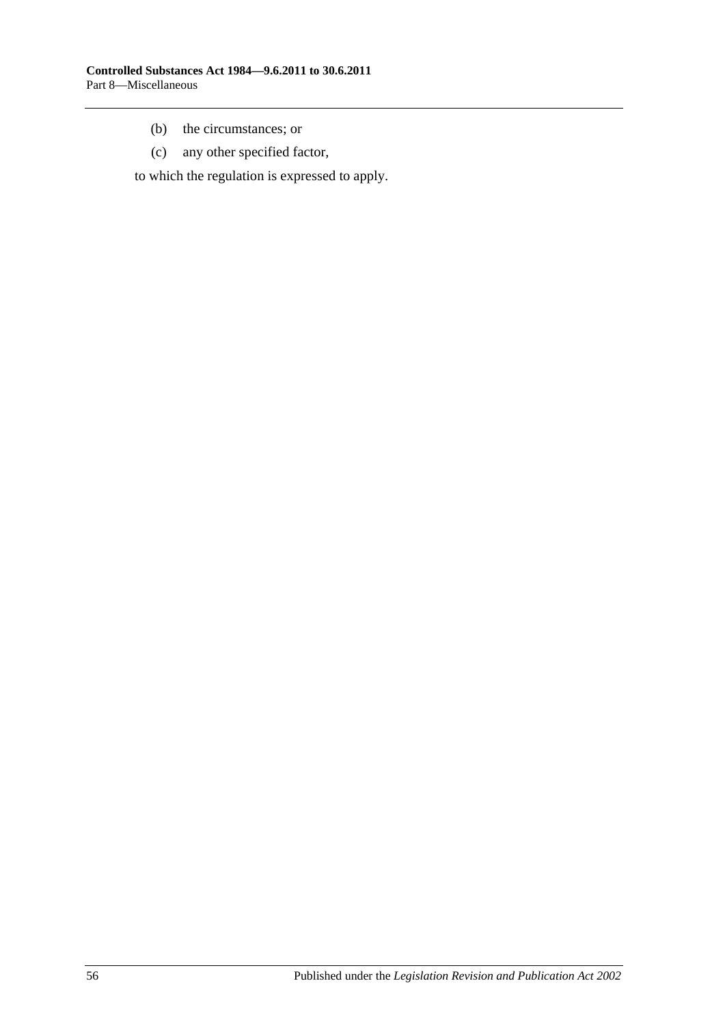- (b) the circumstances; or
- (c) any other specified factor,

to which the regulation is expressed to apply.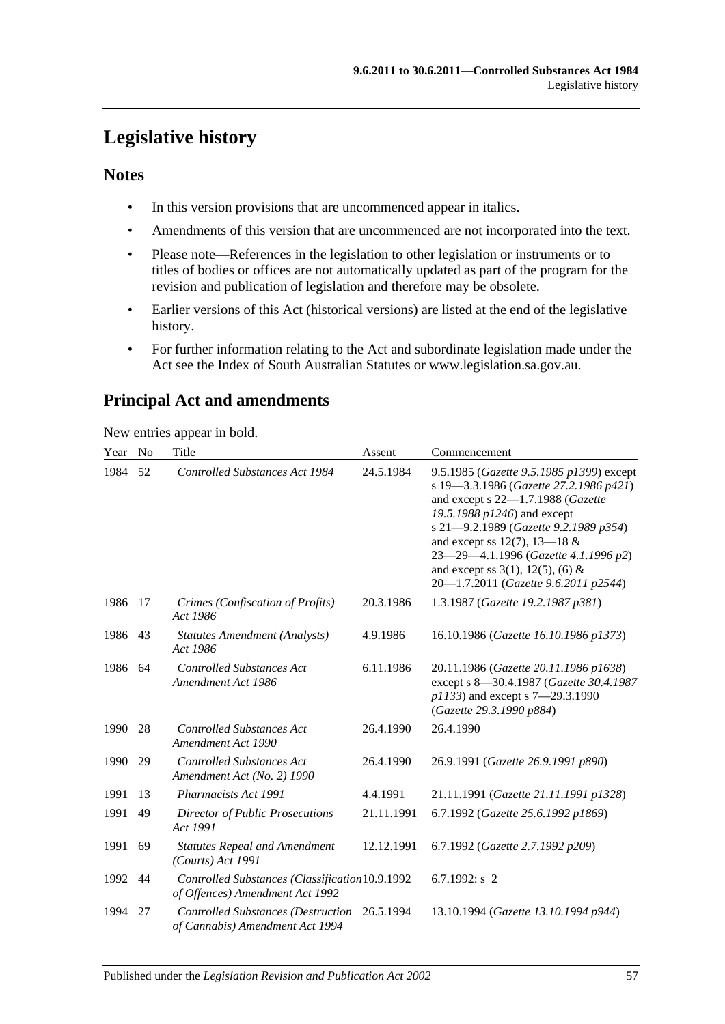# **Legislative history**

# **Notes**

- In this version provisions that are uncommenced appear in italics.
- Amendments of this version that are uncommenced are not incorporated into the text.
- Please note—References in the legislation to other legislation or instruments or to titles of bodies or offices are not automatically updated as part of the program for the revision and publication of legislation and therefore may be obsolete.
- Earlier versions of this Act (historical versions) are listed at the end of the legislative history.
- For further information relating to the Act and subordinate legislation made under the Act see the Index of South Australian Statutes or www.legislation.sa.gov.au.

# **Principal Act and amendments**

New entries appear in bold.

| Year | N <sub>0</sub> | Title                                                                              | Assent     | Commencement                                                                                                                                                                                                                                                                                                                                                  |
|------|----------------|------------------------------------------------------------------------------------|------------|---------------------------------------------------------------------------------------------------------------------------------------------------------------------------------------------------------------------------------------------------------------------------------------------------------------------------------------------------------------|
| 1984 | 52             | Controlled Substances Act 1984                                                     | 24.5.1984  | 9.5.1985 (Gazette 9.5.1985 p1399) except<br>s 19-3.3.1986 (Gazette 27.2.1986 p421)<br>and except s 22-1.7.1988 (Gazette<br>19.5.1988 p1246) and except<br>s 21-9.2.1989 (Gazette 9.2.1989 p354)<br>and except ss 12(7), 13—18 $&$<br>23-29-4.1.1996 (Gazette 4.1.1996 p2)<br>and except ss $3(1)$ , $12(5)$ , $(6)$ &<br>20-1.7.2011 (Gazette 9.6.2011 p2544) |
| 1986 | 17             | Crimes (Confiscation of Profits)<br>Act 1986                                       | 20.3.1986  | 1.3.1987 (Gazette 19.2.1987 p381)                                                                                                                                                                                                                                                                                                                             |
| 1986 | 43             | Statutes Amendment (Analysts)<br>Act 1986                                          | 4.9.1986   | 16.10.1986 (Gazette 16.10.1986 p1373)                                                                                                                                                                                                                                                                                                                         |
| 1986 | 64             | <b>Controlled Substances Act</b><br>Amendment Act 1986                             | 6.11.1986  | 20.11.1986 (Gazette 20.11.1986 p1638)<br>except s 8-30.4.1987 (Gazette 30.4.1987<br>p1133) and except s 7-29.3.1990<br>(Gazette 29.3.1990 p884)                                                                                                                                                                                                               |
| 1990 | 28             | <b>Controlled Substances Act</b><br>Amendment Act 1990                             | 26.4.1990  | 26.4.1990                                                                                                                                                                                                                                                                                                                                                     |
| 1990 | 29             | <b>Controlled Substances Act</b><br>Amendment Act (No. 2) 1990                     | 26.4.1990  | 26.9.1991 (Gazette 26.9.1991 p890)                                                                                                                                                                                                                                                                                                                            |
| 1991 | 13             | Pharmacists Act 1991                                                               | 4.4.1991   | 21.11.1991 (Gazette 21.11.1991 p1328)                                                                                                                                                                                                                                                                                                                         |
| 1991 | 49             | Director of Public Prosecutions<br>Act 1991                                        | 21.11.1991 | 6.7.1992 (Gazette 25.6.1992 p1869)                                                                                                                                                                                                                                                                                                                            |
| 1991 | 69             | <b>Statutes Repeal and Amendment</b><br>$(Courts)$ Act 1991                        | 12.12.1991 | 6.7.1992 (Gazette 2.7.1992 p209)                                                                                                                                                                                                                                                                                                                              |
| 1992 | 44             | Controlled Substances (Classification 10.9.1992<br>of Offences) Amendment Act 1992 |            | 6.7.1992: $s$ 2                                                                                                                                                                                                                                                                                                                                               |
| 1994 | 27             | <b>Controlled Substances (Destruction</b><br>of Cannabis) Amendment Act 1994       | 26.5.1994  | 13.10.1994 (Gazette 13.10.1994 p944)                                                                                                                                                                                                                                                                                                                          |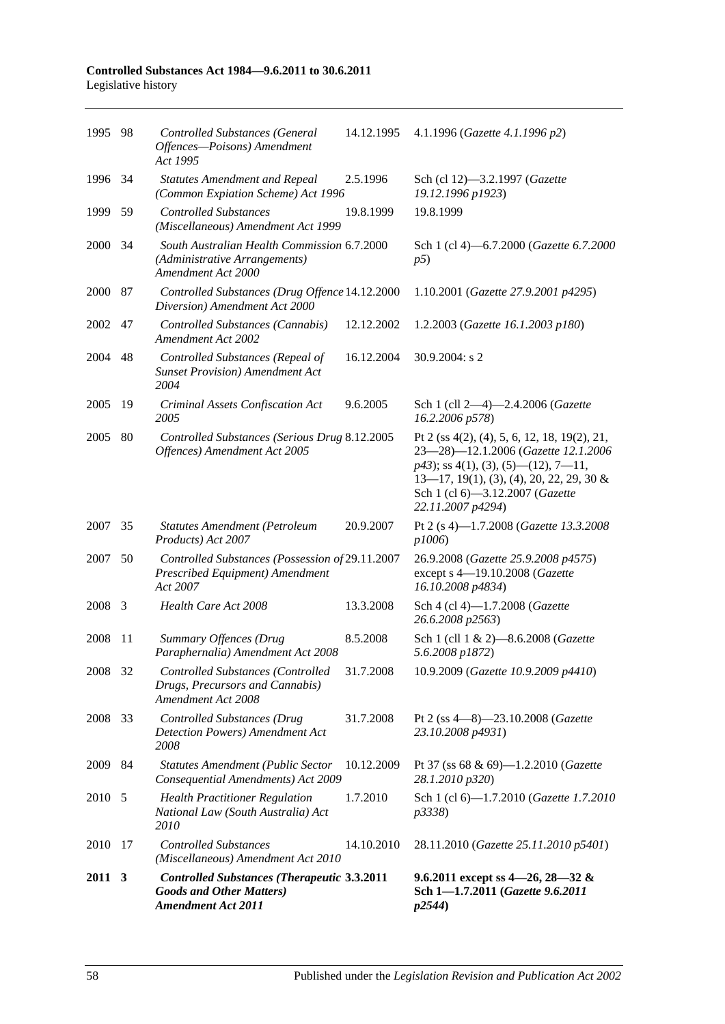#### **Controlled Substances Act 1984—9.6.2011 to 30.6.2011** Legislative history

| 1995 98 |     | <b>Controlled Substances (General</b><br>Offences-Poisons) Amendment<br>Act 1995                                   | 14.12.1995 | 4.1.1996 (Gazette 4.1.1996 p2)                                                                                                                                                                                                                              |
|---------|-----|--------------------------------------------------------------------------------------------------------------------|------------|-------------------------------------------------------------------------------------------------------------------------------------------------------------------------------------------------------------------------------------------------------------|
| 1996 34 |     | <b>Statutes Amendment and Repeal</b><br>(Common Expiation Scheme) Act 1996                                         | 2.5.1996   | Sch (cl 12)-3.2.1997 (Gazette<br>19.12.1996 p1923)                                                                                                                                                                                                          |
| 1999    | 59  | <b>Controlled Substances</b><br>(Miscellaneous) Amendment Act 1999                                                 | 19.8.1999  | 19.8.1999                                                                                                                                                                                                                                                   |
| 2000    | -34 | South Australian Health Commission 6.7.2000<br>(Administrative Arrangements)<br>Amendment Act 2000                 |            | Sch 1 (cl 4)-6.7.2000 (Gazette 6.7.2000<br>p5)                                                                                                                                                                                                              |
| 2000 87 |     | Controlled Substances (Drug Offence 14.12.2000<br>Diversion) Amendment Act 2000                                    |            | 1.10.2001 (Gazette 27.9.2001 p4295)                                                                                                                                                                                                                         |
| 2002    | 47  | Controlled Substances (Cannabis)<br><b>Amendment Act 2002</b>                                                      | 12.12.2002 | 1.2.2003 (Gazette 16.1.2003 p180)                                                                                                                                                                                                                           |
| 2004    | 48  | Controlled Substances (Repeal of<br><b>Sunset Provision</b> ) Amendment Act<br>2004                                | 16.12.2004 | 30.9.2004: s 2                                                                                                                                                                                                                                              |
| 2005    | 19  | Criminal Assets Confiscation Act<br>2005                                                                           | 9.6.2005   | Sch 1 (cll 2-4)-2.4.2006 (Gazette<br>16.2.2006 p578)                                                                                                                                                                                                        |
| 2005    | 80  | Controlled Substances (Serious Drug 8.12.2005<br>Offences) Amendment Act 2005                                      |            | Pt 2 (ss $4(2)$ , (4), 5, 6, 12, 18, 19(2), 21,<br>23-28)-12.1.2006 (Gazette 12.1.2006<br>$p43$ ; ss 4(1), (3), (5)—(12), 7—11,<br>$13-17$ , $19(1)$ , $(3)$ , $(4)$ , $20$ , $22$ , $29$ , $30 \&$<br>Sch 1 (cl 6)-3.12.2007 (Gazette<br>22.11.2007 p4294) |
| 2007 35 |     | <b>Statutes Amendment (Petroleum</b><br>Products) Act 2007                                                         | 20.9.2007  | Pt 2 (s 4)-1.7.2008 (Gazette 13.3.2008<br>p1006)                                                                                                                                                                                                            |
| 2007    | 50  | Controlled Substances (Possession of 29.11.2007<br>Prescribed Equipment) Amendment<br>Act 2007                     |            | 26.9.2008 (Gazette 25.9.2008 p4575)<br>except s 4-19.10.2008 (Gazette<br>16.10.2008 p4834)                                                                                                                                                                  |
| 2008    | 3   | Health Care Act 2008                                                                                               | 13.3.2008  | Sch 4 (cl 4)-1.7.2008 (Gazette<br>26.6.2008 p2563)                                                                                                                                                                                                          |
| 2008    | 11  | Summary Offences (Drug<br>Paraphernalia) Amendment Act 2008                                                        | 8.5.2008   | Sch 1 (cll 1 & 2)-8.6.2008 (Gazette<br>5.6.2008 p1872)                                                                                                                                                                                                      |
| 2008 32 |     | <b>Controlled Substances (Controlled</b><br>Drugs, Precursors and Cannabis)<br>Amendment Act 2008                  | 31.7.2008  | 10.9.2009 (Gazette 10.9.2009 p4410)                                                                                                                                                                                                                         |
| 2008    | 33  | <b>Controlled Substances (Drug</b><br>Detection Powers) Amendment Act<br>2008                                      | 31.7.2008  | Pt 2 (ss $4-8$ ) $-23.10.2008$ ( <i>Gazette</i><br>23.10.2008 p4931)                                                                                                                                                                                        |
| 2009 84 |     | <b>Statutes Amendment (Public Sector</b><br>Consequential Amendments) Act 2009                                     | 10.12.2009 | Pt 37 (ss 68 & 69)-1.2.2010 (Gazette<br>28.1.2010 p320)                                                                                                                                                                                                     |
| 2010 5  |     | <b>Health Practitioner Regulation</b><br>National Law (South Australia) Act<br><i>2010</i>                         | 1.7.2010   | Sch 1 (cl 6)-1.7.2010 (Gazette 1.7.2010<br><i>p</i> 3338)                                                                                                                                                                                                   |
| 2010    | 17  | <b>Controlled Substances</b><br>(Miscellaneous) Amendment Act 2010                                                 | 14.10.2010 | 28.11.2010 (Gazette 25.11.2010 p5401)                                                                                                                                                                                                                       |
| 2011 3  |     | <b>Controlled Substances (Therapeutic 3.3.2011</b><br><b>Goods and Other Matters)</b><br><b>Amendment Act 2011</b> |            | 9.6.2011 except ss $4-26$ , $28-32$ &<br>Sch 1-1.7.2011 (Gazette 9.6.2011<br>p2544)                                                                                                                                                                         |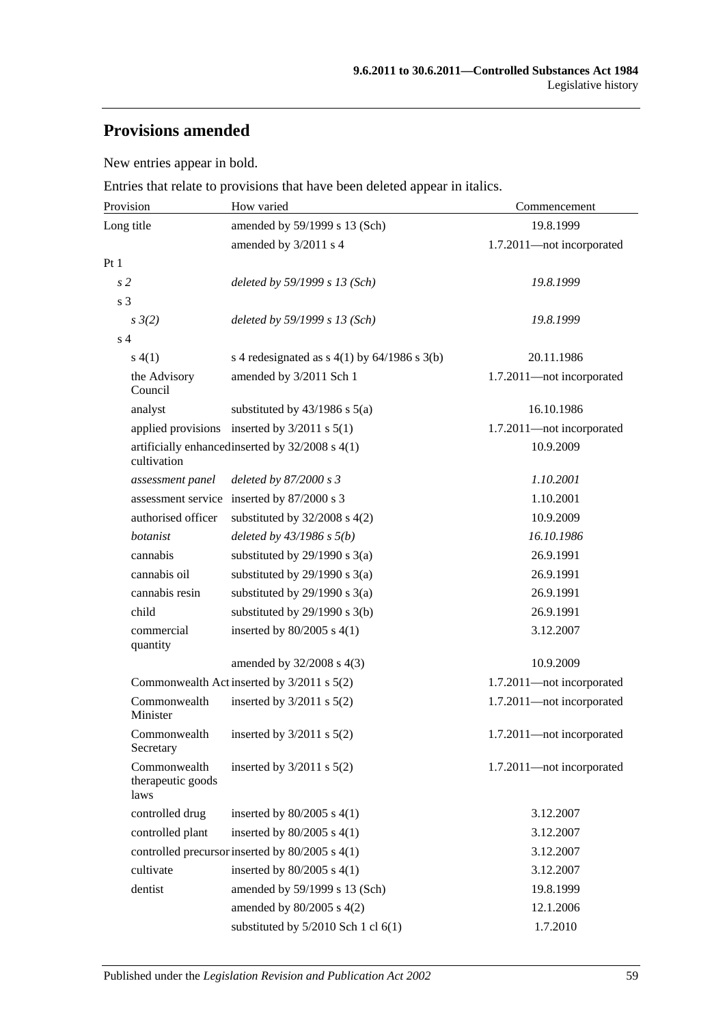# **Provisions amended**

New entries appear in bold.

Entries that relate to provisions that have been deleted appear in italics.

| Provision                                 | How varied                                       | Commencement              |
|-------------------------------------------|--------------------------------------------------|---------------------------|
| Long title                                | amended by 59/1999 s 13 (Sch)                    | 19.8.1999                 |
|                                           | amended by 3/2011 s 4                            | 1.7.2011-not incorporated |
| Pt1                                       |                                                  |                           |
| s <sub>2</sub>                            | deleted by 59/1999 s 13 (Sch)                    | 19.8.1999                 |
| s <sub>3</sub>                            |                                                  |                           |
| $s \frac{3}{2}$                           | deleted by 59/1999 s 13 (Sch)                    | 19.8.1999                 |
| s <sub>4</sub>                            |                                                  |                           |
| s(4(1))                                   | s 4 redesignated as $s$ 4(1) by 64/1986 s 3(b)   | 20.11.1986                |
| the Advisory<br>Council                   | amended by 3/2011 Sch 1                          | 1.7.2011-not incorporated |
| analyst                                   | substituted by $43/1986$ s $5(a)$                | 16.10.1986                |
|                                           | applied provisions inserted by $3/2011$ s $5(1)$ | 1.7.2011-not incorporated |
| cultivation                               | artificially enhanced inserted by 32/2008 s 4(1) | 10.9.2009                 |
| assessment panel                          | deleted by 87/2000 s 3                           | 1.10.2001                 |
|                                           | assessment service inserted by 87/2000 s 3       | 1.10.2001                 |
| authorised officer                        | substituted by $32/2008$ s $4(2)$                | 10.9.2009                 |
| botanist                                  | deleted by $43/1986 s 5(b)$                      | 16.10.1986                |
| cannabis                                  | substituted by $29/1990$ s $3(a)$                | 26.9.1991                 |
| cannabis oil                              | substituted by $29/1990$ s $3(a)$                | 26.9.1991                 |
| cannabis resin                            | substituted by $29/1990$ s $3(a)$                | 26.9.1991                 |
| child                                     | substituted by $29/1990$ s $3(b)$                | 26.9.1991                 |
| commercial<br>quantity                    | inserted by $80/2005$ s $4(1)$                   | 3.12.2007                 |
|                                           | amended by 32/2008 s 4(3)                        | 10.9.2009                 |
|                                           | Commonwealth Act inserted by 3/2011 s 5(2)       | 1.7.2011-not incorporated |
| Commonwealth<br>Minister                  | inserted by $3/2011$ s $5(2)$                    | 1.7.2011-not incorporated |
| Commonwealth<br>Secretary                 | inserted by $3/2011$ s $5(2)$                    | 1.7.2011-not incorporated |
| Commonwealth<br>therapeutic goods<br>laws | inserted by $3/2011$ s $5(2)$                    | 1.7.2011-not incorporated |
| controlled drug                           | inserted by $80/2005$ s $4(1)$                   | 3.12.2007                 |
| controlled plant                          | inserted by $80/2005$ s $4(1)$                   | 3.12.2007                 |
|                                           | controlled precursor inserted by 80/2005 s 4(1)  | 3.12.2007                 |
| cultivate                                 | inserted by $80/2005$ s $4(1)$                   | 3.12.2007                 |
| dentist                                   | amended by 59/1999 s 13 (Sch)                    | 19.8.1999                 |
|                                           | amended by 80/2005 s 4(2)                        | 12.1.2006                 |
|                                           | substituted by $5/2010$ Sch 1 cl $6(1)$          | 1.7.2010                  |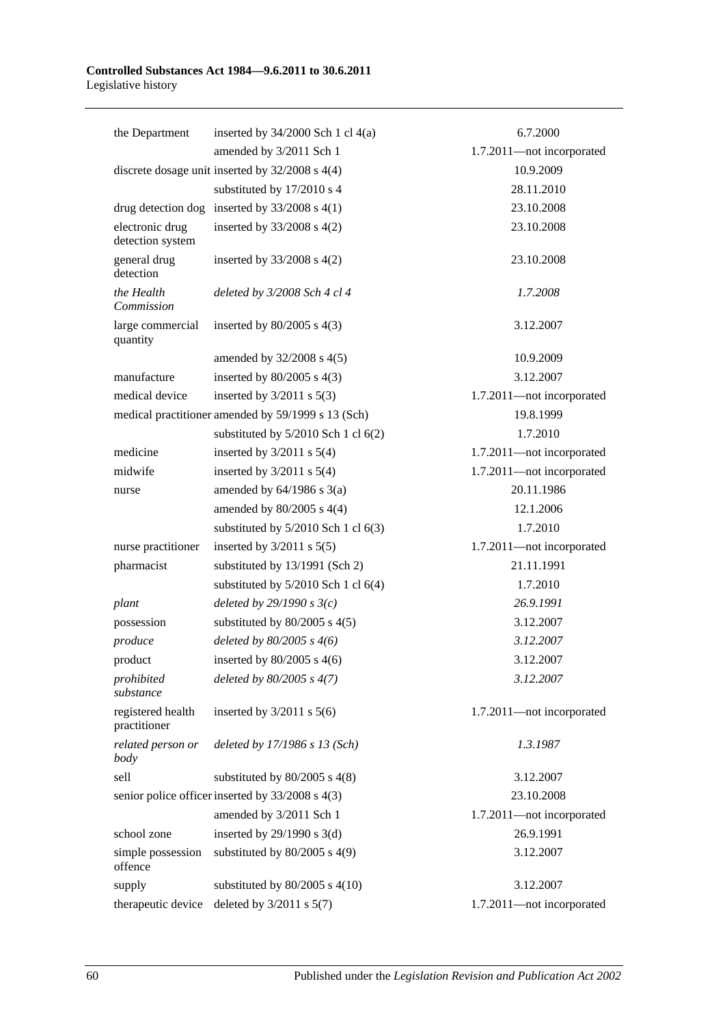| the Department                      | inserted by $34/2000$ Sch 1 cl $4(a)$               | 6.7.2000                  |
|-------------------------------------|-----------------------------------------------------|---------------------------|
|                                     | amended by 3/2011 Sch 1                             | 1.7.2011-not incorporated |
|                                     | discrete dosage unit inserted by $32/2008$ s $4(4)$ | 10.9.2009                 |
|                                     | substituted by 17/2010 s 4                          | 28.11.2010                |
|                                     | drug detection dog inserted by $33/2008$ s 4(1)     | 23.10.2008                |
| electronic drug<br>detection system | inserted by $33/2008$ s $4(2)$                      | 23.10.2008                |
| general drug<br>detection           | inserted by $33/2008$ s $4(2)$                      | 23.10.2008                |
| the Health<br>Commission            | deleted by 3/2008 Sch 4 cl 4                        | 1.7.2008                  |
| large commercial<br>quantity        | inserted by $80/2005$ s $4(3)$                      | 3.12.2007                 |
|                                     | amended by 32/2008 s 4(5)                           | 10.9.2009                 |
| manufacture                         | inserted by $80/2005$ s $4(3)$                      | 3.12.2007                 |
| medical device                      | inserted by $3/2011$ s $5(3)$                       | 1.7.2011-not incorporated |
|                                     | medical practitioner amended by 59/1999 s 13 (Sch)  | 19.8.1999                 |
|                                     | substituted by $5/2010$ Sch 1 cl $6(2)$             | 1.7.2010                  |
| medicine                            | inserted by $3/2011$ s $5(4)$                       | 1.7.2011-not incorporated |
| midwife                             | inserted by $3/2011$ s $5(4)$                       | 1.7.2011-not incorporated |
| nurse                               | amended by $64/1986$ s $3(a)$                       | 20.11.1986                |
|                                     | amended by $80/2005$ s 4(4)                         | 12.1.2006                 |
|                                     | substituted by $5/2010$ Sch 1 cl $6(3)$             | 1.7.2010                  |
| nurse practitioner                  | inserted by $3/2011$ s $5(5)$                       | 1.7.2011-not incorporated |
| pharmacist                          | substituted by 13/1991 (Sch 2)                      | 21.11.1991                |
|                                     | substituted by $5/2010$ Sch 1 cl $6(4)$             | 1.7.2010                  |
| plant                               | deleted by $29/1990 s3(c)$                          | 26.9.1991                 |
| possession                          | substituted by $80/2005$ s $4(5)$                   | 3.12.2007                 |
| produce                             | deleted by $80/2005 s 4(6)$                         | 3.12.2007                 |
| product                             | inserted by $80/2005$ s $4(6)$                      | 3.12.2007                 |
| prohibited<br>substance             | deleted by $80/2005$ s $4(7)$                       | 3.12.2007                 |
| registered health<br>practitioner   | inserted by $3/2011$ s $5(6)$                       | 1.7.2011-not incorporated |
| related person or<br>body           | deleted by 17/1986 s 13 (Sch)                       | 1.3.1987                  |
| sell                                | substituted by $80/2005$ s $4(8)$                   | 3.12.2007                 |
|                                     | senior police officer inserted by 33/2008 s 4(3)    | 23.10.2008                |
|                                     | amended by 3/2011 Sch 1                             | 1.7.2011-not incorporated |
| school zone                         | inserted by $29/1990$ s 3(d)                        | 26.9.1991                 |
| simple possession<br>offence        | substituted by $80/2005$ s 4(9)                     | 3.12.2007                 |
| supply                              | substituted by $80/2005$ s $4(10)$                  | 3.12.2007                 |
| therapeutic device                  | deleted by $3/2011$ s $5(7)$                        | 1.7.2011-not incorporated |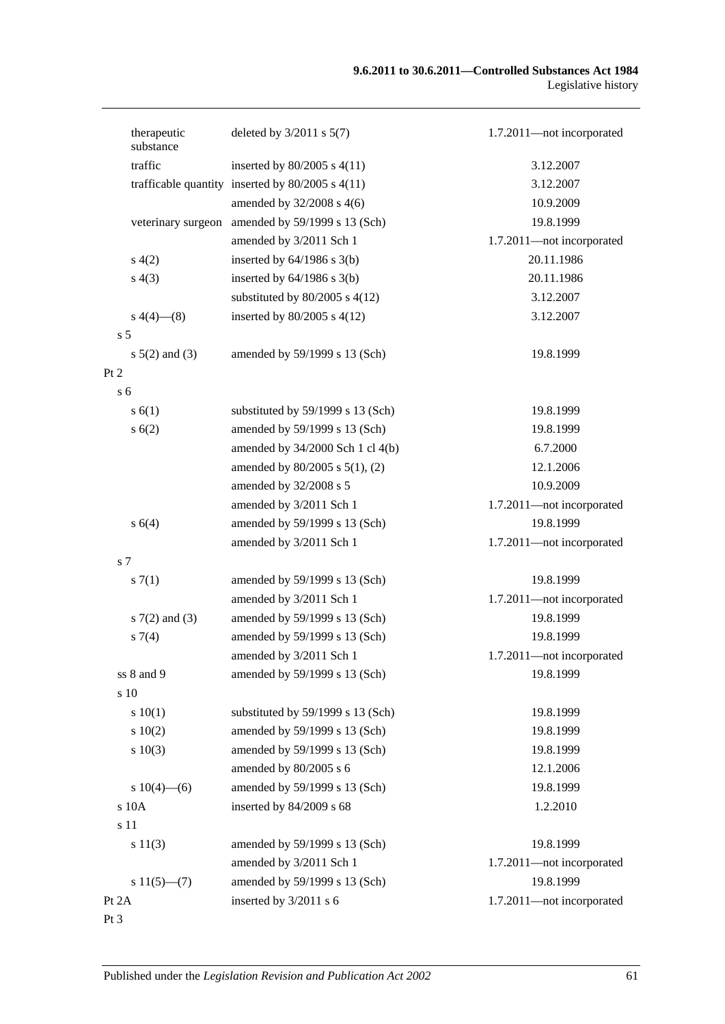#### **9.6.2011 to 30.6.2011—Controlled Substances Act 1984** Legislative history

| therapeutic<br>substance | deleted by $3/2011$ s $5(7)$                         | 1.7.2011-not incorporated |
|--------------------------|------------------------------------------------------|---------------------------|
| traffic                  | inserted by $80/2005$ s $4(11)$                      | 3.12.2007                 |
|                          | trafficable quantity inserted by $80/2005$ s $4(11)$ | 3.12.2007                 |
|                          | amended by $32/2008$ s 4(6)                          | 10.9.2009                 |
|                          | veterinary surgeon amended by 59/1999 s 13 (Sch)     | 19.8.1999                 |
|                          | amended by 3/2011 Sch 1                              | 1.7.2011-not incorporated |
| s(4(2))                  | inserted by $64/1986$ s $3(b)$                       | 20.11.1986                |
| s(4(3))                  | inserted by $64/1986$ s $3(b)$                       | 20.11.1986                |
|                          | substituted by $80/2005$ s $4(12)$                   | 3.12.2007                 |
| $s\ 4(4)$ (8)            | inserted by $80/2005$ s $4(12)$                      | 3.12.2007                 |
| s <sub>5</sub>           |                                                      |                           |
| $s 5(2)$ and (3)         | amended by 59/1999 s 13 (Sch)                        | 19.8.1999                 |
| Pt 2                     |                                                      |                           |
| s <sub>6</sub>           |                                                      |                           |
| s(6(1))                  | substituted by 59/1999 s 13 (Sch)                    | 19.8.1999                 |
| s(6(2))                  | amended by 59/1999 s 13 (Sch)                        | 19.8.1999                 |
|                          | amended by 34/2000 Sch 1 cl 4(b)                     | 6.7.2000                  |
|                          | amended by $80/2005$ s $5(1)$ , (2)                  | 12.1.2006                 |
|                          | amended by 32/2008 s 5                               | 10.9.2009                 |
|                          | amended by 3/2011 Sch 1                              | 1.7.2011-not incorporated |
| s 6(4)                   | amended by 59/1999 s 13 (Sch)                        | 19.8.1999                 |
|                          | amended by 3/2011 Sch 1                              | 1.7.2011-not incorporated |
| s <sub>7</sub>           |                                                      |                           |
| s(7(1))                  | amended by 59/1999 s 13 (Sch)                        | 19.8.1999                 |
|                          | amended by 3/2011 Sch 1                              | 1.7.2011-not incorporated |
| $s \, 7(2)$ and (3)      | amended by 59/1999 s 13 (Sch)                        | 19.8.1999                 |
| $s \, 7(4)$              | amended by 59/1999 s 13 (Sch)                        | 19.8.1999                 |
|                          | amended by 3/2011 Sch 1                              | 1.7.2011-not incorporated |
| ss 8 and 9               | amended by 59/1999 s 13 (Sch)                        | 19.8.1999                 |
| s 10                     |                                                      |                           |
| 10(1)                    | substituted by 59/1999 s 13 (Sch)                    | 19.8.1999                 |
| 10(2)                    | amended by 59/1999 s 13 (Sch)                        | 19.8.1999                 |
| s 10(3)                  | amended by 59/1999 s 13 (Sch)                        | 19.8.1999                 |
|                          | amended by 80/2005 s 6                               | 12.1.2006                 |
| s $10(4)$ —(6)           | amended by 59/1999 s 13 (Sch)                        | 19.8.1999                 |
| s 10A                    | inserted by 84/2009 s 68                             | 1.2.2010                  |
| s 11                     |                                                      |                           |
| s 11(3)                  | amended by 59/1999 s 13 (Sch)                        | 19.8.1999                 |
|                          | amended by 3/2011 Sch 1                              | 1.7.2011-not incorporated |
| $s 11(5)$ —(7)           | amended by 59/1999 s 13 (Sch)                        | 19.8.1999                 |
| Pt 2A                    | inserted by 3/2011 s 6                               | 1.7.2011-not incorporated |
| Pt 3                     |                                                      |                           |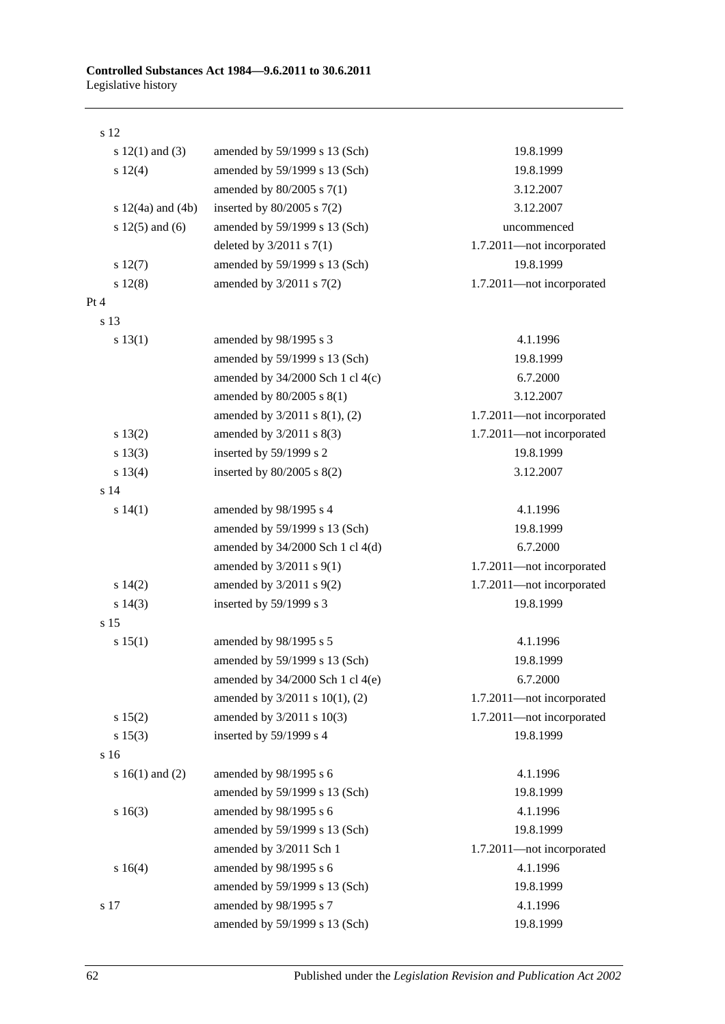| s 12                  |                                      |                           |
|-----------------------|--------------------------------------|---------------------------|
| s $12(1)$ and $(3)$   | amended by 59/1999 s 13 (Sch)        | 19.8.1999                 |
| s 12(4)               | amended by 59/1999 s 13 (Sch)        | 19.8.1999                 |
|                       | amended by 80/2005 s 7(1)            | 3.12.2007                 |
| s $12(4a)$ and $(4b)$ | inserted by $80/2005$ s $7(2)$       | 3.12.2007                 |
| s $12(5)$ and $(6)$   | amended by 59/1999 s 13 (Sch)        | uncommenced               |
|                       | deleted by $3/2011$ s $7(1)$         | 1.7.2011-not incorporated |
| s 12(7)               | amended by 59/1999 s 13 (Sch)        | 19.8.1999                 |
| s 12(8)               | amended by $3/2011$ s $7(2)$         | 1.7.2011-not incorporated |
| Pt 4                  |                                      |                           |
| s 13                  |                                      |                           |
| s 13(1)               | amended by 98/1995 s 3               | 4.1.1996                  |
|                       | amended by 59/1999 s 13 (Sch)        | 19.8.1999                 |
|                       | amended by $34/2000$ Sch 1 cl $4(c)$ | 6.7.2000                  |
|                       | amended by 80/2005 s 8(1)            | 3.12.2007                 |
|                       | amended by 3/2011 s 8(1), (2)        | 1.7.2011-not incorporated |
| s 13(2)               | amended by $3/2011$ s $8(3)$         | 1.7.2011-not incorporated |
| s 13(3)               | inserted by 59/1999 s 2              | 19.8.1999                 |
| s 13(4)               | inserted by $80/2005$ s $8(2)$       | 3.12.2007                 |
| s 14                  |                                      |                           |
| s 14(1)               | amended by 98/1995 s 4               | 4.1.1996                  |
|                       | amended by 59/1999 s 13 (Sch)        | 19.8.1999                 |
|                       | amended by 34/2000 Sch 1 cl 4(d)     | 6.7.2000                  |
|                       | amended by $3/2011$ s $9(1)$         | 1.7.2011-not incorporated |
| s 14(2)               | amended by 3/2011 s 9(2)             | 1.7.2011-not incorporated |
| $s\ 14(3)$            | inserted by 59/1999 s 3              | 19.8.1999                 |
| s 15                  |                                      |                           |
| s 15(1)               | amended by 98/1995 s 5               | 4.1.1996                  |
|                       | amended by 59/1999 s 13 (Sch)        | 19.8.1999                 |
|                       | amended by $34/2000$ Sch 1 cl $4(e)$ | 6.7.2000                  |
|                       | amended by 3/2011 s 10(1), (2)       | 1.7.2011-not incorporated |
| s 15(2)               | amended by 3/2011 s 10(3)            | 1.7.2011-not incorporated |
| s 15(3)               | inserted by 59/1999 s 4              | 19.8.1999                 |
| s 16                  |                                      |                           |
| s $16(1)$ and $(2)$   | amended by 98/1995 s 6               | 4.1.1996                  |
|                       | amended by 59/1999 s 13 (Sch)        | 19.8.1999                 |
| s 16(3)               | amended by 98/1995 s 6               | 4.1.1996                  |
|                       | amended by 59/1999 s 13 (Sch)        | 19.8.1999                 |
|                       | amended by 3/2011 Sch 1              | 1.7.2011-not incorporated |
| s 16(4)               | amended by 98/1995 s 6               | 4.1.1996                  |
|                       | amended by 59/1999 s 13 (Sch)        | 19.8.1999                 |
| s 17                  | amended by 98/1995 s 7               | 4.1.1996                  |
|                       | amended by 59/1999 s 13 (Sch)        | 19.8.1999                 |

62 Published under the *Legislation Revision and Publication Act 2002*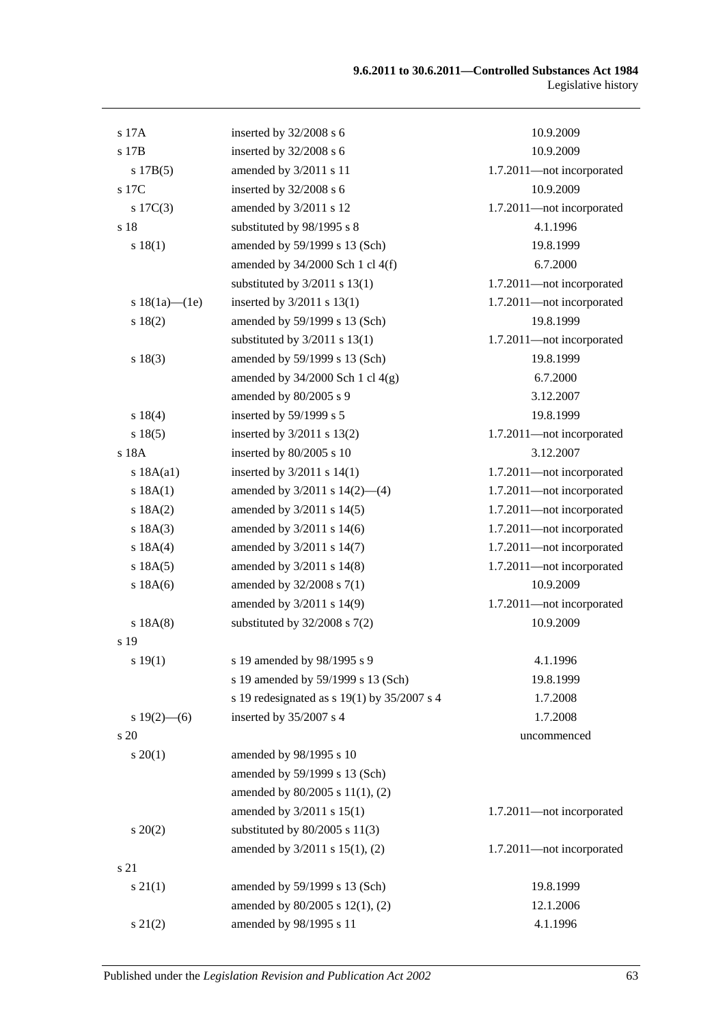| s 17A               | inserted by 32/2008 s 6                         | 10.9.2009                 |
|---------------------|-------------------------------------------------|---------------------------|
| s 17B               | inserted by 32/2008 s 6                         | 10.9.2009                 |
| s 17B(5)            | amended by 3/2011 s 11                          | 1.7.2011-not incorporated |
| s 17C               | inserted by 32/2008 s 6                         | 10.9.2009                 |
| $s \ 17C(3)$        | amended by 3/2011 s 12                          | 1.7.2011-not incorporated |
| s 18                | substituted by 98/1995 s 8                      | 4.1.1996                  |
| s 18(1)             | amended by 59/1999 s 13 (Sch)                   | 19.8.1999                 |
|                     | amended by $34/2000$ Sch 1 cl $4(f)$            | 6.7.2000                  |
|                     | substituted by $3/2011$ s $13(1)$               | 1.7.2011-not incorporated |
| s $18(1a)$ - $(1e)$ | inserted by 3/2011 s 13(1)                      | 1.7.2011-not incorporated |
| s 18(2)             | amended by 59/1999 s 13 (Sch)                   | 19.8.1999                 |
|                     | substituted by $3/2011$ s $13(1)$               | 1.7.2011-not incorporated |
| s 18(3)             | amended by 59/1999 s 13 (Sch)                   | 19.8.1999                 |
|                     | amended by $34/2000$ Sch 1 cl $4(g)$            | 6.7.2000                  |
|                     | amended by 80/2005 s 9                          | 3.12.2007                 |
| s 18(4)             | inserted by 59/1999 s 5                         | 19.8.1999                 |
| s 18(5)             | inserted by 3/2011 s 13(2)                      | 1.7.2011-not incorporated |
| s 18A               | inserted by 80/2005 s 10                        | 3.12.2007                 |
| s 18A(a1)           | inserted by $3/2011$ s $14(1)$                  | 1.7.2011-not incorporated |
| s 18A(1)            | amended by $3/2011$ s $14(2)$ —(4)              | 1.7.2011-not incorporated |
| s 18A(2)            | amended by 3/2011 s 14(5)                       | 1.7.2011-not incorporated |
| s 18A(3)            | amended by 3/2011 s 14(6)                       | 1.7.2011-not incorporated |
| s $18A(4)$          | amended by 3/2011 s 14(7)                       | 1.7.2011-not incorporated |
| s 18A(5)            | amended by 3/2011 s 14(8)                       | 1.7.2011-not incorporated |
| s 18A(6)            | amended by 32/2008 s 7(1)                       | 10.9.2009                 |
|                     | amended by 3/2011 s 14(9)                       | 1.7.2011-not incorporated |
| s 18A(8)            | substituted by $32/2008$ s $7(2)$               | 10.9.2009                 |
| s 19                |                                                 |                           |
| s 19(1)             | s 19 amended by 98/1995 s 9                     | 4.1.1996                  |
|                     | s 19 amended by 59/1999 s 13 (Sch)              | 19.8.1999                 |
|                     | s 19 redesignated as s $19(1)$ by $35/2007$ s 4 | 1.7.2008                  |
| $s 19(2)$ – (6)     | inserted by 35/2007 s 4                         | 1.7.2008                  |
| s 20                |                                                 | uncommenced               |
| $s \, 20(1)$        | amended by 98/1995 s 10                         |                           |
|                     | amended by 59/1999 s 13 (Sch)                   |                           |
|                     | amended by 80/2005 s 11(1), (2)                 |                           |
|                     | amended by 3/2011 s 15(1)                       | 1.7.2011-not incorporated |
| $s\,20(2)$          | substituted by $80/2005$ s $11(3)$              |                           |
|                     | amended by 3/2011 s 15(1), (2)                  | 1.7.2011-not incorporated |
| s 21                |                                                 |                           |
| $s\,21(1)$          | amended by 59/1999 s 13 (Sch)                   | 19.8.1999                 |
|                     | amended by 80/2005 s 12(1), (2)                 | 12.1.2006                 |
| $s\ 21(2)$          | amended by 98/1995 s 11                         | 4.1.1996                  |
|                     |                                                 |                           |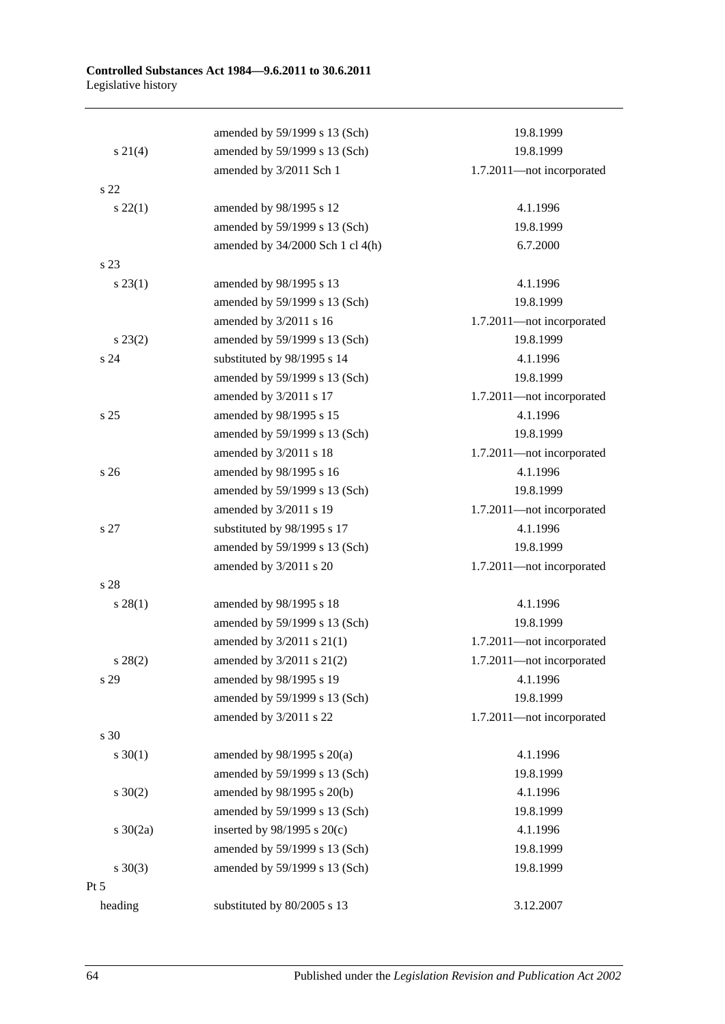|                 | amended by 59/1999 s 13 (Sch)    | 19.8.1999                 |
|-----------------|----------------------------------|---------------------------|
| $s \ 21(4)$     | amended by 59/1999 s 13 (Sch)    | 19.8.1999                 |
|                 | amended by 3/2011 Sch 1          | 1.7.2011-not incorporated |
| s <sub>22</sub> |                                  |                           |
| $s\ 22(1)$      | amended by 98/1995 s 12          | 4.1.1996                  |
|                 | amended by 59/1999 s 13 (Sch)    | 19.8.1999                 |
|                 | amended by 34/2000 Sch 1 cl 4(h) | 6.7.2000                  |
| s 23            |                                  |                           |
| $s\,23(1)$      | amended by 98/1995 s 13          | 4.1.1996                  |
|                 | amended by 59/1999 s 13 (Sch)    | 19.8.1999                 |
|                 | amended by 3/2011 s 16           | 1.7.2011-not incorporated |
| $s\,23(2)$      | amended by 59/1999 s 13 (Sch)    | 19.8.1999                 |
| s 24            | substituted by 98/1995 s 14      | 4.1.1996                  |
|                 | amended by 59/1999 s 13 (Sch)    | 19.8.1999                 |
|                 | amended by 3/2011 s 17           | 1.7.2011-not incorporated |
| s <sub>25</sub> | amended by 98/1995 s 15          | 4.1.1996                  |
|                 | amended by 59/1999 s 13 (Sch)    | 19.8.1999                 |
|                 | amended by 3/2011 s 18           | 1.7.2011-not incorporated |
| s <sub>26</sub> | amended by 98/1995 s 16          | 4.1.1996                  |
|                 | amended by 59/1999 s 13 (Sch)    | 19.8.1999                 |
|                 | amended by 3/2011 s 19           | 1.7.2011-not incorporated |
| s 27            | substituted by 98/1995 s 17      | 4.1.1996                  |
|                 | amended by 59/1999 s 13 (Sch)    | 19.8.1999                 |
|                 | amended by 3/2011 s 20           | 1.7.2011-not incorporated |
| s 28            |                                  |                           |
| s 28(1)         | amended by 98/1995 s 18          | 4.1.1996                  |
|                 | amended by 59/1999 s 13 (Sch)    | 19.8.1999                 |
|                 | amended by 3/2011 s 21(1)        | 1.7.2011-not incorporated |
| $s\,28(2)$      | amended by 3/2011 s 21(2)        | 1.7.2011-not incorporated |
| s 29            | amended by 98/1995 s 19          | 4.1.1996                  |
|                 | amended by 59/1999 s 13 (Sch)    | 19.8.1999                 |
|                 | amended by 3/2011 s 22           | 1.7.2011-not incorporated |
| s 30            |                                  |                           |
| $s \ 30(1)$     | amended by $98/1995$ s $20(a)$   | 4.1.1996                  |
|                 | amended by 59/1999 s 13 (Sch)    | 19.8.1999                 |
| $s \ 30(2)$     | amended by 98/1995 s 20(b)       | 4.1.1996                  |
|                 | amended by 59/1999 s 13 (Sch)    | 19.8.1999                 |
| s $30(2a)$      | inserted by $98/1995$ s $20(c)$  | 4.1.1996                  |
|                 | amended by 59/1999 s 13 (Sch)    | 19.8.1999                 |
| $s \ 30(3)$     | amended by 59/1999 s 13 (Sch)    | 19.8.1999                 |
| $Pt\,5$         |                                  |                           |
| heading         | substituted by 80/2005 s 13      | 3.12.2007                 |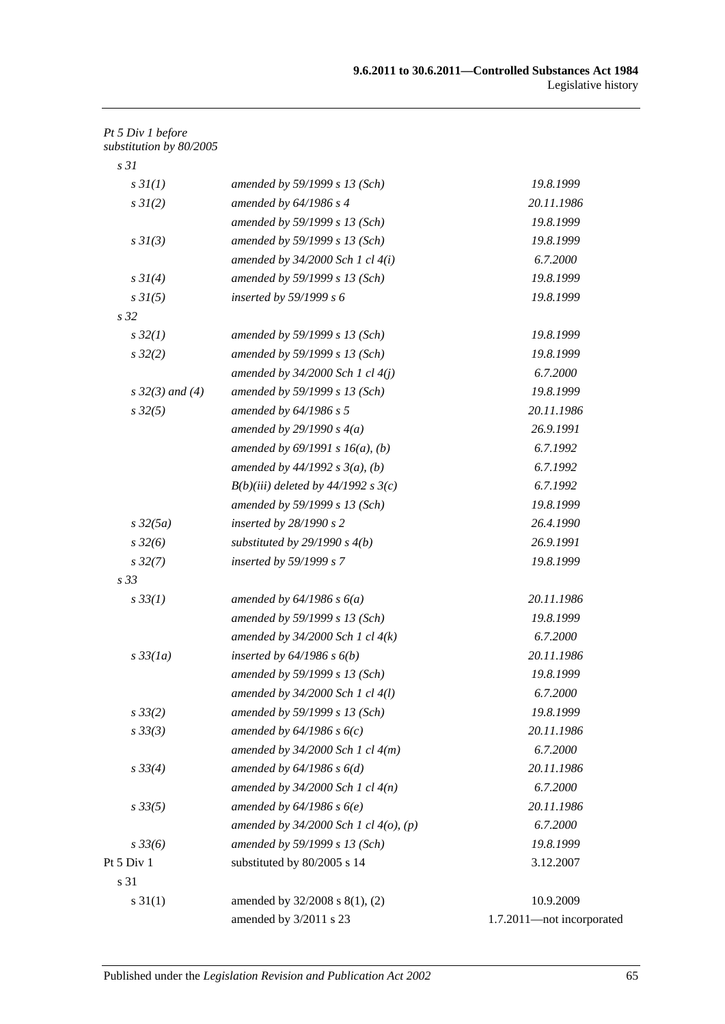### *Pt 5 Div 1 before substitution by 80/2005*

| s <sub>31</sub>      |                                            |                           |
|----------------------|--------------------------------------------|---------------------------|
| s3I(1)               | amended by 59/1999 s 13 (Sch)              | 19.8.1999                 |
| $s \, 3I(2)$         | amended by $64/1986 s 4$                   | 20.11.1986                |
|                      | amended by 59/1999 s 13 (Sch)              | 19.8.1999                 |
| $s \frac{3I(3)}{3}$  | amended by 59/1999 s 13 (Sch)              | 19.8.1999                 |
|                      | amended by $34/2000$ Sch 1 cl $4(i)$       | 6.7.2000                  |
| $s \, 3I(4)$         | amended by 59/1999 s 13 (Sch)              | 19.8.1999                 |
| $s \frac{3I(5)}{2}$  | inserted by $59/1999 s 6$                  | 19.8.1999                 |
| s <sub>32</sub>      |                                            |                           |
| $s\,32(1)$           | amended by 59/1999 s 13 (Sch)              | 19.8.1999                 |
| $s\,32(2)$           | amended by 59/1999 s 13 (Sch)              | 19.8.1999                 |
|                      | amended by $34/2000$ Sch 1 cl $4(j)$       | 6.7.2000                  |
| $s \, 32(3)$ and (4) | amended by 59/1999 s 13 (Sch)              | 19.8.1999                 |
| $s\,32(5)$           | amended by $64/1986 s 5$                   | 20.11.1986                |
|                      | amended by $29/1990 s 4(a)$                | 26.9.1991                 |
|                      | amended by $69/1991 s 16(a)$ , (b)         | 6.7.1992                  |
|                      | amended by $44/1992 s 3(a), (b)$           | 6.7.1992                  |
|                      | $B(b)(iii)$ deleted by 44/1992 s 3(c)      | 6.7.1992                  |
|                      | amended by 59/1999 s 13 (Sch)              | 19.8.1999                 |
| $s\,32(5a)$          | inserted by $28/1990 s 2$                  | 26.4.1990                 |
| $s\,32(6)$           | substituted by $29/1990 s 4(b)$            | 26.9.1991                 |
| $s\,32(7)$           | inserted by 59/1999 s 7                    | 19.8.1999                 |
| s <sub>33</sub>      |                                            |                           |
| $s \, 33(1)$         | amended by $64/1986 s 6(a)$                | 20.11.1986                |
|                      | amended by 59/1999 s 13 (Sch)              | 19.8.1999                 |
|                      | amended by $34/2000$ Sch 1 cl $4(k)$       | 6.7.2000                  |
| $s\,33(1a)$          | inserted by $64/1986$ s $6(b)$             | 20.11.1986                |
|                      | amended by 59/1999 s 13 (Sch)              | 19.8.1999                 |
|                      | amended by 34/2000 Sch 1 cl 4(l)           | 6.7.2000                  |
| $s \, 33(2)$         | amended by 59/1999 s 13 (Sch)              | 19.8.1999                 |
| s33(3)               | amended by $64/1986 s 6(c)$                | 20.11.1986                |
|                      | amended by $34/2000$ Sch 1 cl $4(m)$       | 6.7.2000                  |
| $s \, 33(4)$         | amended by $64/1986 s 6(d)$                | 20.11.1986                |
|                      | amended by $34/2000$ Sch 1 cl $4(n)$       | 6.7.2000                  |
| $s\,33(5)$           | amended by $64/1986$ s $6(e)$              | 20.11.1986                |
|                      | amended by $34/2000$ Sch 1 cl $4(o)$ , (p) | 6.7.2000                  |
| $s\,33(6)$           | amended by 59/1999 s 13 (Sch)              | 19.8.1999                 |
| Pt 5 Div 1           | substituted by 80/2005 s 14                | 3.12.2007                 |
| s 31                 |                                            |                           |
| $s \, 31(1)$         | amended by 32/2008 s 8(1), (2)             | 10.9.2009                 |
|                      | amended by 3/2011 s 23                     | 1.7.2011-not incorporated |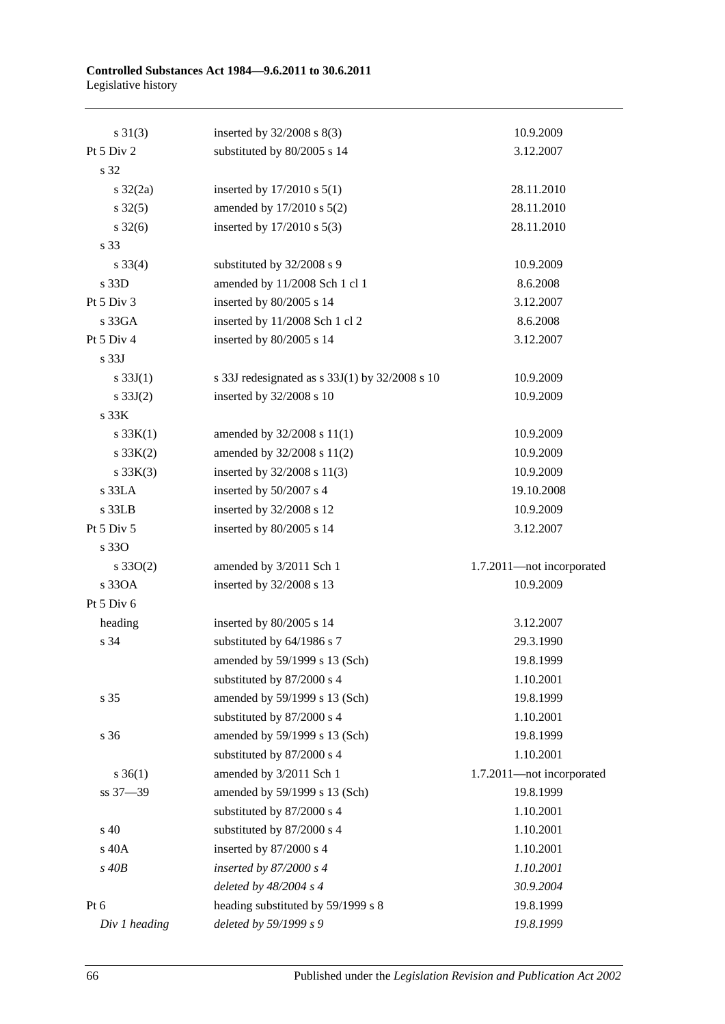#### **Controlled Substances Act 1984—9.6.2011 to 30.6.2011** Legislative history

| $s \, 31(3)$        | inserted by $32/2008$ s $8(3)$                 | 10.9.2009                 |
|---------------------|------------------------------------------------|---------------------------|
| Pt 5 Div 2          | substituted by 80/2005 s 14                    | 3.12.2007                 |
| s 32                |                                                |                           |
| $s \frac{32}{2a}$   | inserted by $17/2010$ s $5(1)$                 | 28.11.2010                |
| $s \, 32(5)$        | amended by 17/2010 s 5(2)                      | 28.11.2010                |
| $s \, 32(6)$        | inserted by 17/2010 s 5(3)                     | 28.11.2010                |
| s 33                |                                                |                           |
| $s \frac{33(4)}{4}$ | substituted by 32/2008 s 9                     | 10.9.2009                 |
| s 33D               | amended by 11/2008 Sch 1 cl 1                  | 8.6.2008                  |
| Pt 5 Div 3          | inserted by 80/2005 s 14                       | 3.12.2007                 |
| s 33GA              | inserted by 11/2008 Sch 1 cl 2                 | 8.6.2008                  |
| Pt 5 Div 4          | inserted by 80/2005 s 14                       | 3.12.2007                 |
| s <sub>33J</sub>    |                                                |                           |
| s $33J(1)$          | s 33J redesignated as s 33J(1) by 32/2008 s 10 | 10.9.2009                 |
| s $33J(2)$          | inserted by 32/2008 s 10                       | 10.9.2009                 |
| s 33K               |                                                |                           |
| $s \, 33K(1)$       | amended by 32/2008 s 11(1)                     | 10.9.2009                 |
| $s \, 33K(2)$       | amended by 32/2008 s 11(2)                     | 10.9.2009                 |
| $s \, 33K(3)$       | inserted by 32/2008 s 11(3)                    | 10.9.2009                 |
| s 33LA              | inserted by 50/2007 s 4                        | 19.10.2008                |
| s 33LB              | inserted by 32/2008 s 12                       | 10.9.2009                 |
| Pt 5 Div 5          | inserted by 80/2005 s 14                       | 3.12.2007                 |
| s 330               |                                                |                           |
| $s \, 33O(2)$       | amended by 3/2011 Sch 1                        | 1.7.2011-not incorporated |
| s 330A              | inserted by 32/2008 s 13                       | 10.9.2009                 |
| Pt 5 Div 6          |                                                |                           |
| heading             | inserted by 80/2005 s 14                       | 3.12.2007                 |
| s 34                | substituted by 64/1986 s 7                     | 29.3.1990                 |
|                     | amended by 59/1999 s 13 (Sch)                  | 19.8.1999                 |
|                     | substituted by 87/2000 s 4                     | 1.10.2001                 |
| s 35                | amended by 59/1999 s 13 (Sch)                  | 19.8.1999                 |
|                     | substituted by 87/2000 s 4                     | 1.10.2001                 |
| s 36                | amended by 59/1999 s 13 (Sch)                  | 19.8.1999                 |
|                     | substituted by 87/2000 s 4                     | 1.10.2001                 |
| $s \; 36(1)$        | amended by 3/2011 Sch 1                        | 1.7.2011-not incorporated |
| ss 37-39            | amended by 59/1999 s 13 (Sch)                  | 19.8.1999                 |
|                     | substituted by 87/2000 s 4                     | 1.10.2001                 |
| s 40                | substituted by 87/2000 s 4                     | 1.10.2001                 |
| s 40A               | inserted by 87/2000 s 4                        | 1.10.2001                 |
| $s$ 40 $B$          | inserted by $87/2000 s 4$                      | 1.10.2001                 |
|                     | deleted by $48/2004$ s 4                       | 30.9.2004                 |
| Pt 6                | heading substituted by 59/1999 s 8             | 19.8.1999                 |
| Div 1 heading       | deleted by 59/1999 s 9                         | 19.8.1999                 |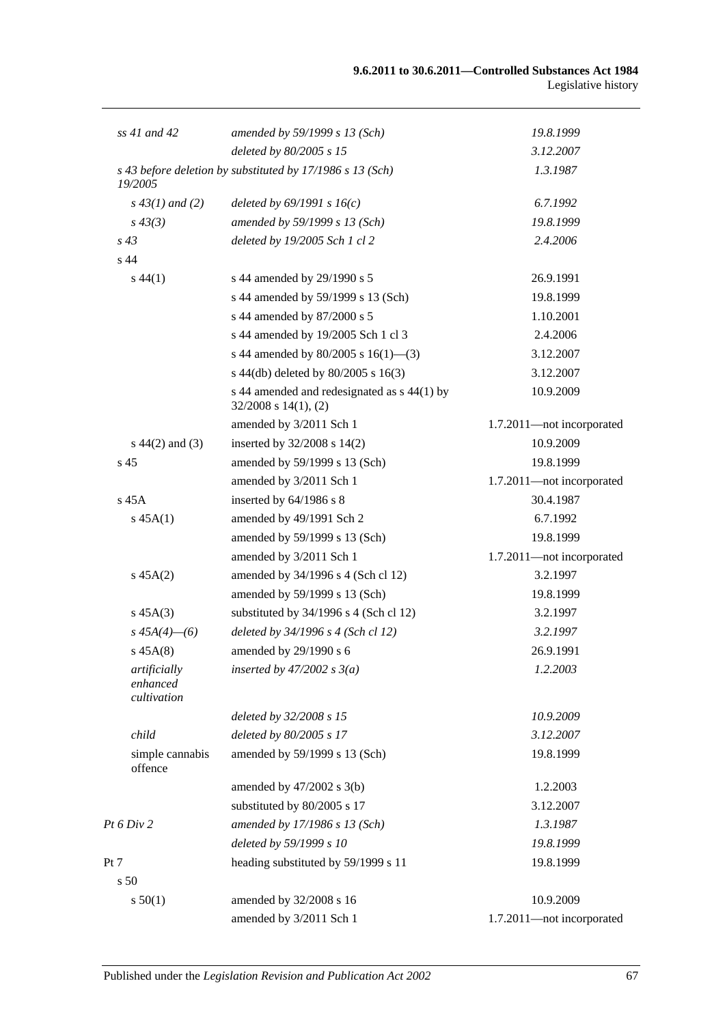| $ss$ 41 and 42                          | amended by 59/1999 s 13 (Sch)                                            | 19.8.1999                 |
|-----------------------------------------|--------------------------------------------------------------------------|---------------------------|
|                                         | deleted by 80/2005 s 15                                                  | 3.12.2007                 |
| 19/2005                                 | s 43 before deletion by substituted by 17/1986 s 13 (Sch)                | 1.3.1987                  |
| $s\,43(1)$ and (2)                      | deleted by $69/1991 s 16(c)$                                             | 6.7.1992                  |
| $s\,43(3)$                              | amended by 59/1999 s 13 (Sch)                                            | 19.8.1999                 |
| $s\,43$                                 | deleted by 19/2005 Sch 1 cl 2                                            | 2.4.2006                  |
| s <sub>44</sub>                         |                                                                          |                           |
| $s\,44(1)$                              | s 44 amended by 29/1990 s 5                                              | 26.9.1991                 |
|                                         | s 44 amended by 59/1999 s 13 (Sch)                                       | 19.8.1999                 |
|                                         | s 44 amended by 87/2000 s 5                                              | 1.10.2001                 |
|                                         | s 44 amended by 19/2005 Sch 1 cl 3                                       | 2.4.2006                  |
|                                         | s 44 amended by 80/2005 s $16(1)$ —(3)                                   | 3.12.2007                 |
|                                         | s 44(db) deleted by 80/2005 s 16(3)                                      | 3.12.2007                 |
|                                         | s 44 amended and redesignated as s 44(1) by<br>$32/2008$ s $14(1)$ , (2) | 10.9.2009                 |
|                                         | amended by 3/2011 Sch 1                                                  | 1.7.2011-not incorporated |
| $s\ 44(2)$ and (3)                      | inserted by $32/2008$ s $14(2)$                                          | 10.9.2009                 |
| s <sub>45</sub>                         | amended by 59/1999 s 13 (Sch)                                            | 19.8.1999                 |
|                                         | amended by 3/2011 Sch 1                                                  | 1.7.2011-not incorporated |
| $s$ 45 $A$                              | inserted by 64/1986 s 8                                                  | 30.4.1987                 |
| $s\,45A(1)$                             | amended by 49/1991 Sch 2                                                 | 6.7.1992                  |
|                                         | amended by 59/1999 s 13 (Sch)                                            | 19.8.1999                 |
|                                         | amended by 3/2011 Sch 1                                                  | 1.7.2011-not incorporated |
| $s\,45A(2)$                             | amended by 34/1996 s 4 (Sch cl 12)                                       | 3.2.1997                  |
|                                         | amended by 59/1999 s 13 (Sch)                                            | 19.8.1999                 |
| $s\,45A(3)$                             | substituted by $34/1996$ s 4 (Sch cl 12)                                 | 3.2.1997                  |
| $s\,45A(4)$ - (6)                       | deleted by $34/1996 s 4$ (Sch cl 12)                                     | 3.2.1997                  |
| $s\,45A(8)$                             | amended by 29/1990 s 6                                                   | 26.9.1991                 |
| artificially<br>enhanced<br>cultivation | inserted by $47/2002$ s $3(a)$                                           | 1.2.2003                  |
|                                         | deleted by 32/2008 s 15                                                  | 10.9.2009                 |
| child                                   | deleted by 80/2005 s 17                                                  | 3.12.2007                 |
| simple cannabis<br>offence              | amended by 59/1999 s 13 (Sch)                                            | 19.8.1999                 |
|                                         | amended by $47/2002$ s $3(b)$                                            | 1.2.2003                  |
|                                         | substituted by 80/2005 s 17                                              | 3.12.2007                 |
| Pt 6 Div 2                              | amended by 17/1986 s 13 (Sch)                                            | 1.3.1987                  |
|                                         | deleted by 59/1999 s 10                                                  | 19.8.1999                 |
| Pt 7                                    | heading substituted by 59/1999 s 11                                      | 19.8.1999                 |
| s <sub>50</sub>                         |                                                                          |                           |
| s 50(1)                                 | amended by 32/2008 s 16                                                  | 10.9.2009                 |
|                                         | amended by 3/2011 Sch 1                                                  | 1.7.2011-not incorporated |
|                                         |                                                                          |                           |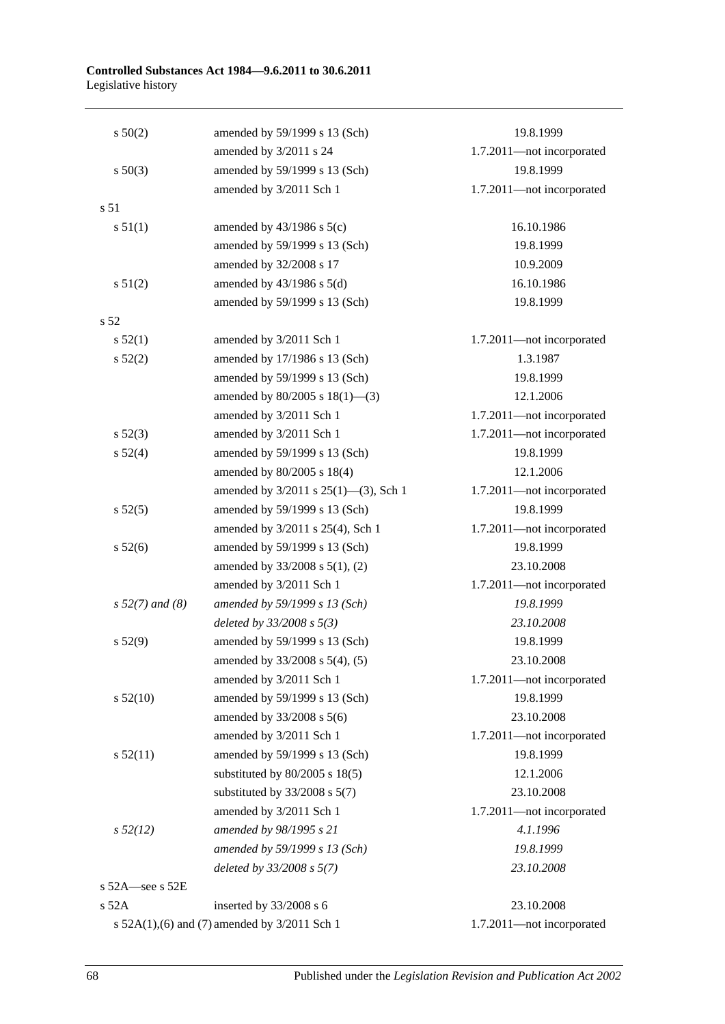#### **Controlled Substances Act 1984—9.6.2011 to 30.6.2011** Legislative history

| $s\ 50(2)$           | amended by 59/1999 s 13 (Sch)                | 19.8.1999                 |
|----------------------|----------------------------------------------|---------------------------|
|                      | amended by 3/2011 s 24                       | 1.7.2011-not incorporated |
| $s\ 50(3)$           | amended by 59/1999 s 13 (Sch)                | 19.8.1999                 |
|                      | amended by 3/2011 Sch 1                      | 1.7.2011-not incorporated |
| s <sub>51</sub>      |                                              |                           |
| s 51(1)              | amended by $43/1986$ s $5(c)$                | 16.10.1986                |
|                      | amended by 59/1999 s 13 (Sch)                | 19.8.1999                 |
|                      | amended by 32/2008 s 17                      | 10.9.2009                 |
| s 51(2)              | amended by $43/1986$ s $5(d)$                | 16.10.1986                |
|                      | amended by 59/1999 s 13 (Sch)                | 19.8.1999                 |
| s <sub>52</sub>      |                                              |                           |
| s 52(1)              | amended by 3/2011 Sch 1                      | 1.7.2011-not incorporated |
| s 52(2)              | amended by 17/1986 s 13 (Sch)                | 1.3.1987                  |
|                      | amended by 59/1999 s 13 (Sch)                | 19.8.1999                 |
|                      | amended by $80/2005$ s $18(1)$ —(3)          | 12.1.2006                 |
|                      | amended by 3/2011 Sch 1                      | 1.7.2011-not incorporated |
| $s\,52(3)$           | amended by 3/2011 Sch 1                      | 1.7.2011-not incorporated |
| s 52(4)              | amended by 59/1999 s 13 (Sch)                | 19.8.1999                 |
|                      | amended by 80/2005 s 18(4)                   | 12.1.2006                 |
|                      | amended by 3/2011 s 25(1)-(3), Sch 1         | 1.7.2011-not incorporated |
| s 52(5)              | amended by 59/1999 s 13 (Sch)                | 19.8.1999                 |
|                      | amended by 3/2011 s 25(4), Sch 1             | 1.7.2011-not incorporated |
| s 52(6)              | amended by 59/1999 s 13 (Sch)                | 19.8.1999                 |
|                      | amended by 33/2008 s 5(1), (2)               | 23.10.2008                |
|                      | amended by 3/2011 Sch 1                      | 1.7.2011-not incorporated |
| $s 52(7)$ and (8)    | amended by 59/1999 s 13 (Sch)                | 19.8.1999                 |
|                      | deleted by $33/2008 s 5(3)$                  | 23.10.2008                |
| s 52(9)              | amended by 59/1999 s 13 (Sch)                | 19.8.1999                 |
|                      | amended by 33/2008 s 5(4), (5)               | 23.10.2008                |
|                      | amended by 3/2011 Sch 1                      | 1.7.2011-not incorporated |
| $s\,52(10)$          | amended by 59/1999 s 13 (Sch)                | 19.8.1999                 |
|                      | amended by 33/2008 s 5(6)                    | 23.10.2008                |
|                      | amended by 3/2011 Sch 1                      | 1.7.2011-not incorporated |
| s 52(11)             | amended by 59/1999 s 13 (Sch)                | 19.8.1999                 |
|                      | substituted by $80/2005$ s $18(5)$           | 12.1.2006                 |
|                      | substituted by $33/2008$ s $5(7)$            | 23.10.2008                |
|                      | amended by 3/2011 Sch 1                      | 1.7.2011-not incorporated |
| $s\,52(12)$          | amended by 98/1995 s 21                      | 4.1.1996                  |
|                      | amended by 59/1999 s 13 (Sch)                | 19.8.1999                 |
|                      | deleted by $33/2008$ s $5(7)$                | 23.10.2008                |
| s $52A$ -see s $52E$ |                                              |                           |
| s 52A                | inserted by 33/2008 s 6                      | 23.10.2008                |
|                      | s 52A(1),(6) and (7) amended by 3/2011 Sch 1 | 1.7.2011-not incorporated |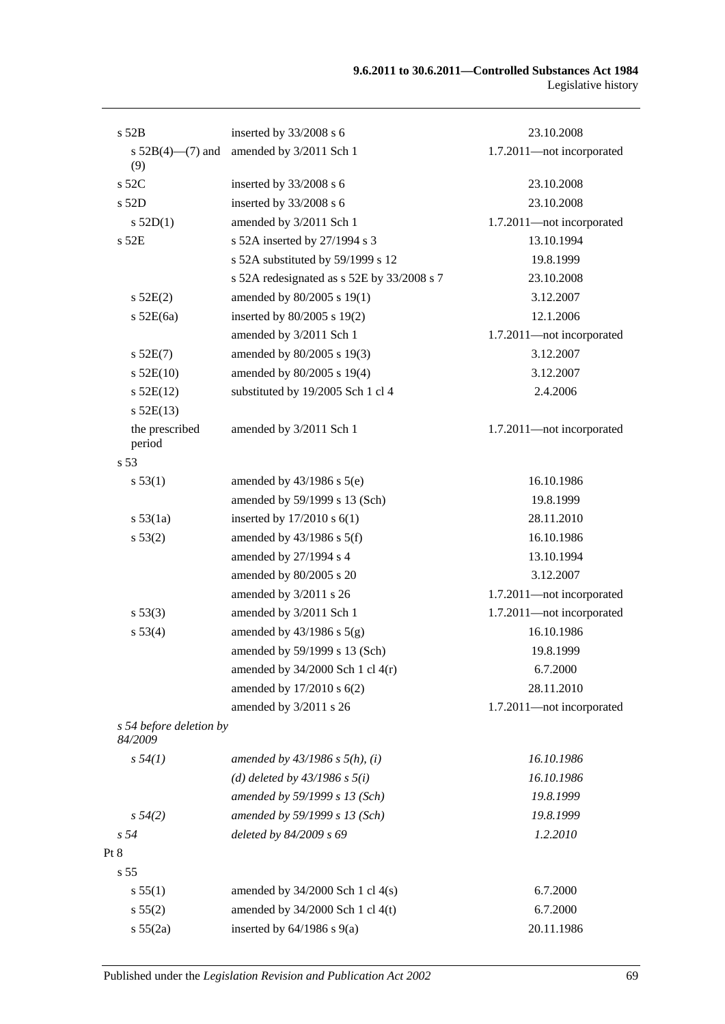| s 52B                              | inserted by 33/2008 s 6                    | 23.10.2008                |
|------------------------------------|--------------------------------------------|---------------------------|
| s $52B(4)$ —(7) and<br>(9)         | amended by 3/2011 Sch 1                    | 1.7.2011-not incorporated |
| $s$ 52C                            | inserted by 33/2008 s 6                    | 23.10.2008                |
| $s$ 52D                            | inserted by 33/2008 s 6                    | 23.10.2008                |
| s 52D(1)                           | amended by 3/2011 Sch 1                    | 1.7.2011-not incorporated |
| $s$ 52 $E$                         | s 52A inserted by 27/1994 s 3              | 13.10.1994                |
|                                    | s 52A substituted by 59/1999 s 12          | 19.8.1999                 |
|                                    | s 52A redesignated as s 52E by 33/2008 s 7 | 23.10.2008                |
| $s$ 52E(2)                         | amended by 80/2005 s 19(1)                 | 3.12.2007                 |
| $s$ 52E(6a)                        | inserted by 80/2005 s 19(2)                | 12.1.2006                 |
|                                    | amended by 3/2011 Sch 1                    | 1.7.2011-not incorporated |
| $s$ 52E(7)                         | amended by 80/2005 s 19(3)                 | 3.12.2007                 |
| $s$ 52E(10)                        | amended by 80/2005 s 19(4)                 | 3.12.2007                 |
| $s$ 52E(12)                        | substituted by 19/2005 Sch 1 cl 4          | 2.4.2006                  |
| $s$ 52E(13)                        |                                            |                           |
| the prescribed<br>period           | amended by 3/2011 Sch 1                    | 1.7.2011-not incorporated |
| s <sub>53</sub>                    |                                            |                           |
| s 53(1)                            | amended by $43/1986$ s $5(e)$              | 16.10.1986                |
|                                    | amended by 59/1999 s 13 (Sch)              | 19.8.1999                 |
| s 53(1a)                           | inserted by $17/2010$ s $6(1)$             | 28.11.2010                |
| s 53(2)                            | amended by $43/1986$ s $5(f)$              | 16.10.1986                |
|                                    | amended by 27/1994 s 4                     | 13.10.1994                |
|                                    | amended by 80/2005 s 20                    | 3.12.2007                 |
|                                    | amended by 3/2011 s 26                     | 1.7.2011-not incorporated |
| s 53(3)                            | amended by 3/2011 Sch 1                    | 1.7.2011-not incorporated |
| s 53(4)                            | amended by $43/1986$ s $5(g)$              | 16.10.1986                |
|                                    | amended by 59/1999 s 13 (Sch)              | 19.8.1999                 |
|                                    | amended by $34/2000$ Sch 1 cl $4(r)$       | 6.7.2000                  |
|                                    | amended by 17/2010 s 6(2)                  | 28.11.2010                |
|                                    | amended by 3/2011 s 26                     | 1.7.2011-not incorporated |
| s 54 before deletion by<br>84/2009 |                                            |                           |
| $s\,54(1)$                         | amended by $43/1986$ s $5(h)$ , (i)        | 16.10.1986                |
|                                    | (d) deleted by $43/1986$ s $5(i)$          | 16.10.1986                |
|                                    | amended by 59/1999 s 13 (Sch)              | 19.8.1999                 |
| $s\,54(2)$                         | amended by 59/1999 s 13 (Sch)              | 19.8.1999                 |
| s <sub>54</sub>                    | deleted by 84/2009 s 69                    | 1.2.2010                  |
| Pt 8                               |                                            |                           |
| s <sub>55</sub>                    |                                            |                           |
| s 55(1)                            | amended by $34/2000$ Sch 1 cl $4(s)$       | 6.7.2000                  |
| s 55(2)                            | amended by $34/2000$ Sch 1 cl 4(t)         | 6.7.2000                  |
| s 55(2a)                           | inserted by $64/1986$ s $9(a)$             | 20.11.1986                |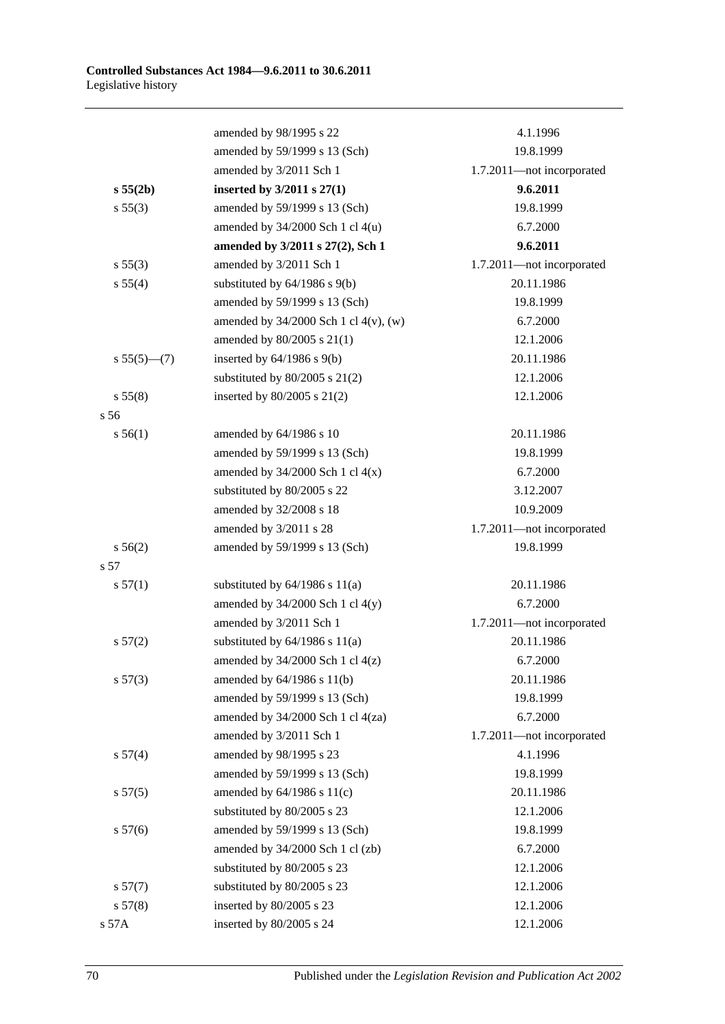|               | amended by 98/1995 s 22                    | 4.1.1996                  |
|---------------|--------------------------------------------|---------------------------|
|               | amended by 59/1999 s 13 (Sch)              | 19.8.1999                 |
|               | amended by 3/2011 Sch 1                    | 1.7.2011-not incorporated |
| s 55(2b)      | inserted by $3/2011$ s $27(1)$             | 9.6.2011                  |
| s 55(3)       | amended by 59/1999 s 13 (Sch)              | 19.8.1999                 |
|               | amended by $34/2000$ Sch 1 cl $4(u)$       | 6.7.2000                  |
|               | amended by 3/2011 s 27(2), Sch 1           | 9.6.2011                  |
| s 55(3)       | amended by 3/2011 Sch 1                    | 1.7.2011-not incorporated |
| s 55(4)       | substituted by $64/1986$ s $9(b)$          | 20.11.1986                |
|               | amended by 59/1999 s 13 (Sch)              | 19.8.1999                 |
|               | amended by $34/2000$ Sch 1 cl $4(v)$ , (w) | 6.7.2000                  |
|               | amended by 80/2005 s 21(1)                 | 12.1.2006                 |
| $s 55(5)$ (7) | inserted by $64/1986$ s $9(b)$             | 20.11.1986                |
|               | substituted by $80/2005$ s $21(2)$         | 12.1.2006                 |
| s 55(8)       | inserted by $80/2005$ s $21(2)$            | 12.1.2006                 |
| s 56          |                                            |                           |
| s 56(1)       | amended by 64/1986 s 10                    | 20.11.1986                |
|               | amended by 59/1999 s 13 (Sch)              | 19.8.1999                 |
|               | amended by $34/2000$ Sch 1 cl $4(x)$       | 6.7.2000                  |
|               | substituted by 80/2005 s 22                | 3.12.2007                 |
|               | amended by 32/2008 s 18                    | 10.9.2009                 |
|               | amended by 3/2011 s 28                     | 1.7.2011-not incorporated |
| s 56(2)       | amended by 59/1999 s 13 (Sch)              | 19.8.1999                 |
| s 57          |                                            |                           |
| s 57(1)       | substituted by $64/1986$ s $11(a)$         | 20.11.1986                |
|               | amended by $34/2000$ Sch 1 cl $4(y)$       | 6.7.2000                  |
|               | amended by 3/2011 Sch 1                    | 1.7.2011-not incorporated |
| s 57(2)       | substituted by $64/1986$ s $11(a)$         | 20.11.1986                |
|               | amended by $34/2000$ Sch 1 cl $4(z)$       | 6.7.2000                  |
| s 57(3)       | amended by $64/1986$ s $11(b)$             | 20.11.1986                |
|               | amended by 59/1999 s 13 (Sch)              | 19.8.1999                 |
|               | amended by 34/2000 Sch 1 cl 4(za)          | 6.7.2000                  |
|               | amended by 3/2011 Sch 1                    | 1.7.2011-not incorporated |
| s 57(4)       | amended by 98/1995 s 23                    | 4.1.1996                  |
|               | amended by 59/1999 s 13 (Sch)              | 19.8.1999                 |
| s 57(5)       | amended by $64/1986$ s $11(c)$             | 20.11.1986                |
|               | substituted by 80/2005 s 23                | 12.1.2006                 |
| s 57(6)       | amended by 59/1999 s 13 (Sch)              | 19.8.1999                 |
|               | amended by 34/2000 Sch 1 cl (zb)           | 6.7.2000                  |
|               | substituted by 80/2005 s 23                | 12.1.2006                 |
| s 57(7)       | substituted by 80/2005 s 23                | 12.1.2006                 |
| s 57(8)       | inserted by 80/2005 s 23                   | 12.1.2006                 |
| s 57A         | inserted by 80/2005 s 24                   | 12.1.2006                 |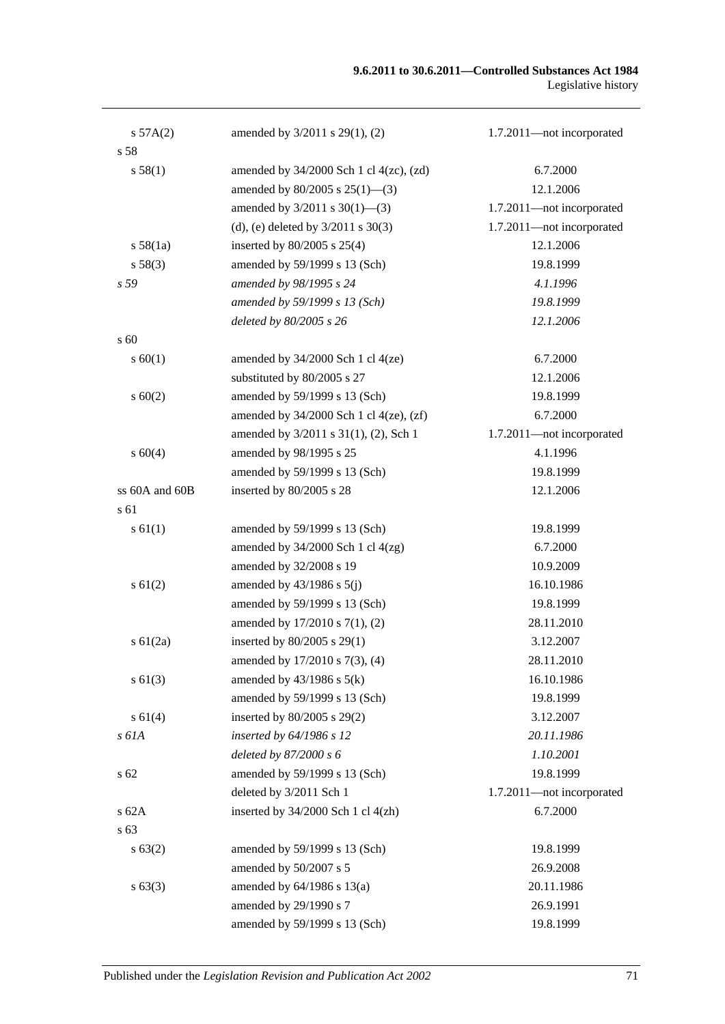| s 57A(2)       | amended by 3/2011 s 29(1), (2)                 | 1.7.2011-not incorporated |
|----------------|------------------------------------------------|---------------------------|
| s 58           |                                                |                           |
| s 58(1)        | amended by $34/2000$ Sch 1 cl $4(zc)$ , $(zd)$ | 6.7.2000                  |
|                | amended by $80/2005$ s $25(1)$ —(3)            | 12.1.2006                 |
|                | amended by $3/2011$ s $30(1)$ —(3)             | 1.7.2011-not incorporated |
|                | (d), (e) deleted by $3/2011$ s $30(3)$         | 1.7.2011-not incorporated |
| s 58(1a)       | inserted by $80/2005$ s $25(4)$                | 12.1.2006                 |
| s 58(3)        | amended by 59/1999 s 13 (Sch)                  | 19.8.1999                 |
| s 59           | amended by 98/1995 s 24                        | 4.1.1996                  |
|                | amended by 59/1999 s 13 (Sch)                  | 19.8.1999                 |
|                | deleted by 80/2005 s 26                        | 12.1.2006                 |
| s 60           |                                                |                           |
| s 60(1)        | amended by $34/2000$ Sch 1 cl $4(ze)$          | 6.7.2000                  |
|                | substituted by 80/2005 s 27                    | 12.1.2006                 |
| $s \ 60(2)$    | amended by 59/1999 s 13 (Sch)                  | 19.8.1999                 |
|                | amended by $34/2000$ Sch 1 cl $4(ze)$ , $(zf)$ | 6.7.2000                  |
|                | amended by 3/2011 s 31(1), (2), Sch 1          | 1.7.2011-not incorporated |
| s 60(4)        | amended by 98/1995 s 25                        | 4.1.1996                  |
|                | amended by 59/1999 s 13 (Sch)                  | 19.8.1999                 |
| ss 60A and 60B | inserted by 80/2005 s 28                       | 12.1.2006                 |
| s 61           |                                                |                           |
| $s \, 61(1)$   | amended by 59/1999 s 13 (Sch)                  | 19.8.1999                 |
|                | amended by $34/2000$ Sch 1 cl $4(zg)$          | 6.7.2000                  |
|                | amended by 32/2008 s 19                        | 10.9.2009                 |
| $s \, 61(2)$   | amended by $43/1986$ s $5(j)$                  | 16.10.1986                |
|                | amended by 59/1999 s 13 (Sch)                  | 19.8.1999                 |
|                | amended by 17/2010 s 7(1), (2)                 | 28.11.2010                |
| s $61(2a)$     | inserted by 80/2005 s 29(1)                    | 3.12.2007                 |
|                | amended by $17/2010$ s $7(3)$ , (4)            | 28.11.2010                |
| $s \ 61(3)$    | amended by $43/1986$ s $5(k)$                  | 16.10.1986                |
|                | amended by 59/1999 s 13 (Sch)                  | 19.8.1999                 |
| s 61(4)        | inserted by 80/2005 s 29(2)                    | 3.12.2007                 |
| s 61A          | inserted by 64/1986 s 12                       | 20.11.1986                |
|                | deleted by 87/2000 s 6                         | 1.10.2001                 |
| $s\,62$        | amended by 59/1999 s 13 (Sch)                  | 19.8.1999                 |
|                | deleted by 3/2011 Sch 1                        | 1.7.2011-not incorporated |
| s 62A          | inserted by $34/2000$ Sch 1 cl $4(zh)$         | 6.7.2000                  |
| s 63           |                                                |                           |
| s 63(2)        | amended by 59/1999 s 13 (Sch)                  | 19.8.1999                 |
|                | amended by 50/2007 s 5                         | 26.9.2008                 |
| $s\,63(3)$     | amended by $64/1986$ s $13(a)$                 | 20.11.1986                |
|                | amended by 29/1990 s 7                         | 26.9.1991                 |
|                | amended by 59/1999 s 13 (Sch)                  | 19.8.1999                 |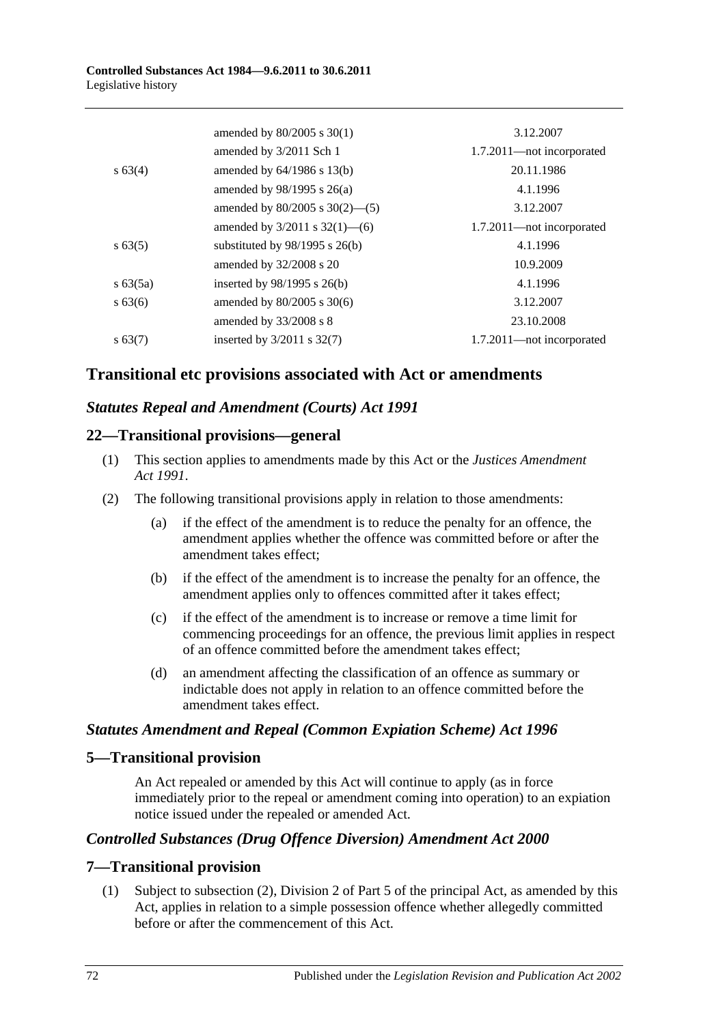|             | amended by $80/2005$ s $30(1)$      | 3.12.2007                 |
|-------------|-------------------------------------|---------------------------|
|             | amended by 3/2011 Sch 1             | 1.7.2011—not incorporated |
| $s\,63(4)$  | amended by $64/1986$ s $13(b)$      | 20.11.1986                |
|             | amended by $98/1995$ s $26(a)$      | 4.1.1996                  |
|             | amended by $80/2005$ s $30(2)$ —(5) | 3.12.2007                 |
|             | amended by $3/2011$ s $32(1)$ —(6)  | 1.7.2011—not incorporated |
| $s\,63(5)$  | substituted by $98/1995$ s $26(b)$  | 4.1.1996                  |
|             | amended by $32/2008$ s 20           | 10.9.2009                 |
| $s\,63(5a)$ | inserted by $98/1995$ s $26(b)$     | 4.1.1996                  |
| $s\,63(6)$  | amended by $80/2005$ s $30(6)$      | 3.12.2007                 |
|             | amended by $33/2008$ s 8            | 23.10.2008                |
| $s\,63(7)$  | inserted by $3/2011$ s $32(7)$      | 1.7.2011—not incorporated |

# **Transitional etc provisions associated with Act or amendments**

# *Statutes Repeal and Amendment (Courts) Act 1991*

# **22—Transitional provisions—general**

- (1) This section applies to amendments made by this Act or the *[Justices Amendment](http://www.legislation.sa.gov.au/index.aspx?action=legref&type=act&legtitle=Justices%20Amendment%20Act%201991)  Act [1991](http://www.legislation.sa.gov.au/index.aspx?action=legref&type=act&legtitle=Justices%20Amendment%20Act%201991)*.
- (2) The following transitional provisions apply in relation to those amendments:
	- (a) if the effect of the amendment is to reduce the penalty for an offence, the amendment applies whether the offence was committed before or after the amendment takes effect;
	- (b) if the effect of the amendment is to increase the penalty for an offence, the amendment applies only to offences committed after it takes effect;
	- (c) if the effect of the amendment is to increase or remove a time limit for commencing proceedings for an offence, the previous limit applies in respect of an offence committed before the amendment takes effect;
	- (d) an amendment affecting the classification of an offence as summary or indictable does not apply in relation to an offence committed before the amendment takes effect.

# *Statutes Amendment and Repeal (Common Expiation Scheme) Act 1996*

# **5—Transitional provision**

An Act repealed or amended by this Act will continue to apply (as in force immediately prior to the repeal or amendment coming into operation) to an expiation notice issued under the repealed or amended Act.

# *Controlled Substances (Drug Offence Diversion) Amendment Act 2000*

# **7—Transitional provision**

(1) Subject to subsection (2), Division 2 of Part 5 of the principal Act, as amended by this Act, applies in relation to a simple possession offence whether allegedly committed before or after the commencement of this Act.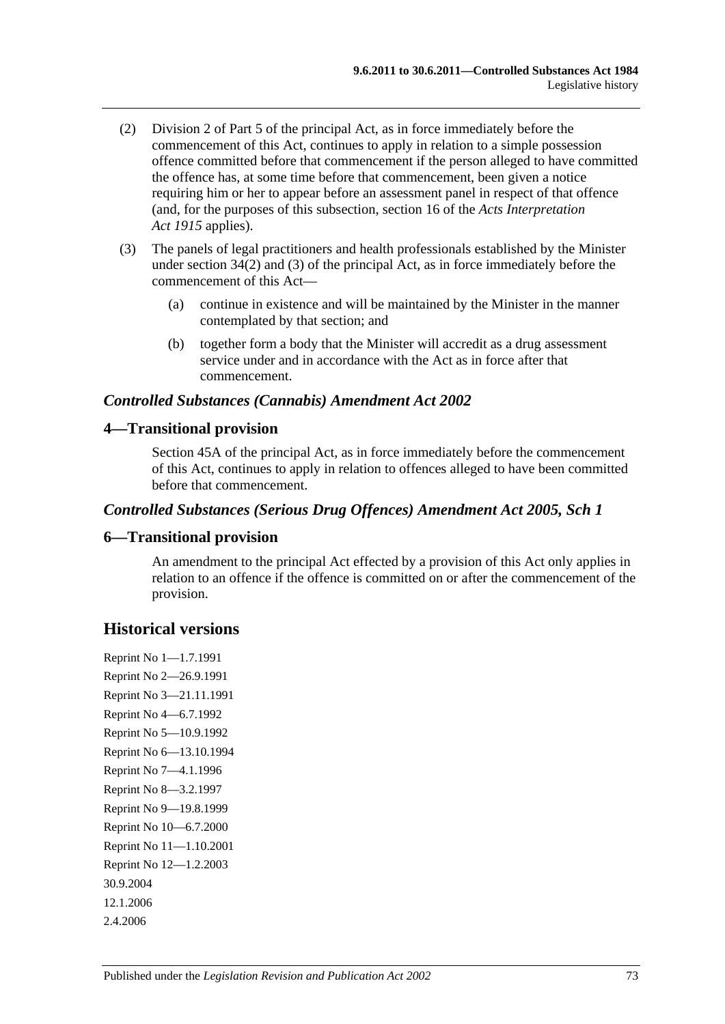- (2) Division 2 of Part 5 of the principal Act, as in force immediately before the commencement of this Act, continues to apply in relation to a simple possession offence committed before that commencement if the person alleged to have committed the offence has, at some time before that commencement, been given a notice requiring him or her to appear before an assessment panel in respect of that offence (and, for the purposes of this subsection, section 16 of the *[Acts Interpretation](http://www.legislation.sa.gov.au/index.aspx?action=legref&type=act&legtitle=Acts%20Interpretation%20Act%201915)  Act [1915](http://www.legislation.sa.gov.au/index.aspx?action=legref&type=act&legtitle=Acts%20Interpretation%20Act%201915)* applies).
- (3) The panels of legal practitioners and health professionals established by the Minister under section 34(2) and (3) of the principal Act, as in force immediately before the commencement of this Act—
	- (a) continue in existence and will be maintained by the Minister in the manner contemplated by that section; and
	- (b) together form a body that the Minister will accredit as a drug assessment service under and in accordance with the Act as in force after that commencement.

# *Controlled Substances (Cannabis) Amendment Act 2002*

# **4—Transitional provision**

Section 45A of the principal Act, as in force immediately before the commencement of this Act, continues to apply in relation to offences alleged to have been committed before that commencement.

## *Controlled Substances (Serious Drug Offences) Amendment Act 2005, Sch 1*

### **6—Transitional provision**

An amendment to the principal Act effected by a provision of this Act only applies in relation to an offence if the offence is committed on or after the commencement of the provision.

# **Historical versions**

Reprint No 1—1.7.1991 Reprint No 2—26.9.1991 Reprint No 3—21.11.1991 Reprint No 4—6.7.1992 Reprint No 5—10.9.1992 Reprint No 6—13.10.1994 Reprint No 7—4.1.1996 Reprint No 8—3.2.1997 Reprint No 9—19.8.1999 Reprint No 10—6.7.2000 Reprint No 11—1.10.2001 Reprint No 12—1.2.2003 30.9.2004 12.1.2006 2.4.2006